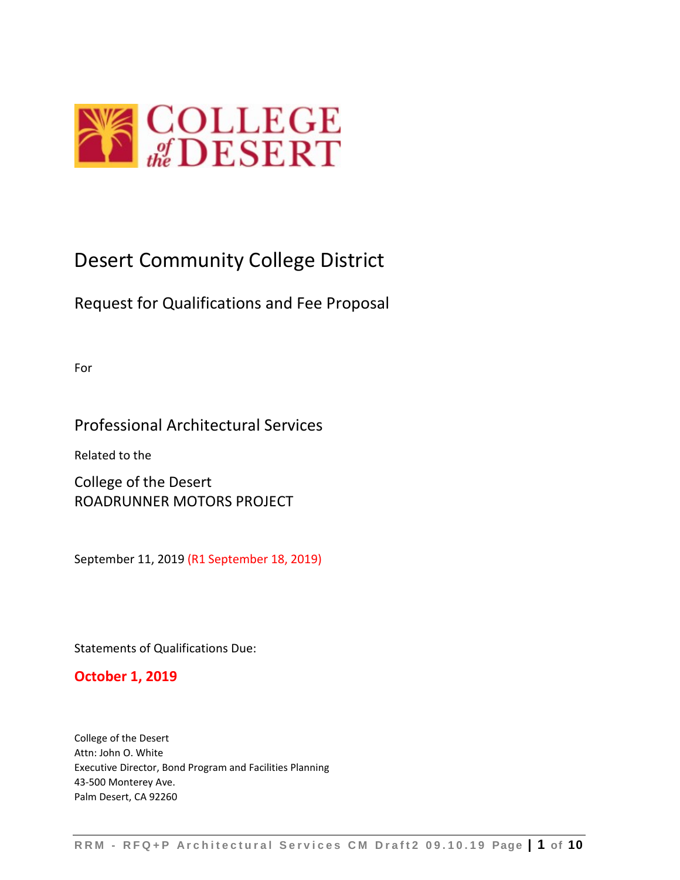

# Desert Community College District

# Request for Qualifications and Fee Proposal

For

## Professional Architectural Services

Related to the

College of the Desert ROADRUNNER MOTORS PROJECT

September 11, 2019 (R1 September 18, 2019)

Statements of Qualifications Due:

## **October 1, 2019**

College of the Desert Attn: John O. White Executive Director, Bond Program and Facilities Planning 43-500 Monterey Ave. Palm Desert, CA 92260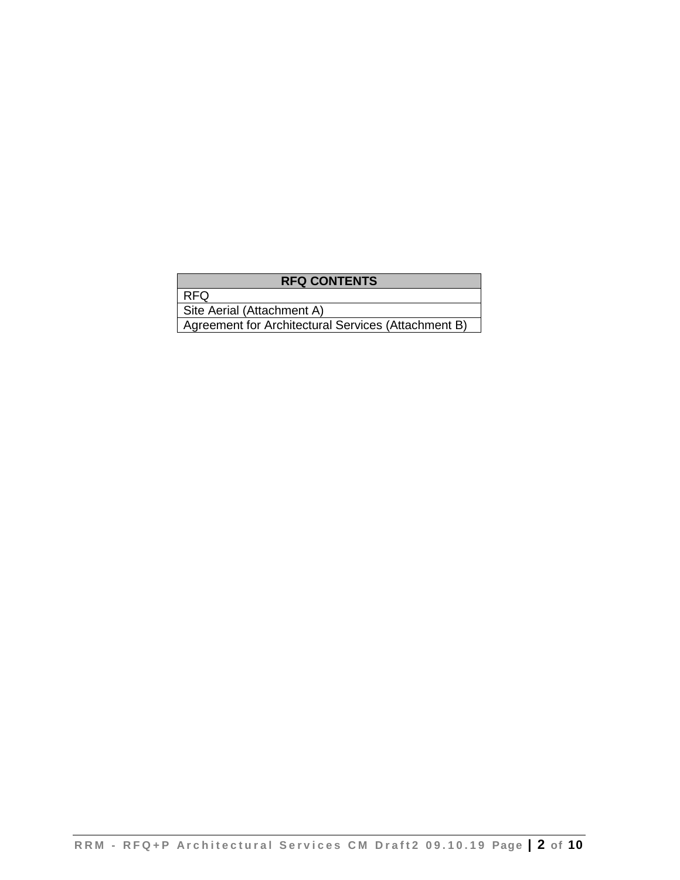## **RFQ CONTENTS**

RFQ

Site Aerial (Attachment A)

Agreement for Architectural Services (Attachment B)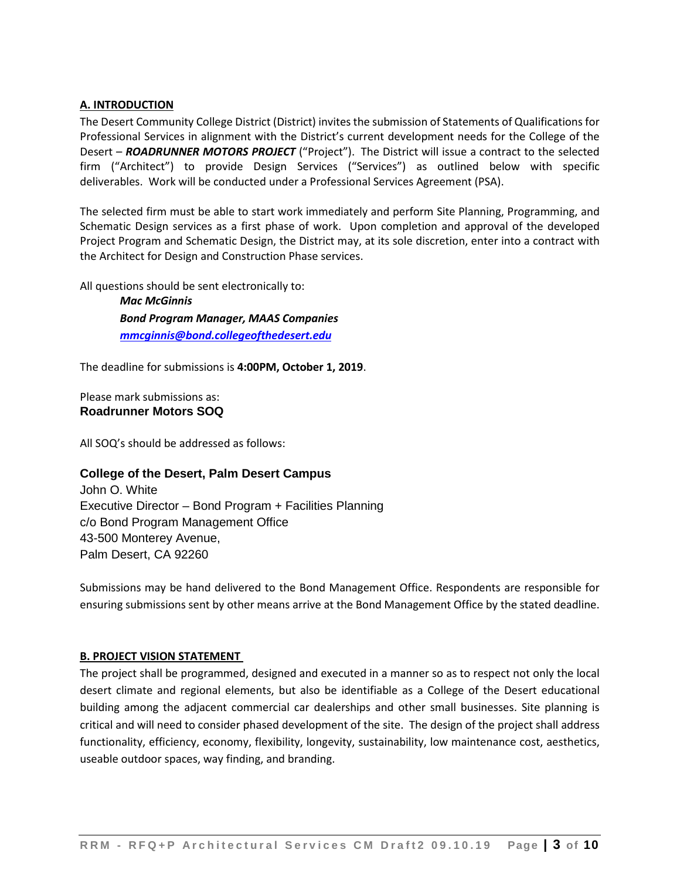#### **A. INTRODUCTION**

The Desert Community College District (District) invites the submission of Statements of Qualifications for Professional Services in alignment with the District's current development needs for the College of the Desert – *ROADRUNNER MOTORS PROJECT* ("Project"). The District will issue a contract to the selected firm ("Architect") to provide Design Services ("Services") as outlined below with specific deliverables. Work will be conducted under a Professional Services Agreement (PSA).

The selected firm must be able to start work immediately and perform Site Planning, Programming, and Schematic Design services as a first phase of work. Upon completion and approval of the developed Project Program and Schematic Design, the District may, at its sole discretion, enter into a contract with the Architect for Design and Construction Phase services.

All questions should be sent electronically to:

*Mac McGinnis Bond Program Manager, MAAS Companies [mmcginnis@bond.collegeofthedesert.edu](mailto:mmcginnis@bond.collegeofthedesert.edu)*

The deadline for submissions is **4:00PM, October 1, 2019**.

Please mark submissions as: **Roadrunner Motors SOQ**

All SOQ's should be addressed as follows:

#### **College of the Desert, Palm Desert Campus**

John O. White Executive Director – Bond Program + Facilities Planning c/o Bond Program Management Office 43-500 Monterey Avenue, Palm Desert, CA 92260

Submissions may be hand delivered to the Bond Management Office. Respondents are responsible for ensuring submissions sent by other means arrive at the Bond Management Office by the stated deadline.

#### **B. PROJECT VISION STATEMENT**

The project shall be programmed, designed and executed in a manner so as to respect not only the local desert climate and regional elements, but also be identifiable as a College of the Desert educational building among the adjacent commercial car dealerships and other small businesses. Site planning is critical and will need to consider phased development of the site. The design of the project shall address functionality, efficiency, economy, flexibility, longevity, sustainability, low maintenance cost, aesthetics, useable outdoor spaces, way finding, and branding.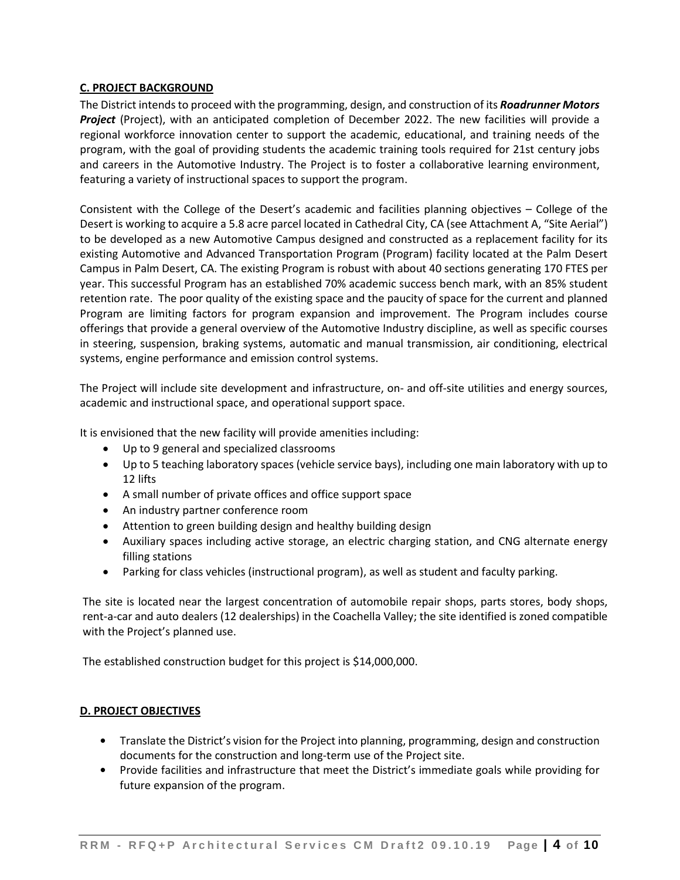## **C. PROJECT BACKGROUND**

The District intends to proceed with the programming, design, and construction of its *Roadrunner Motors Project* (Project), with an anticipated completion of December 2022. The new facilities will provide a regional workforce innovation center to support the academic, educational, and training needs of the program, with the goal of providing students the academic training tools required for 21st century jobs and careers in the Automotive Industry. The Project is to foster a collaborative learning environment, featuring a variety of instructional spaces to support the program.

Consistent with the College of the Desert's academic and facilities planning objectives – College of the Desert is working to acquire a 5.8 acre parcel located in Cathedral City, CA (see Attachment A, "Site Aerial") to be developed as a new Automotive Campus designed and constructed as a replacement facility for its existing Automotive and Advanced Transportation Program (Program) facility located at the Palm Desert Campus in Palm Desert, CA. The existing Program is robust with about 40 sections generating 170 FTES per year. This successful Program has an established 70% academic success bench mark, with an 85% student retention rate. The poor quality of the existing space and the paucity of space for the current and planned Program are limiting factors for program expansion and improvement. The Program includes course offerings that provide a general overview of the Automotive Industry discipline, as well as specific courses in steering, suspension, braking systems, automatic and manual transmission, air conditioning, electrical systems, engine performance and emission control systems.

The Project will include site development and infrastructure, on- and off-site utilities and energy sources, academic and instructional space, and operational support space.

It is envisioned that the new facility will provide amenities including:

- Up to 9 general and specialized classrooms
- Up to 5 teaching laboratory spaces (vehicle service bays), including one main laboratory with up to 12 lifts
- A small number of private offices and office support space
- An industry partner conference room
- Attention to green building design and healthy building design
- Auxiliary spaces including active storage, an electric charging station, and CNG alternate energy filling stations
- Parking for class vehicles (instructional program), as well as student and faculty parking.

The site is located near the largest concentration of automobile repair shops, parts stores, body shops, rent-a-car and auto dealers (12 dealerships) in the Coachella Valley; the site identified is zoned compatible with the Project's planned use.

The established construction budget for this project is \$14,000,000.

## **D. PROJECT OBJECTIVES**

- **•** Translate the District's vision for the Project into planning, programming, design and construction documents for the construction and long-term use of the Project site.
- **•** Provide facilities and infrastructure that meet the District's immediate goals while providing for future expansion of the program.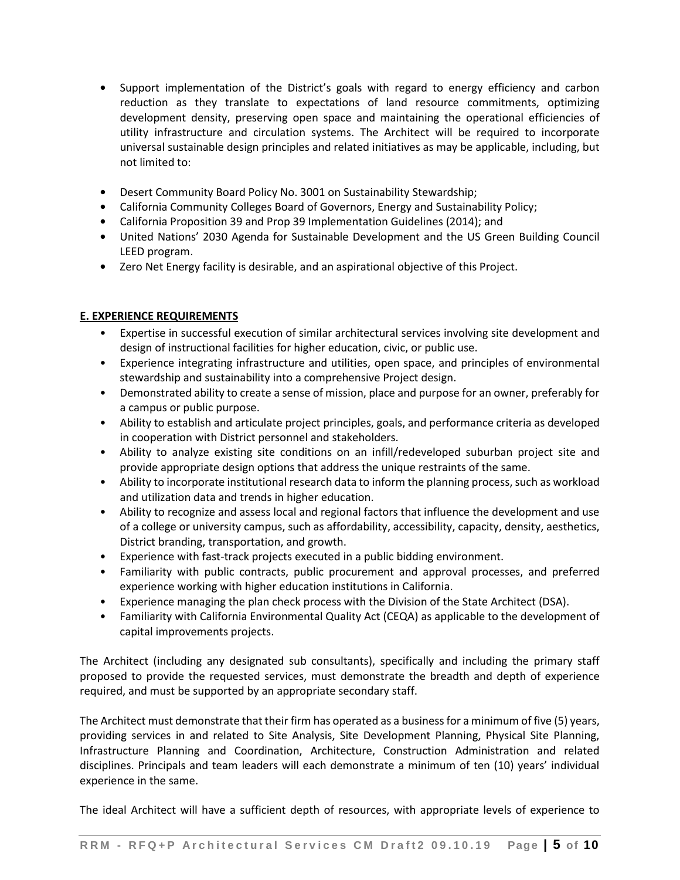- **•** Support implementation of the District's goals with regard to energy efficiency and carbon reduction as they translate to expectations of land resource commitments, optimizing development density, preserving open space and maintaining the operational efficiencies of utility infrastructure and circulation systems. The Architect will be required to incorporate universal sustainable design principles and related initiatives as may be applicable, including, but not limited to:
- **•** Desert Community Board Policy No. 3001 on Sustainability Stewardship;
- **•** California Community Colleges Board of Governors, Energy and Sustainability Policy;
- **•** California Proposition 39 and Prop 39 Implementation Guidelines (2014); and
- **•** United Nations' 2030 Agenda for Sustainable Development and the US Green Building Council LEED program.
- **•** Zero Net Energy facility is desirable, and an aspirational objective of this Project.

#### **E. EXPERIENCE REQUIREMENTS**

- Expertise in successful execution of similar architectural services involving site development and design of instructional facilities for higher education, civic, or public use.
- Experience integrating infrastructure and utilities, open space, and principles of environmental stewardship and sustainability into a comprehensive Project design.
- Demonstrated ability to create a sense of mission, place and purpose for an owner, preferably for a campus or public purpose.
- Ability to establish and articulate project principles, goals, and performance criteria as developed in cooperation with District personnel and stakeholders.
- Ability to analyze existing site conditions on an infill/redeveloped suburban project site and provide appropriate design options that address the unique restraints of the same.
- Ability to incorporate institutional research data to inform the planning process, such as workload and utilization data and trends in higher education.
- Ability to recognize and assess local and regional factors that influence the development and use of a college or university campus, such as affordability, accessibility, capacity, density, aesthetics, District branding, transportation, and growth.
- Experience with fast-track projects executed in a public bidding environment.
- Familiarity with public contracts, public procurement and approval processes, and preferred experience working with higher education institutions in California.
- Experience managing the plan check process with the Division of the State Architect (DSA).
- Familiarity with California Environmental Quality Act (CEQA) as applicable to the development of capital improvements projects.

The Architect (including any designated sub consultants), specifically and including the primary staff proposed to provide the requested services, must demonstrate the breadth and depth of experience required, and must be supported by an appropriate secondary staff.

The Architect must demonstrate that their firm has operated as a business for a minimum of five (5) years, providing services in and related to Site Analysis, Site Development Planning, Physical Site Planning, Infrastructure Planning and Coordination, Architecture, Construction Administration and related disciplines. Principals and team leaders will each demonstrate a minimum of ten (10) years' individual experience in the same.

The ideal Architect will have a sufficient depth of resources, with appropriate levels of experience to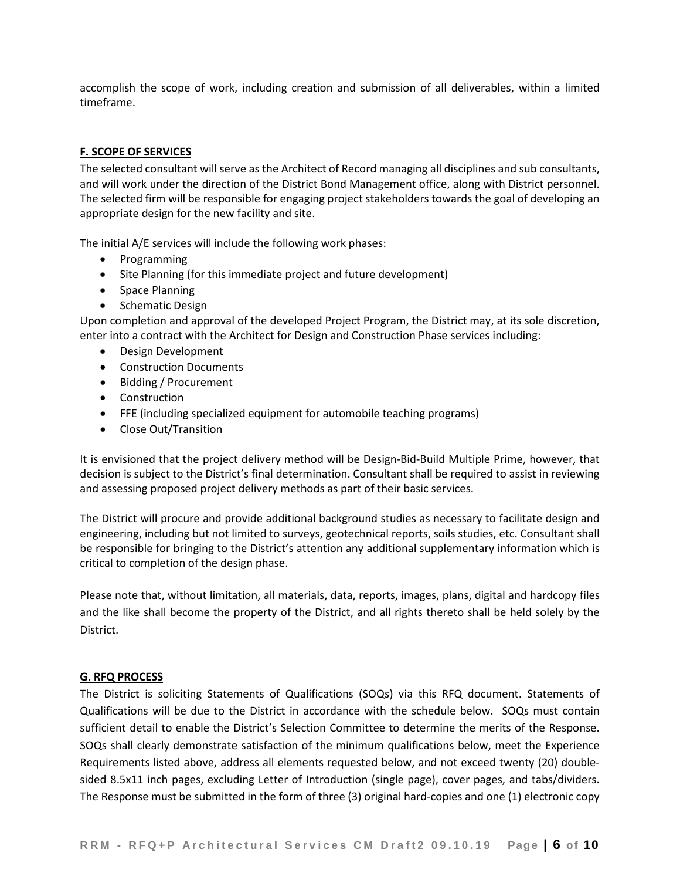accomplish the scope of work, including creation and submission of all deliverables, within a limited timeframe.

## **F. SCOPE OF SERVICES**

The selected consultant will serve as the Architect of Record managing all disciplines and sub consultants, and will work under the direction of the District Bond Management office, along with District personnel. The selected firm will be responsible for engaging project stakeholders towards the goal of developing an appropriate design for the new facility and site.

The initial A/E services will include the following work phases:

- Programming
- Site Planning (for this immediate project and future development)
- Space Planning
- Schematic Design

Upon completion and approval of the developed Project Program, the District may, at its sole discretion, enter into a contract with the Architect for Design and Construction Phase services including:

- Design Development
- Construction Documents
- Bidding / Procurement
- Construction
- FFE (including specialized equipment for automobile teaching programs)
- Close Out/Transition

It is envisioned that the project delivery method will be Design-Bid-Build Multiple Prime, however, that decision is subject to the District's final determination. Consultant shall be required to assist in reviewing and assessing proposed project delivery methods as part of their basic services.

The District will procure and provide additional background studies as necessary to facilitate design and engineering, including but not limited to surveys, geotechnical reports, soils studies, etc. Consultant shall be responsible for bringing to the District's attention any additional supplementary information which is critical to completion of the design phase.

Please note that, without limitation, all materials, data, reports, images, plans, digital and hardcopy files and the like shall become the property of the District, and all rights thereto shall be held solely by the District.

#### **G. RFQ PROCESS**

The District is soliciting Statements of Qualifications (SOQs) via this RFQ document. Statements of Qualifications will be due to the District in accordance with the schedule below. SOQs must contain sufficient detail to enable the District's Selection Committee to determine the merits of the Response. SOQs shall clearly demonstrate satisfaction of the minimum qualifications below, meet the Experience Requirements listed above, address all elements requested below, and not exceed twenty (20) doublesided 8.5x11 inch pages, excluding Letter of Introduction (single page), cover pages, and tabs/dividers. The Response must be submitted in the form of three (3) original hard-copies and one (1) electronic copy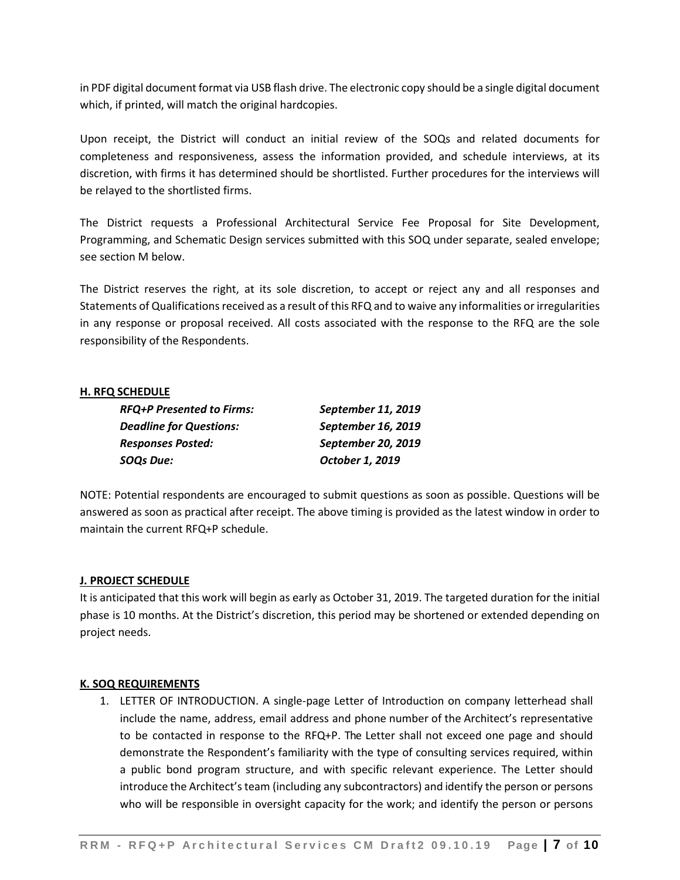in PDF digital document format via USB flash drive. The electronic copy should be a single digital document which, if printed, will match the original hardcopies.

Upon receipt, the District will conduct an initial review of the SOQs and related documents for completeness and responsiveness, assess the information provided, and schedule interviews, at its discretion, with firms it has determined should be shortlisted. Further procedures for the interviews will be relayed to the shortlisted firms.

The District requests a Professional Architectural Service Fee Proposal for Site Development, Programming, and Schematic Design services submitted with this SOQ under separate, sealed envelope; see section M below.

The District reserves the right, at its sole discretion, to accept or reject any and all responses and Statements of Qualifications received as a result of this RFQ and to waive any informalities or irregularities in any response or proposal received. All costs associated with the response to the RFQ are the sole responsibility of the Respondents.

#### **H. RFQ SCHEDULE**

| <b>RFQ+P Presented to Firms:</b> | September 11, 2019 |  |
|----------------------------------|--------------------|--|
| <b>Deadline for Questions:</b>   | September 16, 2019 |  |
| <b>Responses Posted:</b>         | September 20, 2019 |  |
| <b>SOQs Due:</b>                 | October 1, 2019    |  |

NOTE: Potential respondents are encouraged to submit questions as soon as possible. Questions will be answered as soon as practical after receipt. The above timing is provided as the latest window in order to maintain the current RFQ+P schedule.

#### **J. PROJECT SCHEDULE**

It is anticipated that this work will begin as early as October 31, 2019. The targeted duration for the initial phase is 10 months. At the District's discretion, this period may be shortened or extended depending on project needs.

#### **K. SOQ REQUIREMENTS**

1. LETTER OF INTRODUCTION. A single-page Letter of Introduction on company letterhead shall include the name, address, email address and phone number of the Architect's representative to be contacted in response to the RFQ+P. The Letter shall not exceed one page and should demonstrate the Respondent's familiarity with the type of consulting services required, within a public bond program structure, and with specific relevant experience. The Letter should introduce the Architect's team (including any subcontractors) and identify the person or persons who will be responsible in oversight capacity for the work; and identify the person or persons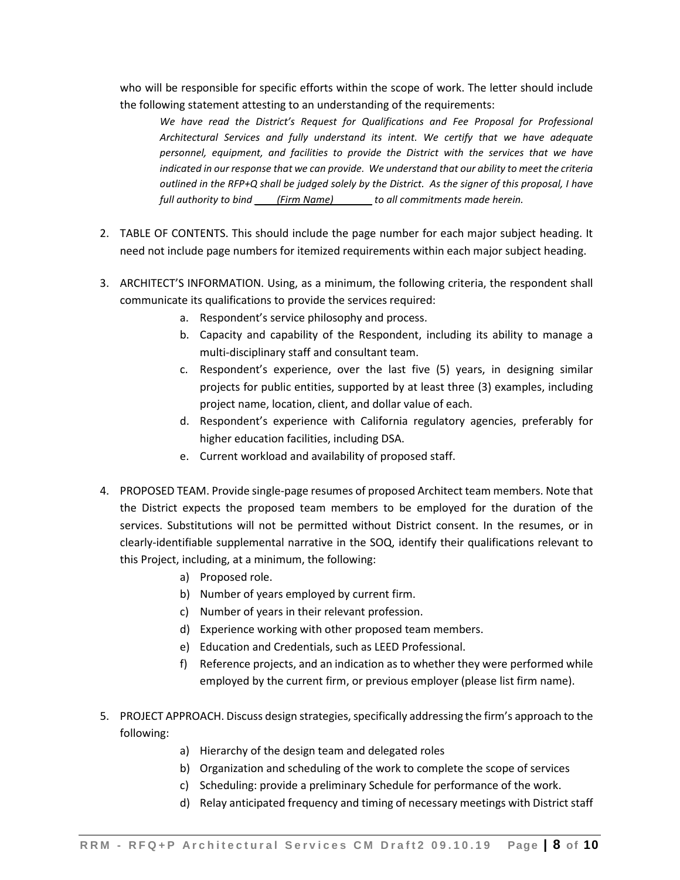who will be responsible for specific efforts within the scope of work. The letter should include the following statement attesting to an understanding of the requirements:

*We have read the District's Request for Qualifications and Fee Proposal for Professional Architectural Services and fully understand its intent. We certify that we have adequate personnel, equipment, and facilities to provide the District with the services that we have indicated in our response that we can provide. We understand that our ability to meet the criteria outlined in the RFP+Q shall be judged solely by the District. As the signer of this proposal, I have full authority to bind \_\_\_\_(Firm Name)\_\_\_\_\_\_\_ to all commitments made herein.*

- 2. TABLE OF CONTENTS. This should include the page number for each major subject heading. It need not include page numbers for itemized requirements within each major subject heading.
- 3. ARCHITECT'S INFORMATION. Using, as a minimum, the following criteria, the respondent shall communicate its qualifications to provide the services required:
	- a. Respondent's service philosophy and process.
	- b. Capacity and capability of the Respondent, including its ability to manage a multi-disciplinary staff and consultant team.
	- c. Respondent's experience, over the last five (5) years, in designing similar projects for public entities, supported by at least three (3) examples, including project name, location, client, and dollar value of each.
	- d. Respondent's experience with California regulatory agencies, preferably for higher education facilities, including DSA.
	- e. Current workload and availability of proposed staff.
- 4. PROPOSED TEAM. Provide single-page resumes of proposed Architect team members. Note that the District expects the proposed team members to be employed for the duration of the services. Substitutions will not be permitted without District consent. In the resumes, or in clearly-identifiable supplemental narrative in the SOQ, identify their qualifications relevant to this Project, including, at a minimum, the following:
	- a) Proposed role.
	- b) Number of years employed by current firm.
	- c) Number of years in their relevant profession.
	- d) Experience working with other proposed team members.
	- e) Education and Credentials, such as LEED Professional.
	- f) Reference projects, and an indication as to whether they were performed while employed by the current firm, or previous employer (please list firm name).
- 5. PROJECT APPROACH. Discuss design strategies, specifically addressing the firm's approach to the following:
	- a) Hierarchy of the design team and delegated roles
	- b) Organization and scheduling of the work to complete the scope of services
	- c) Scheduling: provide a preliminary Schedule for performance of the work.
	- d) Relay anticipated frequency and timing of necessary meetings with District staff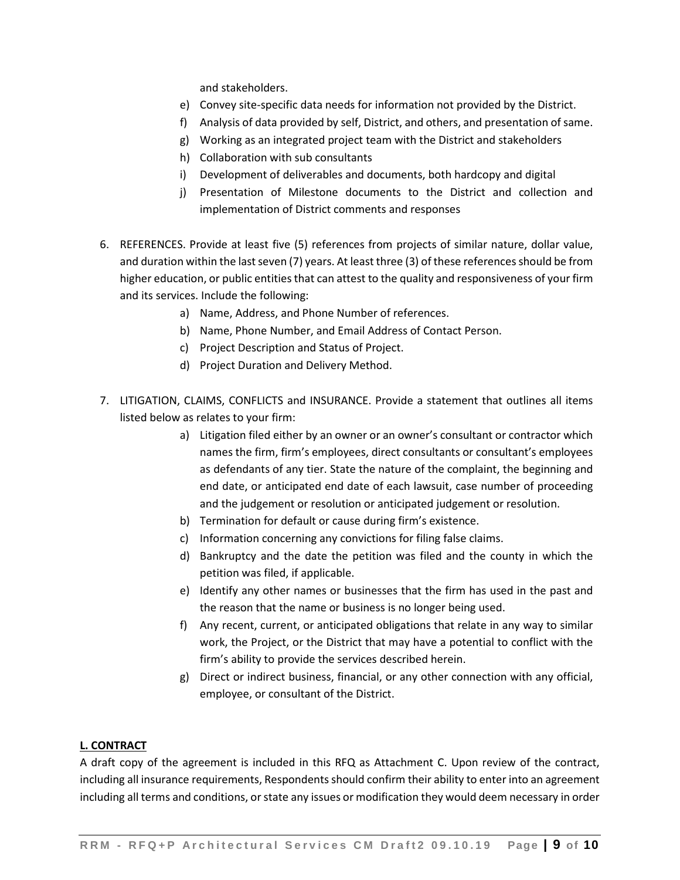and stakeholders.

- e) Convey site-specific data needs for information not provided by the District.
- f) Analysis of data provided by self, District, and others, and presentation of same.
- g) Working as an integrated project team with the District and stakeholders
- h) Collaboration with sub consultants
- i) Development of deliverables and documents, both hardcopy and digital
- j) Presentation of Milestone documents to the District and collection and implementation of District comments and responses
- 6. REFERENCES. Provide at least five (5) references from projects of similar nature, dollar value, and duration within the last seven (7) years. At least three (3) of these references should be from higher education, or public entities that can attest to the quality and responsiveness of your firm and its services. Include the following:
	- a) Name, Address, and Phone Number of references.
	- b) Name, Phone Number, and Email Address of Contact Person.
	- c) Project Description and Status of Project.
	- d) Project Duration and Delivery Method.
- 7. LITIGATION, CLAIMS, CONFLICTS and INSURANCE. Provide a statement that outlines all items listed below as relates to your firm:
	- a) Litigation filed either by an owner or an owner's consultant or contractor which names the firm, firm's employees, direct consultants or consultant's employees as defendants of any tier. State the nature of the complaint, the beginning and end date, or anticipated end date of each lawsuit, case number of proceeding and the judgement or resolution or anticipated judgement or resolution.
	- b) Termination for default or cause during firm's existence.
	- c) Information concerning any convictions for filing false claims.
	- d) Bankruptcy and the date the petition was filed and the county in which the petition was filed, if applicable.
	- e) Identify any other names or businesses that the firm has used in the past and the reason that the name or business is no longer being used.
	- f) Any recent, current, or anticipated obligations that relate in any way to similar work, the Project, or the District that may have a potential to conflict with the firm's ability to provide the services described herein.
	- g) Direct or indirect business, financial, or any other connection with any official, employee, or consultant of the District.

#### **L. CONTRACT**

A draft copy of the agreement is included in this RFQ as Attachment C. Upon review of the contract, including all insurance requirements, Respondents should confirm their ability to enter into an agreement including all terms and conditions, or state any issues or modification they would deem necessary in order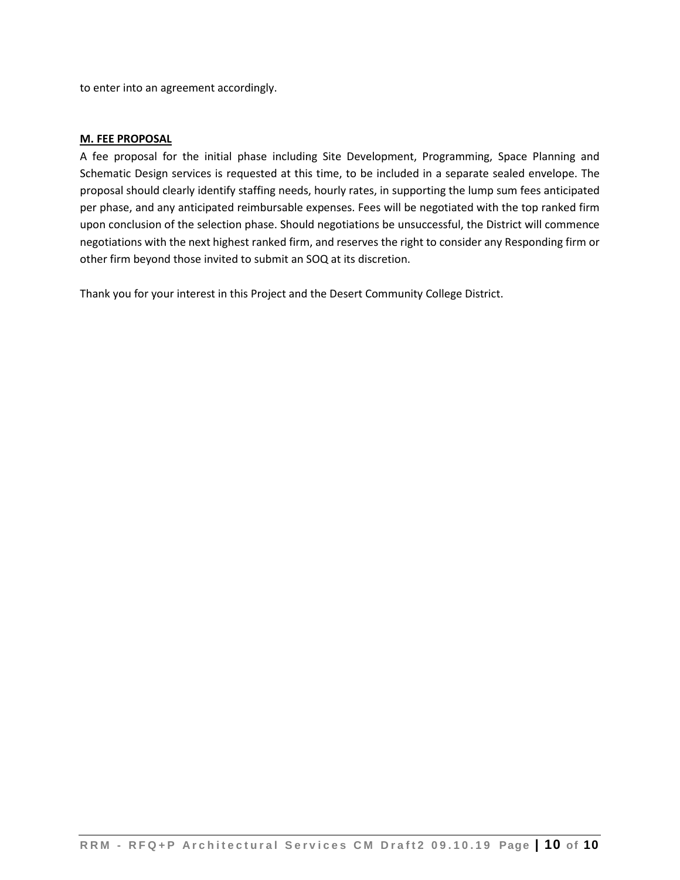to enter into an agreement accordingly.

#### **M. FEE PROPOSAL**

A fee proposal for the initial phase including Site Development, Programming, Space Planning and Schematic Design services is requested at this time, to be included in a separate sealed envelope. The proposal should clearly identify staffing needs, hourly rates, in supporting the lump sum fees anticipated per phase, and any anticipated reimbursable expenses. Fees will be negotiated with the top ranked firm upon conclusion of the selection phase. Should negotiations be unsuccessful, the District will commence negotiations with the next highest ranked firm, and reserves the right to consider any Responding firm or other firm beyond those invited to submit an SOQ at its discretion.

Thank you for your interest in this Project and the Desert Community College District.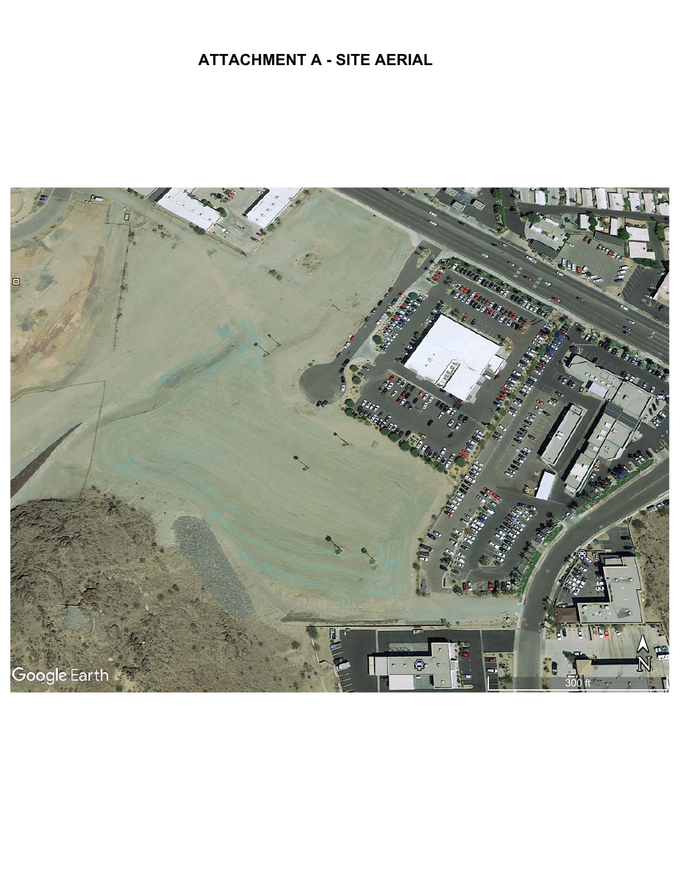# **ATTACHMENT A - SITE AERIAL**

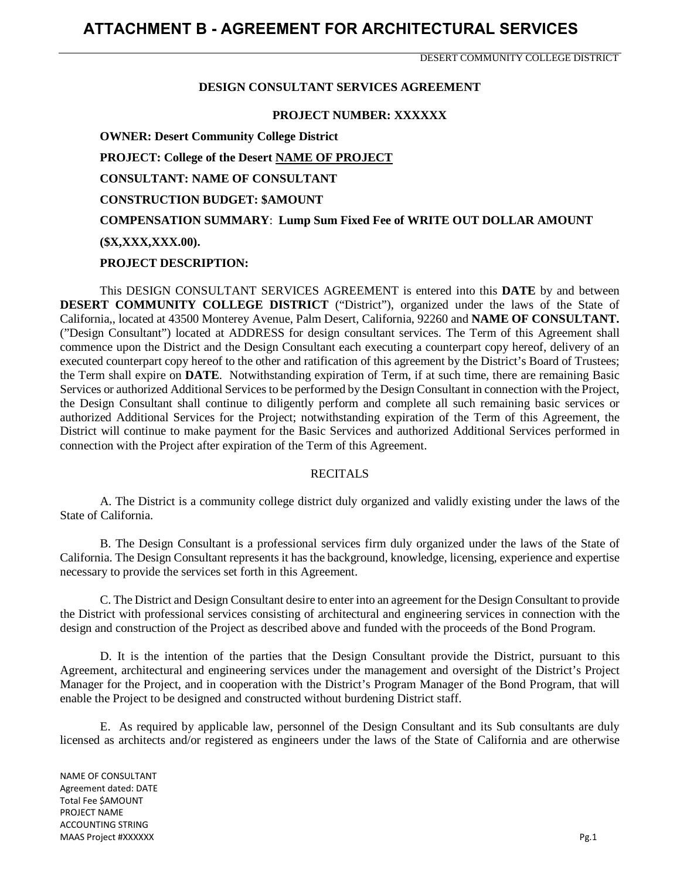DESERT COMMUNITY COLLEGE DISTRICT

#### **DESIGN CONSULTANT SERVICES AGREEMENT**

#### **PROJECT NUMBER: XXXXXX**

**OWNER: Desert Community College District PROJECT: College of the Desert NAME OF PROJECT CONSULTANT: NAME OF CONSULTANT CONSTRUCTION BUDGET: \$AMOUNT COMPENSATION SUMMARY**: **Lump Sum Fixed Fee of WRITE OUT DOLLAR AMOUNT (\$X,XXX,XXX.00). PROJECT DESCRIPTION:** 

This DESIGN CONSULTANT SERVICES AGREEMENT is entered into this **DATE** by and between **DESERT COMMUNITY COLLEGE DISTRICT** ("District"), organized under the laws of the State of California,, located at 43500 Monterey Avenue, Palm Desert, California, 92260 and **NAME OF CONSULTANT.** ("Design Consultant") located at ADDRESS for design consultant services. The Term of this Agreement shall commence upon the District and the Design Consultant each executing a counterpart copy hereof, delivery of an executed counterpart copy hereof to the other and ratification of this agreement by the District's Board of Trustees; the Term shall expire on **DATE**. Notwithstanding expiration of Term, if at such time, there are remaining Basic Services or authorized Additional Services to be performed by the Design Consultant in connection with the Project, the Design Consultant shall continue to diligently perform and complete all such remaining basic services or authorized Additional Services for the Project; notwithstanding expiration of the Term of this Agreement, the District will continue to make payment for the Basic Services and authorized Additional Services performed in connection with the Project after expiration of the Term of this Agreement.

#### RECITALS

A. The District is a community college district duly organized and validly existing under the laws of the State of California.

B. The Design Consultant is a professional services firm duly organized under the laws of the State of California. The Design Consultant represents it has the background, knowledge, licensing, experience and expertise necessary to provide the services set forth in this Agreement.

C. The District and Design Consultant desire to enter into an agreement for the Design Consultant to provide the District with professional services consisting of architectural and engineering services in connection with the design and construction of the Project as described above and funded with the proceeds of the Bond Program.

D. It is the intention of the parties that the Design Consultant provide the District, pursuant to this Agreement, architectural and engineering services under the management and oversight of the District's Project Manager for the Project, and in cooperation with the District's Program Manager of the Bond Program, that will enable the Project to be designed and constructed without burdening District staff.

E. As required by applicable law, personnel of the Design Consultant and its Sub consultants are duly licensed as architects and/or registered as engineers under the laws of the State of California and are otherwise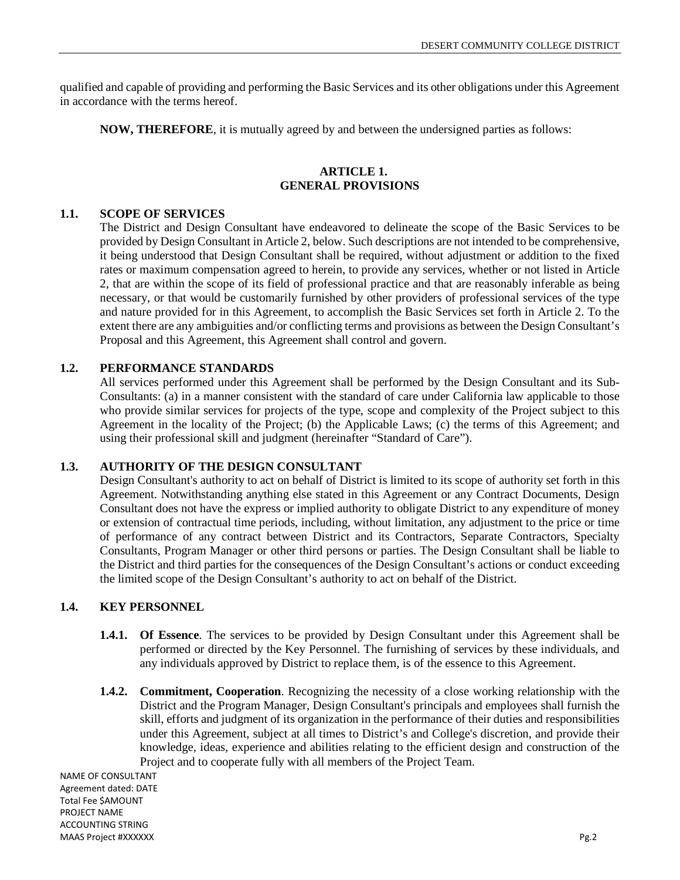qualified and capable of providing and performing the Basic Services and its other obligations under this Agreement in accordance with the terms hereof.

**NOW, THEREFORE**, it is mutually agreed by and between the undersigned parties as follows:

## **ARTICLE 1. GENERAL PROVISIONS**

## **1.1. SCOPE OF SERVICES**

The District and Design Consultant have endeavored to delineate the scope of the Basic Services to be provided by Design Consultant in Article 2, below. Such descriptions are not intended to be comprehensive, it being understood that Design Consultant shall be required, without adjustment or addition to the fixed rates or maximum compensation agreed to herein, to provide any services, whether or not listed in Article 2, that are within the scope of its field of professional practice and that are reasonably inferable as being necessary, or that would be customarily furnished by other providers of professional services of the type and nature provided for in this Agreement, to accomplish the Basic Services set forth in Article 2. To the extent there are any ambiguities and/or conflicting terms and provisions as between the Design Consultant's Proposal and this Agreement, this Agreement shall control and govern.

## **1.2. PERFORMANCE STANDARDS**

All services performed under this Agreement shall be performed by the Design Consultant and its Sub-Consultants: (a) in a manner consistent with the standard of care under California law applicable to those who provide similar services for projects of the type, scope and complexity of the Project subject to this Agreement in the locality of the Project; (b) the Applicable Laws; (c) the terms of this Agreement; and using their professional skill and judgment (hereinafter "Standard of Care").

#### **1.3. AUTHORITY OF THE DESIGN CONSULTANT**

Design Consultant's authority to act on behalf of District is limited to its scope of authority set forth in this Agreement. Notwithstanding anything else stated in this Agreement or any Contract Documents, Design Consultant does not have the express or implied authority to obligate District to any expenditure of money or extension of contractual time periods, including, without limitation, any adjustment to the price or time of performance of any contract between District and its Contractors, Separate Contractors, Specialty Consultants, Program Manager or other third persons or parties. The Design Consultant shall be liable to the District and third parties for the consequences of the Design Consultant's actions or conduct exceeding the limited scope of the Design Consultant's authority to act on behalf of the District.

## **1.4. KEY PERSONNEL**

- **1.4.1. Of Essence**. The services to be provided by Design Consultant under this Agreement shall be performed or directed by the Key Personnel. The furnishing of services by these individuals, and any individuals approved by District to replace them, is of the essence to this Agreement.
- **1.4.2. Commitment, Cooperation**. Recognizing the necessity of a close working relationship with the District and the Program Manager, Design Consultant's principals and employees shall furnish the skill, efforts and judgment of its organization in the performance of their duties and responsibilities under this Agreement, subject at all times to District's and College's discretion, and provide their knowledge, ideas, experience and abilities relating to the efficient design and construction of the Project and to cooperate fully with all members of the Project Team.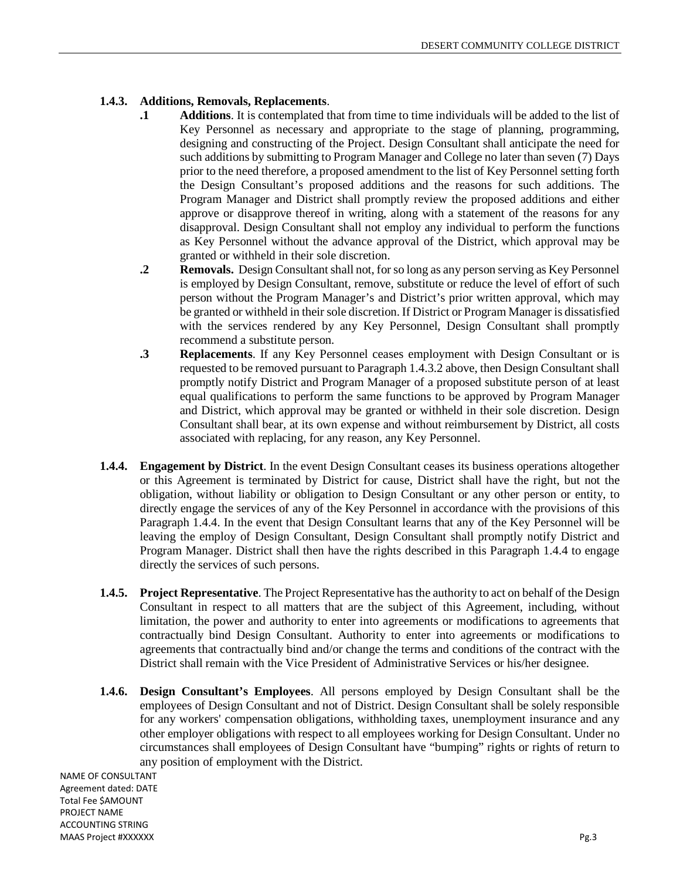## **1.4.3. Additions, Removals, Replacements**.

- **.1 Additions**. It is contemplated that from time to time individuals will be added to the list of Key Personnel as necessary and appropriate to the stage of planning, programming, designing and constructing of the Project. Design Consultant shall anticipate the need for such additions by submitting to Program Manager and College no later than seven (7) Days prior to the need therefore, a proposed amendment to the list of Key Personnel setting forth the Design Consultant's proposed additions and the reasons for such additions. The Program Manager and District shall promptly review the proposed additions and either approve or disapprove thereof in writing, along with a statement of the reasons for any disapproval. Design Consultant shall not employ any individual to perform the functions as Key Personnel without the advance approval of the District, which approval may be granted or withheld in their sole discretion.
- **.2 Removals.** Design Consultant shall not, for so long as any person serving as Key Personnel is employed by Design Consultant, remove, substitute or reduce the level of effort of such person without the Program Manager's and District's prior written approval, which may be granted or withheld in their sole discretion. If District or Program Manager is dissatisfied with the services rendered by any Key Personnel, Design Consultant shall promptly recommend a substitute person.
- **.3 Replacements**. If any Key Personnel ceases employment with Design Consultant or is requested to be removed pursuant to Paragraph 1.4.3.2 above, then Design Consultant shall promptly notify District and Program Manager of a proposed substitute person of at least equal qualifications to perform the same functions to be approved by Program Manager and District, which approval may be granted or withheld in their sole discretion. Design Consultant shall bear, at its own expense and without reimbursement by District, all costs associated with replacing, for any reason, any Key Personnel.
- **1.4.4. Engagement by District**. In the event Design Consultant ceases its business operations altogether or this Agreement is terminated by District for cause, District shall have the right, but not the obligation, without liability or obligation to Design Consultant or any other person or entity, to directly engage the services of any of the Key Personnel in accordance with the provisions of this Paragraph 1.4.4. In the event that Design Consultant learns that any of the Key Personnel will be leaving the employ of Design Consultant, Design Consultant shall promptly notify District and Program Manager. District shall then have the rights described in this Paragraph 1.4.4 to engage directly the services of such persons.
- **1.4.5. Project Representative**. The Project Representative has the authority to act on behalf of the Design Consultant in respect to all matters that are the subject of this Agreement, including, without limitation, the power and authority to enter into agreements or modifications to agreements that contractually bind Design Consultant. Authority to enter into agreements or modifications to agreements that contractually bind and/or change the terms and conditions of the contract with the District shall remain with the Vice President of Administrative Services or his/her designee.
- **1.4.6. Design Consultant's Employees**. All persons employed by Design Consultant shall be the employees of Design Consultant and not of District. Design Consultant shall be solely responsible for any workers' compensation obligations, withholding taxes, unemployment insurance and any other employer obligations with respect to all employees working for Design Consultant. Under no circumstances shall employees of Design Consultant have "bumping" rights or rights of return to any position of employment with the District.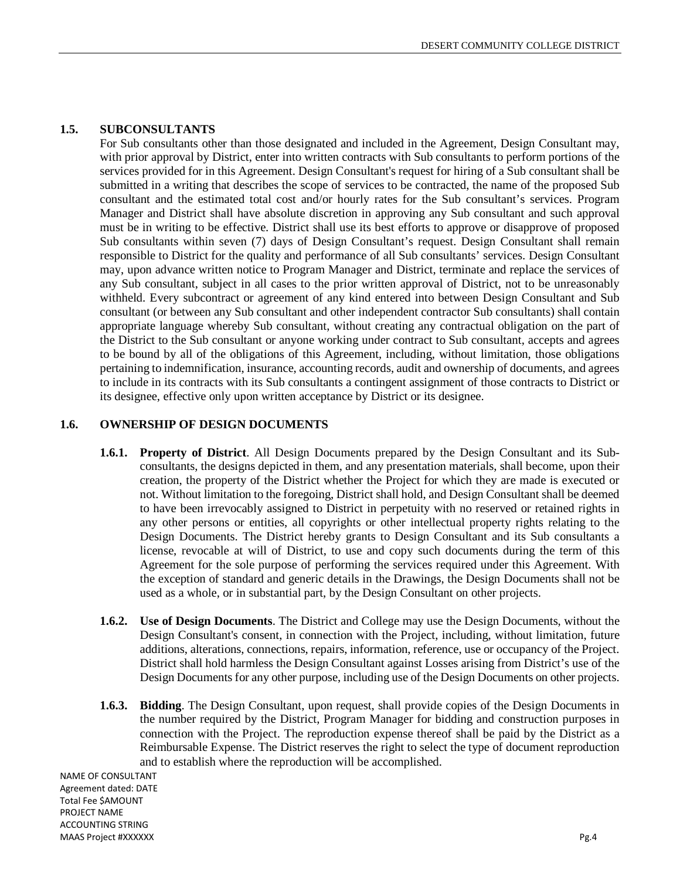## **1.5. SUBCONSULTANTS**

For Sub consultants other than those designated and included in the Agreement, Design Consultant may, with prior approval by District, enter into written contracts with Sub consultants to perform portions of the services provided for in this Agreement. Design Consultant's request for hiring of a Sub consultant shall be submitted in a writing that describes the scope of services to be contracted, the name of the proposed Sub consultant and the estimated total cost and/or hourly rates for the Sub consultant's services. Program Manager and District shall have absolute discretion in approving any Sub consultant and such approval must be in writing to be effective. District shall use its best efforts to approve or disapprove of proposed Sub consultants within seven (7) days of Design Consultant's request. Design Consultant shall remain responsible to District for the quality and performance of all Sub consultants' services. Design Consultant may, upon advance written notice to Program Manager and District, terminate and replace the services of any Sub consultant, subject in all cases to the prior written approval of District, not to be unreasonably withheld. Every subcontract or agreement of any kind entered into between Design Consultant and Sub consultant (or between any Sub consultant and other independent contractor Sub consultants) shall contain appropriate language whereby Sub consultant, without creating any contractual obligation on the part of the District to the Sub consultant or anyone working under contract to Sub consultant, accepts and agrees to be bound by all of the obligations of this Agreement, including, without limitation, those obligations pertaining to indemnification, insurance, accounting records, audit and ownership of documents, and agrees to include in its contracts with its Sub consultants a contingent assignment of those contracts to District or its designee, effective only upon written acceptance by District or its designee.

#### **1.6. OWNERSHIP OF DESIGN DOCUMENTS**

- **1.6.1. Property of District**. All Design Documents prepared by the Design Consultant and its Subconsultants, the designs depicted in them, and any presentation materials, shall become, upon their creation, the property of the District whether the Project for which they are made is executed or not. Without limitation to the foregoing, District shall hold, and Design Consultant shall be deemed to have been irrevocably assigned to District in perpetuity with no reserved or retained rights in any other persons or entities, all copyrights or other intellectual property rights relating to the Design Documents. The District hereby grants to Design Consultant and its Sub consultants a license, revocable at will of District, to use and copy such documents during the term of this Agreement for the sole purpose of performing the services required under this Agreement. With the exception of standard and generic details in the Drawings, the Design Documents shall not be used as a whole, or in substantial part, by the Design Consultant on other projects.
- **1.6.2. Use of Design Documents**. The District and College may use the Design Documents, without the Design Consultant's consent, in connection with the Project, including, without limitation, future additions, alterations, connections, repairs, information, reference, use or occupancy of the Project. District shall hold harmless the Design Consultant against Losses arising from District's use of the Design Documents for any other purpose, including use of the Design Documents on other projects.
- **1.6.3. Bidding**. The Design Consultant, upon request, shall provide copies of the Design Documents in the number required by the District, Program Manager for bidding and construction purposes in connection with the Project. The reproduction expense thereof shall be paid by the District as a Reimbursable Expense. The District reserves the right to select the type of document reproduction and to establish where the reproduction will be accomplished.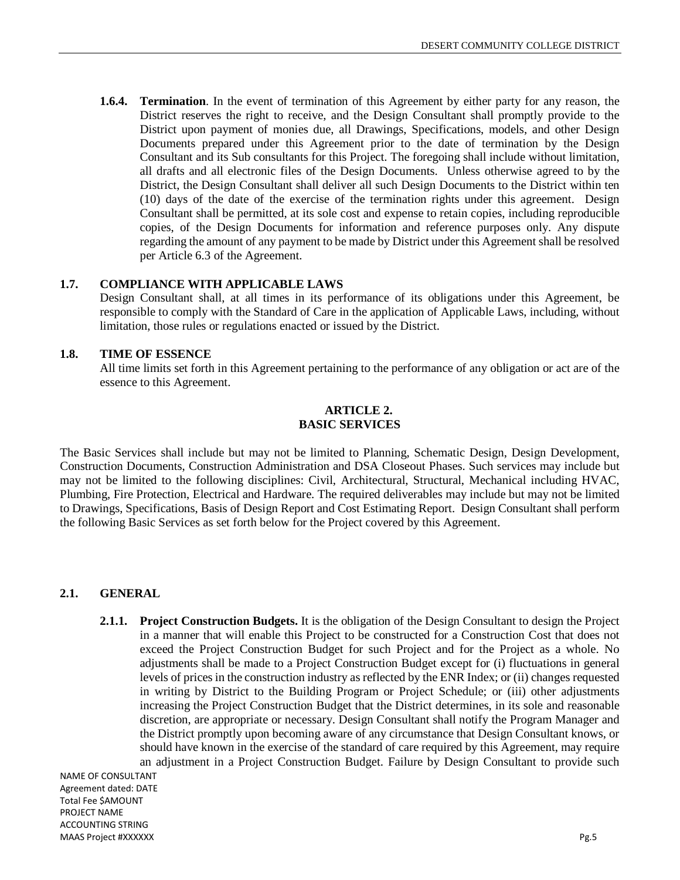**1.6.4. Termination**. In the event of termination of this Agreement by either party for any reason, the District reserves the right to receive, and the Design Consultant shall promptly provide to the District upon payment of monies due, all Drawings, Specifications, models, and other Design Documents prepared under this Agreement prior to the date of termination by the Design Consultant and its Sub consultants for this Project. The foregoing shall include without limitation, all drafts and all electronic files of the Design Documents. Unless otherwise agreed to by the District, the Design Consultant shall deliver all such Design Documents to the District within ten (10) days of the date of the exercise of the termination rights under this agreement. Design Consultant shall be permitted, at its sole cost and expense to retain copies, including reproducible copies, of the Design Documents for information and reference purposes only. Any dispute regarding the amount of any payment to be made by District under this Agreement shall be resolved per Article 6.3 of the Agreement.

## **1.7. COMPLIANCE WITH APPLICABLE LAWS**

Design Consultant shall, at all times in its performance of its obligations under this Agreement, be responsible to comply with the Standard of Care in the application of Applicable Laws, including, without limitation, those rules or regulations enacted or issued by the District.

## **1.8. TIME OF ESSENCE**

All time limits set forth in this Agreement pertaining to the performance of any obligation or act are of the essence to this Agreement.

## **ARTICLE 2. BASIC SERVICES**

The Basic Services shall include but may not be limited to Planning, Schematic Design, Design Development, Construction Documents, Construction Administration and DSA Closeout Phases. Such services may include but may not be limited to the following disciplines: Civil, Architectural, Structural, Mechanical including HVAC, Plumbing, Fire Protection, Electrical and Hardware. The required deliverables may include but may not be limited to Drawings, Specifications, Basis of Design Report and Cost Estimating Report. Design Consultant shall perform the following Basic Services as set forth below for the Project covered by this Agreement.

## **2.1. GENERAL**

**2.1.1. Project Construction Budgets.** It is the obligation of the Design Consultant to design the Project in a manner that will enable this Project to be constructed for a Construction Cost that does not exceed the Project Construction Budget for such Project and for the Project as a whole. No adjustments shall be made to a Project Construction Budget except for (i) fluctuations in general levels of prices in the construction industry as reflected by the ENR Index; or (ii) changes requested in writing by District to the Building Program or Project Schedule; or (iii) other adjustments increasing the Project Construction Budget that the District determines, in its sole and reasonable discretion, are appropriate or necessary. Design Consultant shall notify the Program Manager and the District promptly upon becoming aware of any circumstance that Design Consultant knows, or should have known in the exercise of the standard of care required by this Agreement, may require an adjustment in a Project Construction Budget. Failure by Design Consultant to provide such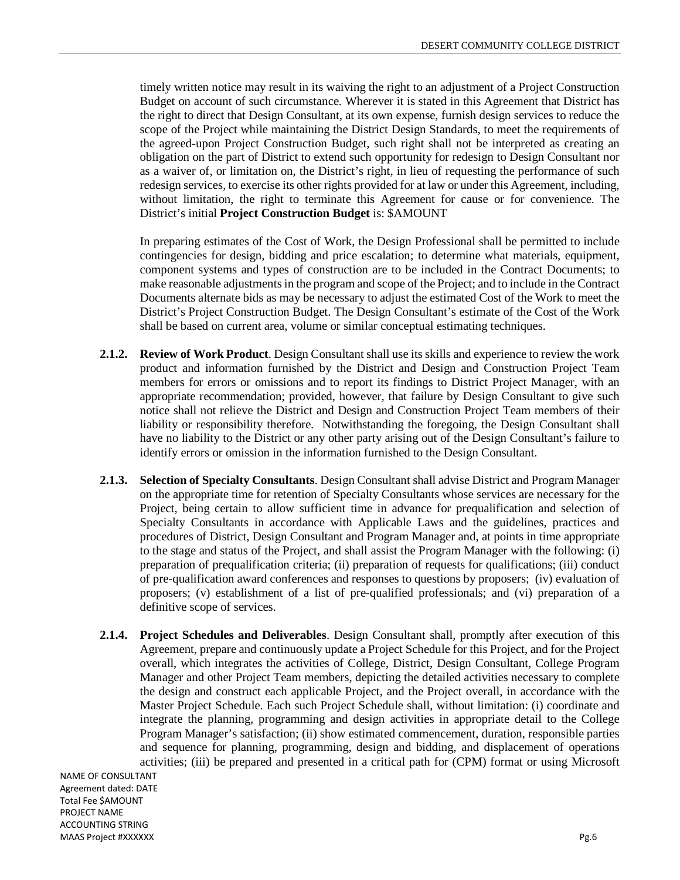timely written notice may result in its waiving the right to an adjustment of a Project Construction Budget on account of such circumstance. Wherever it is stated in this Agreement that District has the right to direct that Design Consultant, at its own expense, furnish design services to reduce the scope of the Project while maintaining the District Design Standards, to meet the requirements of the agreed-upon Project Construction Budget, such right shall not be interpreted as creating an obligation on the part of District to extend such opportunity for redesign to Design Consultant nor as a waiver of, or limitation on, the District's right, in lieu of requesting the performance of such redesign services, to exercise its other rights provided for at law or under this Agreement, including, without limitation, the right to terminate this Agreement for cause or for convenience. The District's initial **Project Construction Budget** is: \$AMOUNT

In preparing estimates of the Cost of Work, the Design Professional shall be permitted to include contingencies for design, bidding and price escalation; to determine what materials, equipment, component systems and types of construction are to be included in the Contract Documents; to make reasonable adjustments in the program and scope of the Project; and to include in the Contract Documents alternate bids as may be necessary to adjust the estimated Cost of the Work to meet the District's Project Construction Budget. The Design Consultant's estimate of the Cost of the Work shall be based on current area, volume or similar conceptual estimating techniques.

- **2.1.2. Review of Work Product**. Design Consultant shall use its skills and experience to review the work product and information furnished by the District and Design and Construction Project Team members for errors or omissions and to report its findings to District Project Manager, with an appropriate recommendation; provided, however, that failure by Design Consultant to give such notice shall not relieve the District and Design and Construction Project Team members of their liability or responsibility therefore. Notwithstanding the foregoing, the Design Consultant shall have no liability to the District or any other party arising out of the Design Consultant's failure to identify errors or omission in the information furnished to the Design Consultant.
- **2.1.3. Selection of Specialty Consultants**. Design Consultant shall advise District and Program Manager on the appropriate time for retention of Specialty Consultants whose services are necessary for the Project, being certain to allow sufficient time in advance for prequalification and selection of Specialty Consultants in accordance with Applicable Laws and the guidelines, practices and procedures of District, Design Consultant and Program Manager and, at points in time appropriate to the stage and status of the Project, and shall assist the Program Manager with the following: (i) preparation of prequalification criteria; (ii) preparation of requests for qualifications; (iii) conduct of pre-qualification award conferences and responses to questions by proposers; (iv) evaluation of proposers; (v) establishment of a list of pre-qualified professionals; and (vi) preparation of a definitive scope of services.
- **2.1.4. Project Schedules and Deliverables**. Design Consultant shall, promptly after execution of this Agreement, prepare and continuously update a Project Schedule for this Project, and for the Project overall, which integrates the activities of College, District, Design Consultant, College Program Manager and other Project Team members, depicting the detailed activities necessary to complete the design and construct each applicable Project, and the Project overall, in accordance with the Master Project Schedule. Each such Project Schedule shall, without limitation: (i) coordinate and integrate the planning, programming and design activities in appropriate detail to the College Program Manager's satisfaction; (ii) show estimated commencement, duration, responsible parties and sequence for planning, programming, design and bidding, and displacement of operations activities; (iii) be prepared and presented in a critical path for (CPM) format or using Microsoft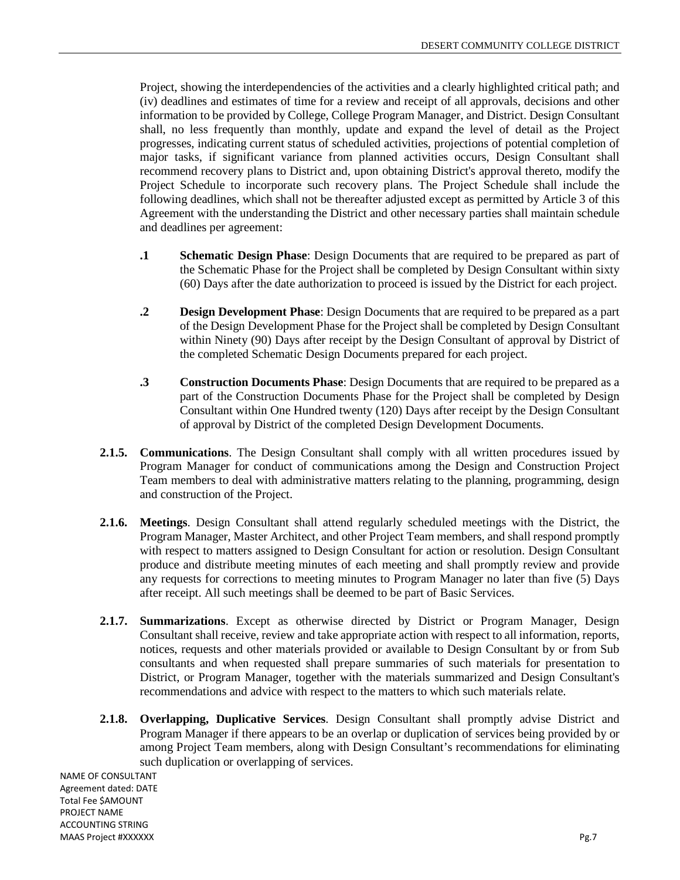Project, showing the interdependencies of the activities and a clearly highlighted critical path; and (iv) deadlines and estimates of time for a review and receipt of all approvals, decisions and other information to be provided by College, College Program Manager, and District. Design Consultant shall, no less frequently than monthly, update and expand the level of detail as the Project progresses, indicating current status of scheduled activities, projections of potential completion of major tasks, if significant variance from planned activities occurs, Design Consultant shall recommend recovery plans to District and, upon obtaining District's approval thereto, modify the Project Schedule to incorporate such recovery plans. The Project Schedule shall include the following deadlines, which shall not be thereafter adjusted except as permitted by Article 3 of this Agreement with the understanding the District and other necessary parties shall maintain schedule and deadlines per agreement:

- **.1 Schematic Design Phase**: Design Documents that are required to be prepared as part of the Schematic Phase for the Project shall be completed by Design Consultant within sixty (60) Days after the date authorization to proceed is issued by the District for each project.
- **.2 Design Development Phase**: Design Documents that are required to be prepared as a part of the Design Development Phase for the Project shall be completed by Design Consultant within Ninety (90) Days after receipt by the Design Consultant of approval by District of the completed Schematic Design Documents prepared for each project.
- **.3 Construction Documents Phase**: Design Documents that are required to be prepared as a part of the Construction Documents Phase for the Project shall be completed by Design Consultant within One Hundred twenty (120) Days after receipt by the Design Consultant of approval by District of the completed Design Development Documents.
- **2.1.5. Communications**. The Design Consultant shall comply with all written procedures issued by Program Manager for conduct of communications among the Design and Construction Project Team members to deal with administrative matters relating to the planning, programming, design and construction of the Project.
- **2.1.6. Meetings**. Design Consultant shall attend regularly scheduled meetings with the District, the Program Manager, Master Architect, and other Project Team members, and shall respond promptly with respect to matters assigned to Design Consultant for action or resolution. Design Consultant produce and distribute meeting minutes of each meeting and shall promptly review and provide any requests for corrections to meeting minutes to Program Manager no later than five (5) Days after receipt. All such meetings shall be deemed to be part of Basic Services.
- **2.1.7. Summarizations**. Except as otherwise directed by District or Program Manager, Design Consultant shall receive, review and take appropriate action with respect to all information, reports, notices, requests and other materials provided or available to Design Consultant by or from Sub consultants and when requested shall prepare summaries of such materials for presentation to District, or Program Manager, together with the materials summarized and Design Consultant's recommendations and advice with respect to the matters to which such materials relate.
- **2.1.8. Overlapping, Duplicative Services**. Design Consultant shall promptly advise District and Program Manager if there appears to be an overlap or duplication of services being provided by or among Project Team members, along with Design Consultant's recommendations for eliminating such duplication or overlapping of services.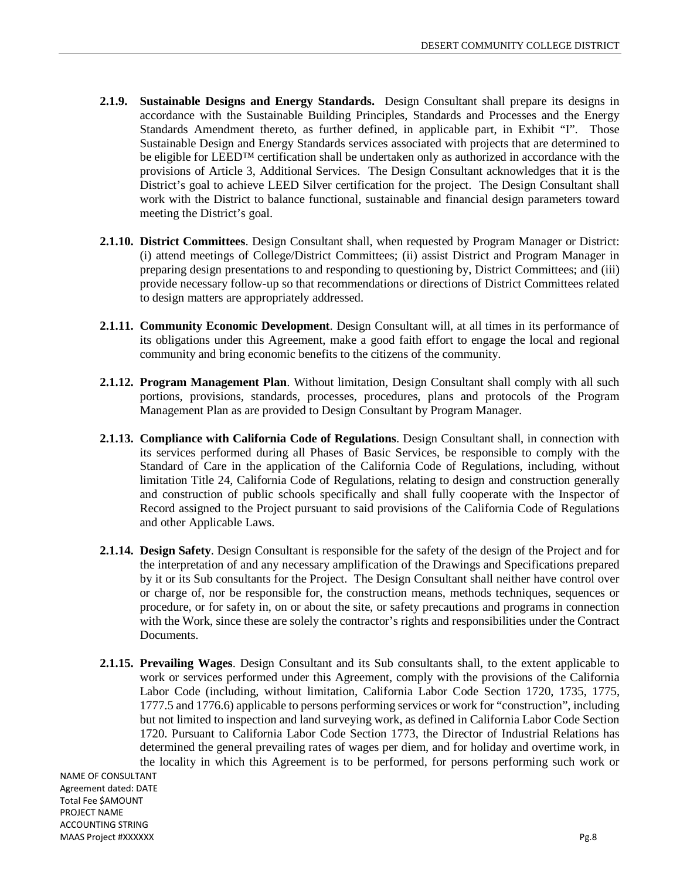- **2.1.9. Sustainable Designs and Energy Standards.** Design Consultant shall prepare its designs in accordance with the Sustainable Building Principles, Standards and Processes and the Energy Standards Amendment thereto, as further defined, in applicable part, in Exhibit "I". Those Sustainable Design and Energy Standards services associated with projects that are determined to be eligible for LEED™ certification shall be undertaken only as authorized in accordance with the provisions of Article 3, Additional Services. The Design Consultant acknowledges that it is the District's goal to achieve LEED Silver certification for the project. The Design Consultant shall work with the District to balance functional, sustainable and financial design parameters toward meeting the District's goal.
- **2.1.10. District Committees**. Design Consultant shall, when requested by Program Manager or District: (i) attend meetings of College/District Committees; (ii) assist District and Program Manager in preparing design presentations to and responding to questioning by, District Committees; and (iii) provide necessary follow-up so that recommendations or directions of District Committees related to design matters are appropriately addressed.
- **2.1.11. Community Economic Development**. Design Consultant will, at all times in its performance of its obligations under this Agreement, make a good faith effort to engage the local and regional community and bring economic benefits to the citizens of the community.
- **2.1.12. Program Management Plan**. Without limitation, Design Consultant shall comply with all such portions, provisions, standards, processes, procedures, plans and protocols of the Program Management Plan as are provided to Design Consultant by Program Manager.
- **2.1.13. Compliance with California Code of Regulations**. Design Consultant shall, in connection with its services performed during all Phases of Basic Services, be responsible to comply with the Standard of Care in the application of the California Code of Regulations, including, without limitation Title 24, California Code of Regulations, relating to design and construction generally and construction of public schools specifically and shall fully cooperate with the Inspector of Record assigned to the Project pursuant to said provisions of the California Code of Regulations and other Applicable Laws.
- **2.1.14. Design Safety**. Design Consultant is responsible for the safety of the design of the Project and for the interpretation of and any necessary amplification of the Drawings and Specifications prepared by it or its Sub consultants for the Project. The Design Consultant shall neither have control over or charge of, nor be responsible for, the construction means, methods techniques, sequences or procedure, or for safety in, on or about the site, or safety precautions and programs in connection with the Work, since these are solely the contractor's rights and responsibilities under the Contract Documents.
- **2.1.15. Prevailing Wages**. Design Consultant and its Sub consultants shall, to the extent applicable to work or services performed under this Agreement, comply with the provisions of the California Labor Code (including, without limitation, California Labor Code Section 1720, 1735, 1775, 1777.5 and 1776.6) applicable to persons performing services or work for "construction", including but not limited to inspection and land surveying work, as defined in California Labor Code Section 1720. Pursuant to California Labor Code Section 1773, the Director of Industrial Relations has determined the general prevailing rates of wages per diem, and for holiday and overtime work, in the locality in which this Agreement is to be performed, for persons performing such work or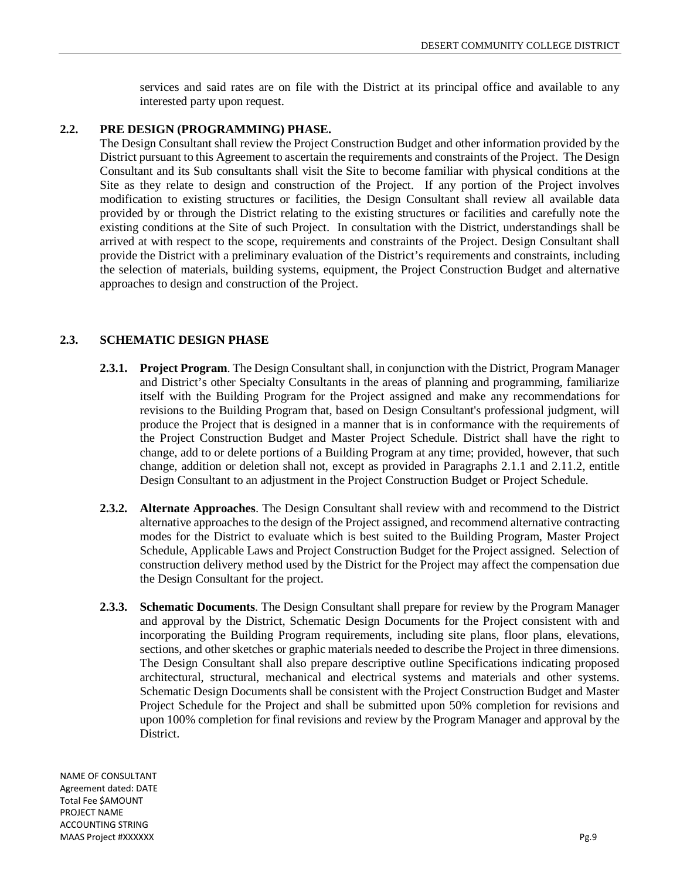services and said rates are on file with the District at its principal office and available to any interested party upon request.

## **2.2. PRE DESIGN (PROGRAMMING) PHASE.**

The Design Consultant shall review the Project Construction Budget and other information provided by the District pursuant to this Agreement to ascertain the requirements and constraints of the Project. The Design Consultant and its Sub consultants shall visit the Site to become familiar with physical conditions at the Site as they relate to design and construction of the Project. If any portion of the Project involves modification to existing structures or facilities, the Design Consultant shall review all available data provided by or through the District relating to the existing structures or facilities and carefully note the existing conditions at the Site of such Project. In consultation with the District, understandings shall be arrived at with respect to the scope, requirements and constraints of the Project. Design Consultant shall provide the District with a preliminary evaluation of the District's requirements and constraints, including the selection of materials, building systems, equipment, the Project Construction Budget and alternative approaches to design and construction of the Project.

## **2.3. SCHEMATIC DESIGN PHASE**

- **2.3.1. Project Program**. The Design Consultant shall, in conjunction with the District, Program Manager and District's other Specialty Consultants in the areas of planning and programming, familiarize itself with the Building Program for the Project assigned and make any recommendations for revisions to the Building Program that, based on Design Consultant's professional judgment, will produce the Project that is designed in a manner that is in conformance with the requirements of the Project Construction Budget and Master Project Schedule. District shall have the right to change, add to or delete portions of a Building Program at any time; provided, however, that such change, addition or deletion shall not, except as provided in Paragraphs 2.1.1 and 2.11.2, entitle Design Consultant to an adjustment in the Project Construction Budget or Project Schedule.
- **2.3.2. Alternate Approaches**. The Design Consultant shall review with and recommend to the District alternative approaches to the design of the Project assigned, and recommend alternative contracting modes for the District to evaluate which is best suited to the Building Program, Master Project Schedule, Applicable Laws and Project Construction Budget for the Project assigned. Selection of construction delivery method used by the District for the Project may affect the compensation due the Design Consultant for the project.
- **2.3.3. Schematic Documents**. The Design Consultant shall prepare for review by the Program Manager and approval by the District, Schematic Design Documents for the Project consistent with and incorporating the Building Program requirements, including site plans, floor plans, elevations, sections, and other sketches or graphic materials needed to describe the Project in three dimensions. The Design Consultant shall also prepare descriptive outline Specifications indicating proposed architectural, structural, mechanical and electrical systems and materials and other systems. Schematic Design Documents shall be consistent with the Project Construction Budget and Master Project Schedule for the Project and shall be submitted upon 50% completion for revisions and upon 100% completion for final revisions and review by the Program Manager and approval by the District.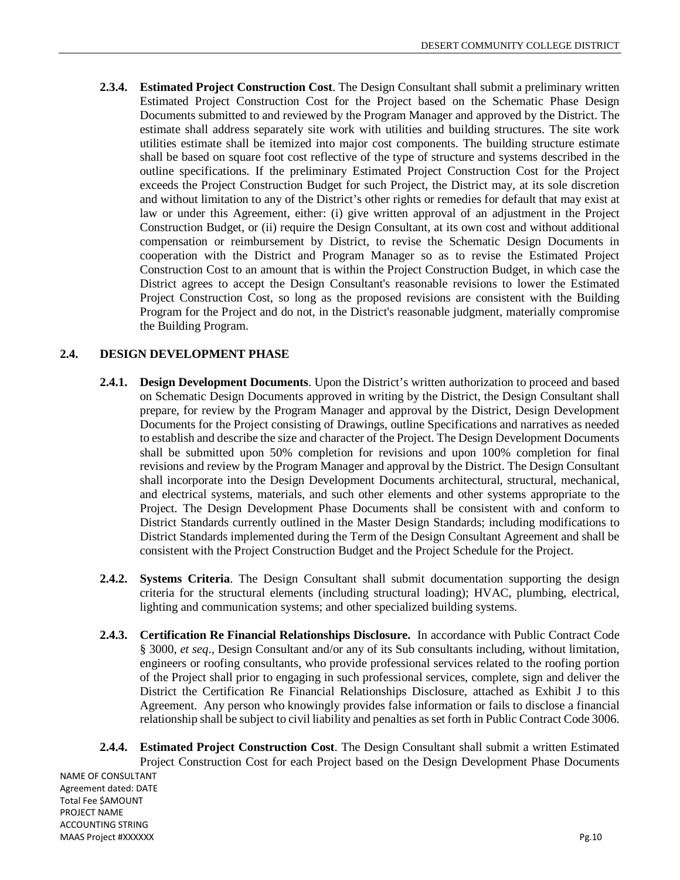**2.3.4. Estimated Project Construction Cost**. The Design Consultant shall submit a preliminary written Estimated Project Construction Cost for the Project based on the Schematic Phase Design Documents submitted to and reviewed by the Program Manager and approved by the District. The estimate shall address separately site work with utilities and building structures. The site work utilities estimate shall be itemized into major cost components. The building structure estimate shall be based on square foot cost reflective of the type of structure and systems described in the outline specifications. If the preliminary Estimated Project Construction Cost for the Project exceeds the Project Construction Budget for such Project, the District may, at its sole discretion and without limitation to any of the District's other rights or remedies for default that may exist at law or under this Agreement, either: (i) give written approval of an adjustment in the Project Construction Budget, or (ii) require the Design Consultant, at its own cost and without additional compensation or reimbursement by District, to revise the Schematic Design Documents in cooperation with the District and Program Manager so as to revise the Estimated Project Construction Cost to an amount that is within the Project Construction Budget, in which case the District agrees to accept the Design Consultant's reasonable revisions to lower the Estimated Project Construction Cost, so long as the proposed revisions are consistent with the Building Program for the Project and do not, in the District's reasonable judgment, materially compromise the Building Program.

## **2.4. DESIGN DEVELOPMENT PHASE**

- **2.4.1. Design Development Documents**. Upon the District's written authorization to proceed and based on Schematic Design Documents approved in writing by the District, the Design Consultant shall prepare, for review by the Program Manager and approval by the District, Design Development Documents for the Project consisting of Drawings, outline Specifications and narratives as needed to establish and describe the size and character of the Project. The Design Development Documents shall be submitted upon 50% completion for revisions and upon 100% completion for final revisions and review by the Program Manager and approval by the District. The Design Consultant shall incorporate into the Design Development Documents architectural, structural, mechanical, and electrical systems, materials, and such other elements and other systems appropriate to the Project. The Design Development Phase Documents shall be consistent with and conform to District Standards currently outlined in the Master Design Standards; including modifications to District Standards implemented during the Term of the Design Consultant Agreement and shall be consistent with the Project Construction Budget and the Project Schedule for the Project.
- **2.4.2. Systems Criteria**. The Design Consultant shall submit documentation supporting the design criteria for the structural elements (including structural loading); HVAC, plumbing, electrical, lighting and communication systems; and other specialized building systems.
- **2.4.3. Certification Re Financial Relationships Disclosure.** In accordance with Public Contract Code § 3000, *et seq*., Design Consultant and/or any of its Sub consultants including, without limitation, engineers or roofing consultants, who provide professional services related to the roofing portion of the Project shall prior to engaging in such professional services, complete, sign and deliver the District the Certification Re Financial Relationships Disclosure, attached as Exhibit J to this Agreement. Any person who knowingly provides false information or fails to disclose a financial relationship shall be subject to civil liability and penalties as set forth in Public Contract Code 3006.
- NAME OF CONSULTANT Agreement dated: DATE Total Fee \$AMOUNT PROJECT NAME ACCOUNTING STRING **2.4.4. Estimated Project Construction Cost**. The Design Consultant shall submit a written Estimated Project Construction Cost for each Project based on the Design Development Phase Documents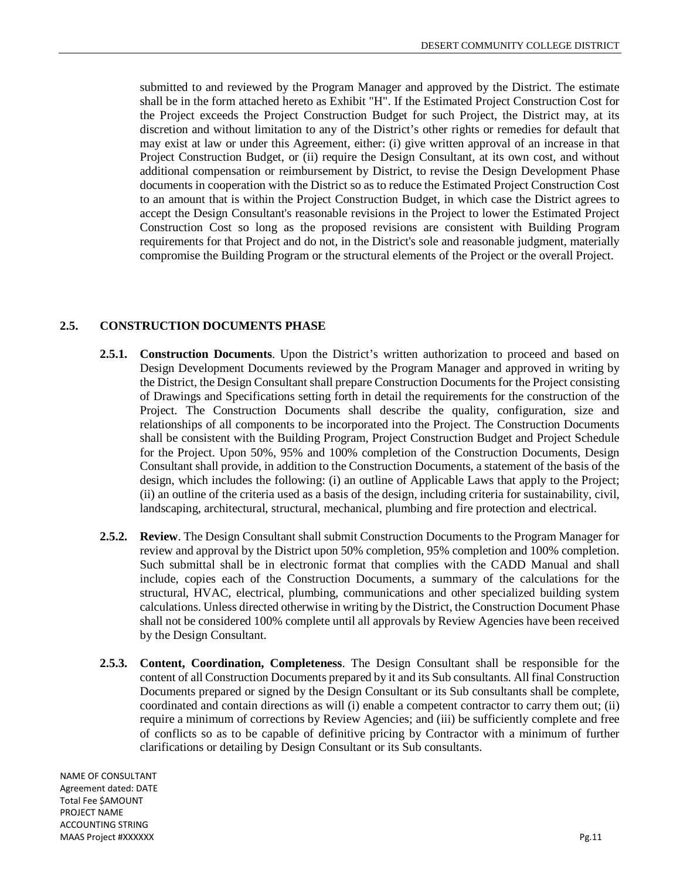submitted to and reviewed by the Program Manager and approved by the District. The estimate shall be in the form attached hereto as Exhibit "H". If the Estimated Project Construction Cost for the Project exceeds the Project Construction Budget for such Project, the District may, at its discretion and without limitation to any of the District's other rights or remedies for default that may exist at law or under this Agreement, either: (i) give written approval of an increase in that Project Construction Budget, or (ii) require the Design Consultant, at its own cost, and without additional compensation or reimbursement by District, to revise the Design Development Phase documents in cooperation with the District so as to reduce the Estimated Project Construction Cost to an amount that is within the Project Construction Budget, in which case the District agrees to accept the Design Consultant's reasonable revisions in the Project to lower the Estimated Project Construction Cost so long as the proposed revisions are consistent with Building Program requirements for that Project and do not, in the District's sole and reasonable judgment, materially compromise the Building Program or the structural elements of the Project or the overall Project.

#### **2.5. CONSTRUCTION DOCUMENTS PHASE**

- **2.5.1. Construction Documents**. Upon the District's written authorization to proceed and based on Design Development Documents reviewed by the Program Manager and approved in writing by the District, the Design Consultant shall prepare Construction Documents for the Project consisting of Drawings and Specifications setting forth in detail the requirements for the construction of the Project. The Construction Documents shall describe the quality, configuration, size and relationships of all components to be incorporated into the Project. The Construction Documents shall be consistent with the Building Program, Project Construction Budget and Project Schedule for the Project. Upon 50%, 95% and 100% completion of the Construction Documents, Design Consultant shall provide, in addition to the Construction Documents, a statement of the basis of the design, which includes the following: (i) an outline of Applicable Laws that apply to the Project; (ii) an outline of the criteria used as a basis of the design, including criteria for sustainability, civil, landscaping, architectural, structural, mechanical, plumbing and fire protection and electrical.
- **2.5.2. Review**. The Design Consultant shall submit Construction Documents to the Program Manager for review and approval by the District upon 50% completion, 95% completion and 100% completion. Such submittal shall be in electronic format that complies with the CADD Manual and shall include, copies each of the Construction Documents, a summary of the calculations for the structural, HVAC, electrical, plumbing, communications and other specialized building system calculations. Unless directed otherwise in writing by the District, the Construction Document Phase shall not be considered 100% complete until all approvals by Review Agencies have been received by the Design Consultant.
- **2.5.3. Content, Coordination, Completeness**. The Design Consultant shall be responsible for the content of all Construction Documents prepared by it and its Sub consultants. All final Construction Documents prepared or signed by the Design Consultant or its Sub consultants shall be complete, coordinated and contain directions as will (i) enable a competent contractor to carry them out; (ii) require a minimum of corrections by Review Agencies; and (iii) be sufficiently complete and free of conflicts so as to be capable of definitive pricing by Contractor with a minimum of further clarifications or detailing by Design Consultant or its Sub consultants.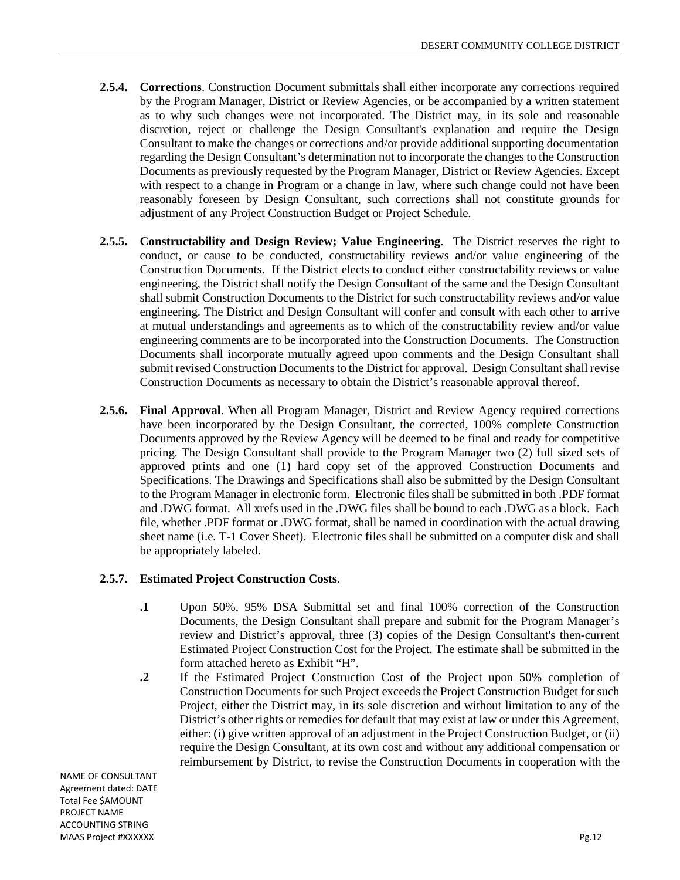- **2.5.4. Corrections**. Construction Document submittals shall either incorporate any corrections required by the Program Manager, District or Review Agencies, or be accompanied by a written statement as to why such changes were not incorporated. The District may, in its sole and reasonable discretion, reject or challenge the Design Consultant's explanation and require the Design Consultant to make the changes or corrections and/or provide additional supporting documentation regarding the Design Consultant's determination not to incorporate the changes to the Construction Documents as previously requested by the Program Manager, District or Review Agencies. Except with respect to a change in Program or a change in law, where such change could not have been reasonably foreseen by Design Consultant, such corrections shall not constitute grounds for adjustment of any Project Construction Budget or Project Schedule.
- **2.5.5. Constructability and Design Review; Value Engineering**. The District reserves the right to conduct, or cause to be conducted, constructability reviews and/or value engineering of the Construction Documents. If the District elects to conduct either constructability reviews or value engineering, the District shall notify the Design Consultant of the same and the Design Consultant shall submit Construction Documents to the District for such constructability reviews and/or value engineering. The District and Design Consultant will confer and consult with each other to arrive at mutual understandings and agreements as to which of the constructability review and/or value engineering comments are to be incorporated into the Construction Documents. The Construction Documents shall incorporate mutually agreed upon comments and the Design Consultant shall submit revised Construction Documents to the District for approval. Design Consultant shall revise Construction Documents as necessary to obtain the District's reasonable approval thereof.
- **2.5.6. Final Approval**. When all Program Manager, District and Review Agency required corrections have been incorporated by the Design Consultant, the corrected, 100% complete Construction Documents approved by the Review Agency will be deemed to be final and ready for competitive pricing. The Design Consultant shall provide to the Program Manager two (2) full sized sets of approved prints and one (1) hard copy set of the approved Construction Documents and Specifications. The Drawings and Specifications shall also be submitted by the Design Consultant to the Program Manager in electronic form. Electronic files shall be submitted in both .PDF format and .DWG format. All xrefs used in the .DWG files shall be bound to each .DWG as a block. Each file, whether .PDF format or .DWG format, shall be named in coordination with the actual drawing sheet name (i.e. T-1 Cover Sheet). Electronic files shall be submitted on a computer disk and shall be appropriately labeled.

## **2.5.7. Estimated Project Construction Costs**.

- **.1** Upon 50%, 95% DSA Submittal set and final 100% correction of the Construction Documents, the Design Consultant shall prepare and submit for the Program Manager's review and District's approval, three (3) copies of the Design Consultant's then-current Estimated Project Construction Cost for the Project. The estimate shall be submitted in the form attached hereto as Exhibit "H".
- **.2** If the Estimated Project Construction Cost of the Project upon 50% completion of Construction Documents for such Project exceeds the Project Construction Budget for such Project, either the District may, in its sole discretion and without limitation to any of the District's other rights or remedies for default that may exist at law or under this Agreement, either: (i) give written approval of an adjustment in the Project Construction Budget, or (ii) require the Design Consultant, at its own cost and without any additional compensation or reimbursement by District, to revise the Construction Documents in cooperation with the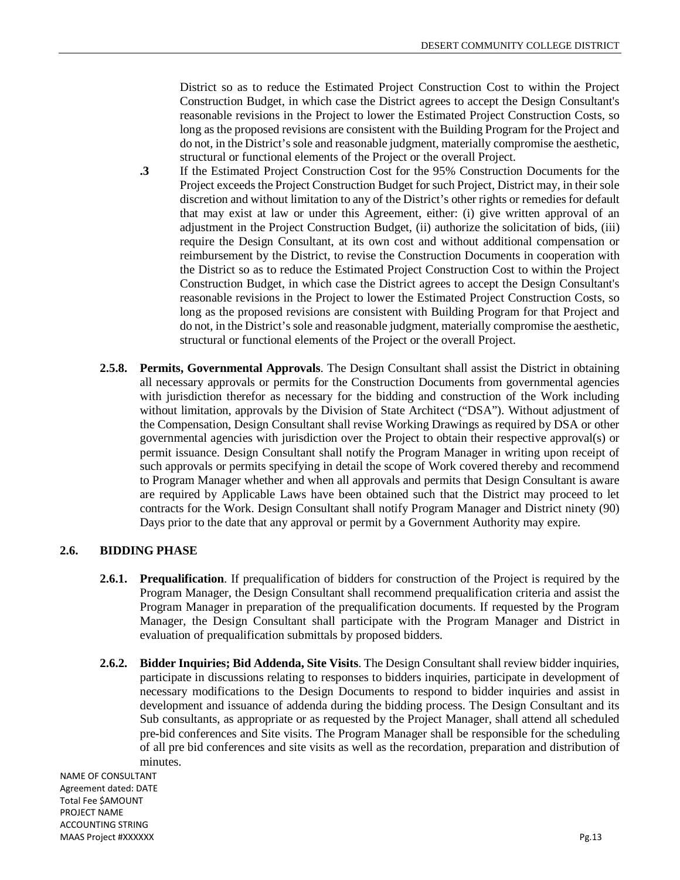District so as to reduce the Estimated Project Construction Cost to within the Project Construction Budget, in which case the District agrees to accept the Design Consultant's reasonable revisions in the Project to lower the Estimated Project Construction Costs, so long as the proposed revisions are consistent with the Building Program for the Project and do not, in the District's sole and reasonable judgment, materially compromise the aesthetic, structural or functional elements of the Project or the overall Project.

- **.3** If the Estimated Project Construction Cost for the 95% Construction Documents for the Project exceeds the Project Construction Budget for such Project, District may, in their sole discretion and without limitation to any of the District's other rights or remedies for default that may exist at law or under this Agreement, either: (i) give written approval of an adjustment in the Project Construction Budget, (ii) authorize the solicitation of bids, (iii) require the Design Consultant, at its own cost and without additional compensation or reimbursement by the District, to revise the Construction Documents in cooperation with the District so as to reduce the Estimated Project Construction Cost to within the Project Construction Budget, in which case the District agrees to accept the Design Consultant's reasonable revisions in the Project to lower the Estimated Project Construction Costs, so long as the proposed revisions are consistent with Building Program for that Project and do not, in the District's sole and reasonable judgment, materially compromise the aesthetic, structural or functional elements of the Project or the overall Project.
- **2.5.8. Permits, Governmental Approvals**. The Design Consultant shall assist the District in obtaining all necessary approvals or permits for the Construction Documents from governmental agencies with jurisdiction therefor as necessary for the bidding and construction of the Work including without limitation, approvals by the Division of State Architect ("DSA"). Without adjustment of the Compensation, Design Consultant shall revise Working Drawings as required by DSA or other governmental agencies with jurisdiction over the Project to obtain their respective approval(s) or permit issuance. Design Consultant shall notify the Program Manager in writing upon receipt of such approvals or permits specifying in detail the scope of Work covered thereby and recommend to Program Manager whether and when all approvals and permits that Design Consultant is aware are required by Applicable Laws have been obtained such that the District may proceed to let contracts for the Work. Design Consultant shall notify Program Manager and District ninety (90) Days prior to the date that any approval or permit by a Government Authority may expire.

## **2.6. BIDDING PHASE**

- **2.6.1. Prequalification**. If prequalification of bidders for construction of the Project is required by the Program Manager, the Design Consultant shall recommend prequalification criteria and assist the Program Manager in preparation of the prequalification documents. If requested by the Program Manager, the Design Consultant shall participate with the Program Manager and District in evaluation of prequalification submittals by proposed bidders.
- **2.6.2. Bidder Inquiries; Bid Addenda, Site Visits**. The Design Consultant shall review bidder inquiries, participate in discussions relating to responses to bidders inquiries, participate in development of necessary modifications to the Design Documents to respond to bidder inquiries and assist in development and issuance of addenda during the bidding process. The Design Consultant and its Sub consultants, as appropriate or as requested by the Project Manager, shall attend all scheduled pre-bid conferences and Site visits. The Program Manager shall be responsible for the scheduling of all pre bid conferences and site visits as well as the recordation, preparation and distribution of minutes.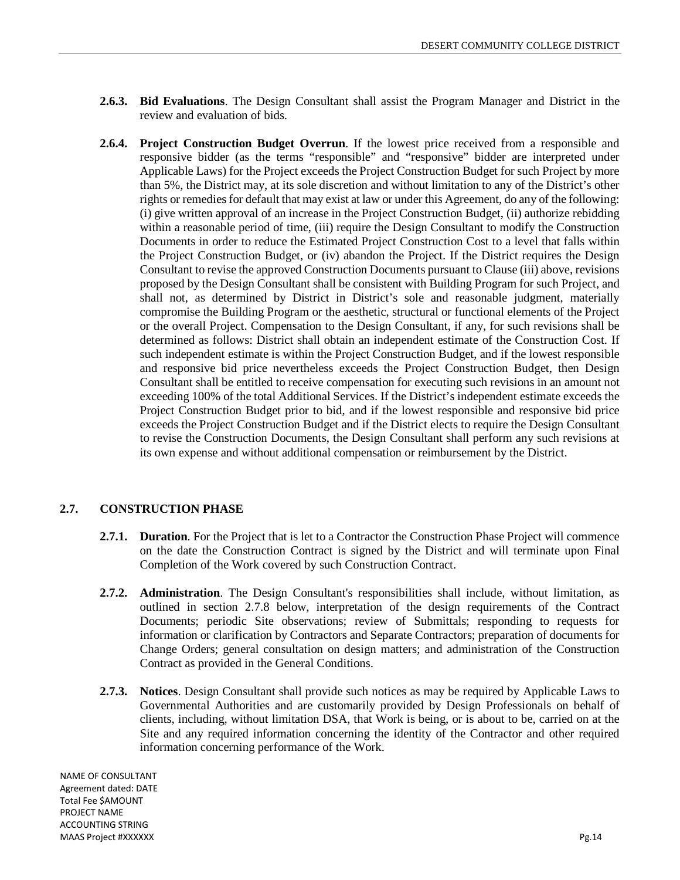- **2.6.3. Bid Evaluations**. The Design Consultant shall assist the Program Manager and District in the review and evaluation of bids.
- **2.6.4. Project Construction Budget Overrun**. If the lowest price received from a responsible and responsive bidder (as the terms "responsible" and "responsive" bidder are interpreted under Applicable Laws) for the Project exceeds the Project Construction Budget for such Project by more than 5%, the District may, at its sole discretion and without limitation to any of the District's other rights or remedies for default that may exist at law or under this Agreement, do any of the following: (i) give written approval of an increase in the Project Construction Budget, (ii) authorize rebidding within a reasonable period of time, (iii) require the Design Consultant to modify the Construction Documents in order to reduce the Estimated Project Construction Cost to a level that falls within the Project Construction Budget, or (iv) abandon the Project. If the District requires the Design Consultant to revise the approved Construction Documents pursuant to Clause (iii) above, revisions proposed by the Design Consultant shall be consistent with Building Program for such Project, and shall not, as determined by District in District's sole and reasonable judgment, materially compromise the Building Program or the aesthetic, structural or functional elements of the Project or the overall Project. Compensation to the Design Consultant, if any, for such revisions shall be determined as follows: District shall obtain an independent estimate of the Construction Cost. If such independent estimate is within the Project Construction Budget, and if the lowest responsible and responsive bid price nevertheless exceeds the Project Construction Budget, then Design Consultant shall be entitled to receive compensation for executing such revisions in an amount not exceeding 100% of the total Additional Services. If the District's independent estimate exceeds the Project Construction Budget prior to bid, and if the lowest responsible and responsive bid price exceeds the Project Construction Budget and if the District elects to require the Design Consultant to revise the Construction Documents, the Design Consultant shall perform any such revisions at its own expense and without additional compensation or reimbursement by the District.

## **2.7. CONSTRUCTION PHASE**

- **2.7.1. Duration**. For the Project that is let to a Contractor the Construction Phase Project will commence on the date the Construction Contract is signed by the District and will terminate upon Final Completion of the Work covered by such Construction Contract.
- **2.7.2. Administration**. The Design Consultant's responsibilities shall include, without limitation, as outlined in section 2.7.8 below, interpretation of the design requirements of the Contract Documents; periodic Site observations; review of Submittals; responding to requests for information or clarification by Contractors and Separate Contractors; preparation of documents for Change Orders; general consultation on design matters; and administration of the Construction Contract as provided in the General Conditions.
- **2.7.3. Notices**. Design Consultant shall provide such notices as may be required by Applicable Laws to Governmental Authorities and are customarily provided by Design Professionals on behalf of clients, including, without limitation DSA, that Work is being, or is about to be, carried on at the Site and any required information concerning the identity of the Contractor and other required information concerning performance of the Work.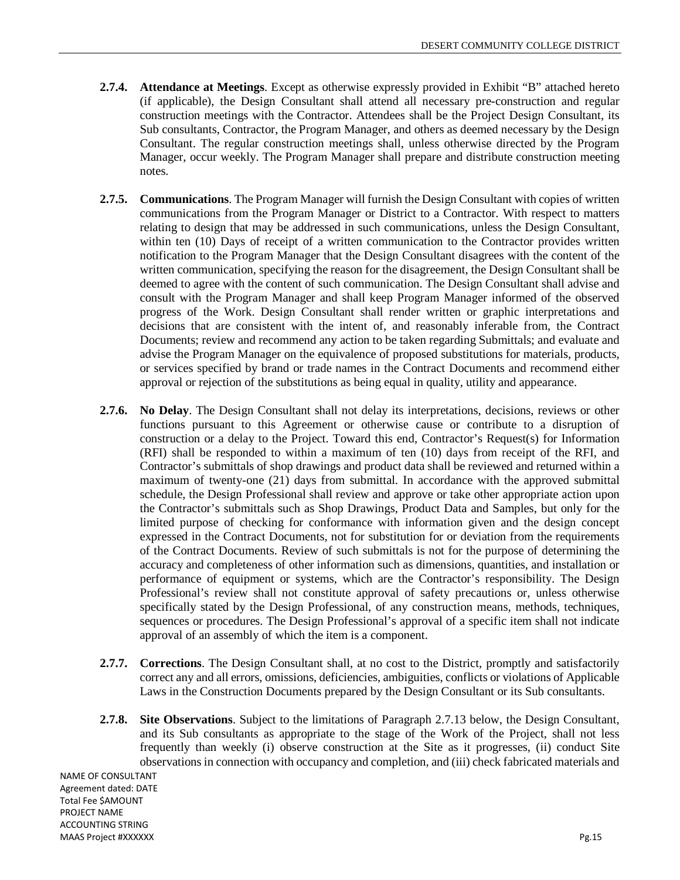- **2.7.4. Attendance at Meetings**. Except as otherwise expressly provided in Exhibit "B" attached hereto (if applicable), the Design Consultant shall attend all necessary pre-construction and regular construction meetings with the Contractor. Attendees shall be the Project Design Consultant, its Sub consultants, Contractor, the Program Manager, and others as deemed necessary by the Design Consultant. The regular construction meetings shall, unless otherwise directed by the Program Manager, occur weekly. The Program Manager shall prepare and distribute construction meeting notes.
- **2.7.5. Communications**. The Program Manager will furnish the Design Consultant with copies of written communications from the Program Manager or District to a Contractor. With respect to matters relating to design that may be addressed in such communications, unless the Design Consultant, within ten (10) Days of receipt of a written communication to the Contractor provides written notification to the Program Manager that the Design Consultant disagrees with the content of the written communication, specifying the reason for the disagreement, the Design Consultant shall be deemed to agree with the content of such communication. The Design Consultant shall advise and consult with the Program Manager and shall keep Program Manager informed of the observed progress of the Work. Design Consultant shall render written or graphic interpretations and decisions that are consistent with the intent of, and reasonably inferable from, the Contract Documents; review and recommend any action to be taken regarding Submittals; and evaluate and advise the Program Manager on the equivalence of proposed substitutions for materials, products, or services specified by brand or trade names in the Contract Documents and recommend either approval or rejection of the substitutions as being equal in quality, utility and appearance.
- **2.7.6. No Delay**. The Design Consultant shall not delay its interpretations, decisions, reviews or other functions pursuant to this Agreement or otherwise cause or contribute to a disruption of construction or a delay to the Project. Toward this end, Contractor's Request(s) for Information (RFI) shall be responded to within a maximum of ten (10) days from receipt of the RFI, and Contractor's submittals of shop drawings and product data shall be reviewed and returned within a maximum of twenty-one (21) days from submittal. In accordance with the approved submittal schedule, the Design Professional shall review and approve or take other appropriate action upon the Contractor's submittals such as Shop Drawings, Product Data and Samples, but only for the limited purpose of checking for conformance with information given and the design concept expressed in the Contract Documents, not for substitution for or deviation from the requirements of the Contract Documents. Review of such submittals is not for the purpose of determining the accuracy and completeness of other information such as dimensions, quantities, and installation or performance of equipment or systems, which are the Contractor's responsibility. The Design Professional's review shall not constitute approval of safety precautions or, unless otherwise specifically stated by the Design Professional, of any construction means, methods, techniques, sequences or procedures. The Design Professional's approval of a specific item shall not indicate approval of an assembly of which the item is a component.
- **2.7.7. Corrections**. The Design Consultant shall, at no cost to the District, promptly and satisfactorily correct any and all errors, omissions, deficiencies, ambiguities, conflicts or violations of Applicable Laws in the Construction Documents prepared by the Design Consultant or its Sub consultants.
- **2.7.8. Site Observations**. Subject to the limitations of Paragraph 2.7.13 below, the Design Consultant, and its Sub consultants as appropriate to the stage of the Work of the Project, shall not less frequently than weekly (i) observe construction at the Site as it progresses, (ii) conduct Site observations in connection with occupancy and completion, and (iii) check fabricated materials and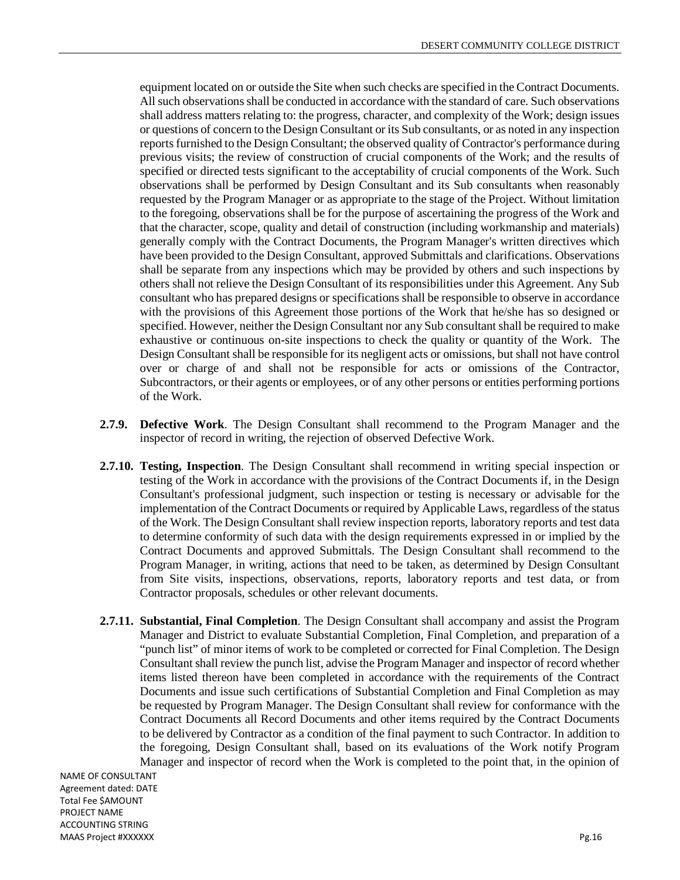equipment located on or outside the Site when such checks are specified in the Contract Documents. All such observations shall be conducted in accordance with the standard of care. Such observations shall address matters relating to: the progress, character, and complexity of the Work; design issues or questions of concern to the Design Consultant or its Sub consultants, or as noted in any inspection reports furnished to the Design Consultant; the observed quality of Contractor's performance during previous visits; the review of construction of crucial components of the Work; and the results of specified or directed tests significant to the acceptability of crucial components of the Work. Such observations shall be performed by Design Consultant and its Sub consultants when reasonably requested by the Program Manager or as appropriate to the stage of the Project. Without limitation to the foregoing, observations shall be for the purpose of ascertaining the progress of the Work and that the character, scope, quality and detail of construction (including workmanship and materials) generally comply with the Contract Documents, the Program Manager's written directives which have been provided to the Design Consultant, approved Submittals and clarifications. Observations shall be separate from any inspections which may be provided by others and such inspections by others shall not relieve the Design Consultant of its responsibilities under this Agreement. Any Sub consultant who has prepared designs or specifications shall be responsible to observe in accordance with the provisions of this Agreement those portions of the Work that he/she has so designed or specified. However, neither the Design Consultant nor any Sub consultant shall be required to make exhaustive or continuous on-site inspections to check the quality or quantity of the Work. The Design Consultant shall be responsible for its negligent acts or omissions, but shall not have control over or charge of and shall not be responsible for acts or omissions of the Contractor, Subcontractors, or their agents or employees, or of any other persons or entities performing portions of the Work.

- **2.7.9. Defective Work**. The Design Consultant shall recommend to the Program Manager and the inspector of record in writing, the rejection of observed Defective Work.
- **2.7.10. Testing, Inspection**. The Design Consultant shall recommend in writing special inspection or testing of the Work in accordance with the provisions of the Contract Documents if, in the Design Consultant's professional judgment, such inspection or testing is necessary or advisable for the implementation of the Contract Documents or required by Applicable Laws, regardless of the status of the Work. The Design Consultant shall review inspection reports, laboratory reports and test data to determine conformity of such data with the design requirements expressed in or implied by the Contract Documents and approved Submittals. The Design Consultant shall recommend to the Program Manager, in writing, actions that need to be taken, as determined by Design Consultant from Site visits, inspections, observations, reports, laboratory reports and test data, or from Contractor proposals, schedules or other relevant documents.
- **2.7.11. Substantial, Final Completion**. The Design Consultant shall accompany and assist the Program Manager and District to evaluate Substantial Completion, Final Completion, and preparation of a "punch list" of minor items of work to be completed or corrected for Final Completion. The Design Consultant shall review the punch list, advise the Program Manager and inspector of record whether items listed thereon have been completed in accordance with the requirements of the Contract Documents and issue such certifications of Substantial Completion and Final Completion as may be requested by Program Manager. The Design Consultant shall review for conformance with the Contract Documents all Record Documents and other items required by the Contract Documents to be delivered by Contractor as a condition of the final payment to such Contractor. In addition to the foregoing, Design Consultant shall, based on its evaluations of the Work notify Program Manager and inspector of record when the Work is completed to the point that, in the opinion of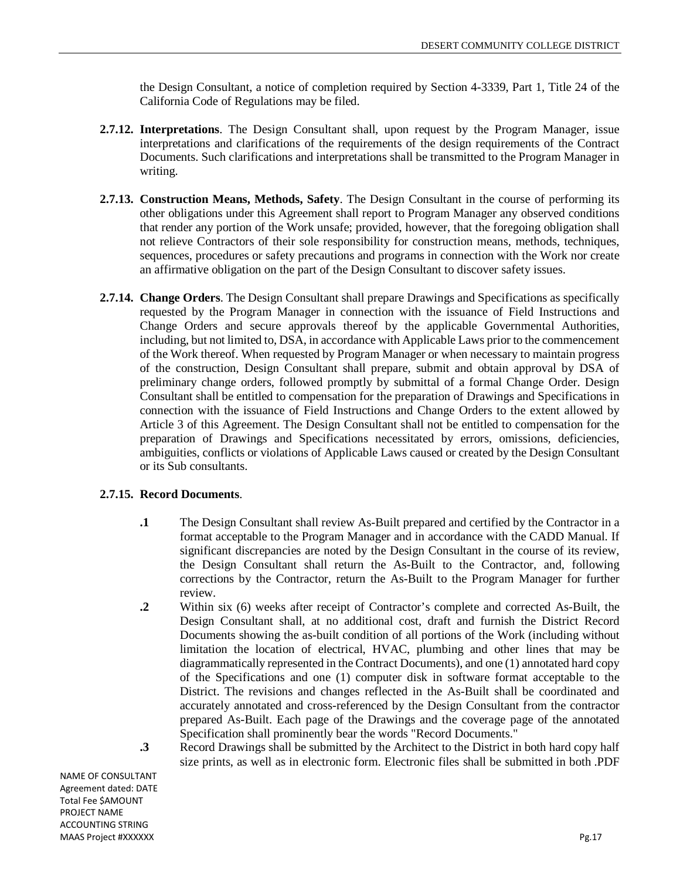the Design Consultant, a notice of completion required by Section 4-3339, Part 1, Title 24 of the California Code of Regulations may be filed.

- **2.7.12. Interpretations**. The Design Consultant shall, upon request by the Program Manager, issue interpretations and clarifications of the requirements of the design requirements of the Contract Documents. Such clarifications and interpretations shall be transmitted to the Program Manager in writing.
- **2.7.13. Construction Means, Methods, Safety**. The Design Consultant in the course of performing its other obligations under this Agreement shall report to Program Manager any observed conditions that render any portion of the Work unsafe; provided, however, that the foregoing obligation shall not relieve Contractors of their sole responsibility for construction means, methods, techniques, sequences, procedures or safety precautions and programs in connection with the Work nor create an affirmative obligation on the part of the Design Consultant to discover safety issues.
- **2.7.14. Change Orders**. The Design Consultant shall prepare Drawings and Specifications as specifically requested by the Program Manager in connection with the issuance of Field Instructions and Change Orders and secure approvals thereof by the applicable Governmental Authorities, including, but not limited to, DSA, in accordance with Applicable Laws prior to the commencement of the Work thereof. When requested by Program Manager or when necessary to maintain progress of the construction, Design Consultant shall prepare, submit and obtain approval by DSA of preliminary change orders, followed promptly by submittal of a formal Change Order. Design Consultant shall be entitled to compensation for the preparation of Drawings and Specifications in connection with the issuance of Field Instructions and Change Orders to the extent allowed by Article 3 of this Agreement. The Design Consultant shall not be entitled to compensation for the preparation of Drawings and Specifications necessitated by errors, omissions, deficiencies, ambiguities, conflicts or violations of Applicable Laws caused or created by the Design Consultant or its Sub consultants.

#### **2.7.15. Record Documents**.

- **.1** The Design Consultant shall review As-Built prepared and certified by the Contractor in a format acceptable to the Program Manager and in accordance with the CADD Manual. If significant discrepancies are noted by the Design Consultant in the course of its review, the Design Consultant shall return the As-Built to the Contractor, and, following corrections by the Contractor, return the As-Built to the Program Manager for further review.
- **.2** Within six (6) weeks after receipt of Contractor's complete and corrected As-Built, the Design Consultant shall, at no additional cost, draft and furnish the District Record Documents showing the as-built condition of all portions of the Work (including without limitation the location of electrical, HVAC, plumbing and other lines that may be diagrammatically represented in the Contract Documents), and one (1) annotated hard copy of the Specifications and one (1) computer disk in software format acceptable to the District. The revisions and changes reflected in the As-Built shall be coordinated and accurately annotated and cross-referenced by the Design Consultant from the contractor prepared As-Built. Each page of the Drawings and the coverage page of the annotated Specification shall prominently bear the words "Record Documents."
- **.3** Record Drawings shall be submitted by the Architect to the District in both hard copy half size prints, as well as in electronic form. Electronic files shall be submitted in both .PDF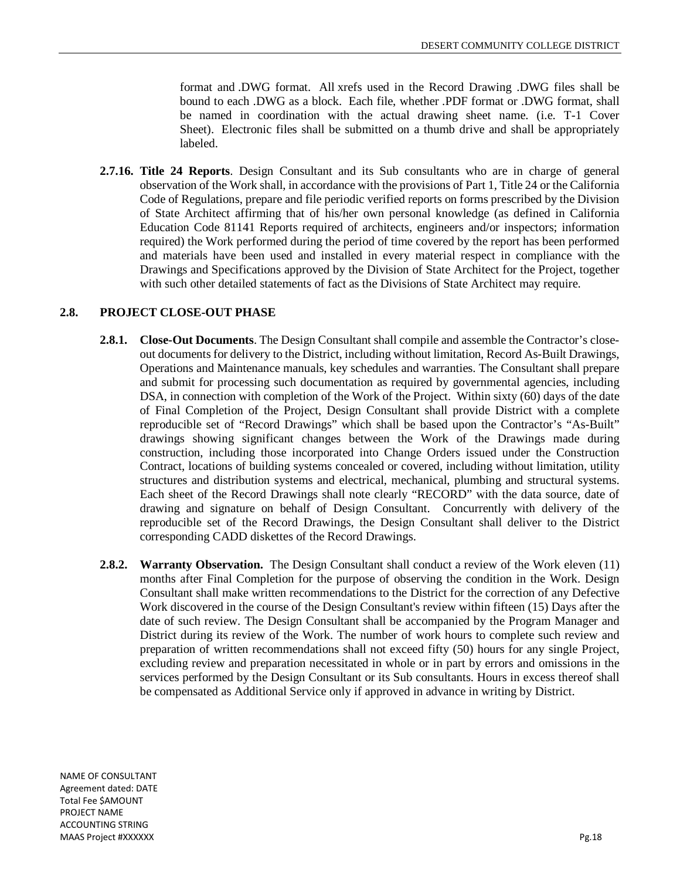format and .DWG format. All xrefs used in the Record Drawing .DWG files shall be bound to each .DWG as a block. Each file, whether .PDF format or .DWG format, shall be named in coordination with the actual drawing sheet name. (i.e. T-1 Cover Sheet). Electronic files shall be submitted on a thumb drive and shall be appropriately labeled.

**2.7.16. Title 24 Reports**. Design Consultant and its Sub consultants who are in charge of general observation of the Work shall, in accordance with the provisions of Part 1, Title 24 or the California Code of Regulations, prepare and file periodic verified reports on forms prescribed by the Division of State Architect affirming that of his/her own personal knowledge (as defined in California Education Code 81141 Reports required of architects, engineers and/or inspectors; information required) the Work performed during the period of time covered by the report has been performed and materials have been used and installed in every material respect in compliance with the Drawings and Specifications approved by the Division of State Architect for the Project, together with such other detailed statements of fact as the Divisions of State Architect may require.

## **2.8. PROJECT CLOSE-OUT PHASE**

- **2.8.1. Close-Out Documents**. The Design Consultant shall compile and assemble the Contractor's closeout documents for delivery to the District, including without limitation, Record As-Built Drawings, Operations and Maintenance manuals, key schedules and warranties. The Consultant shall prepare and submit for processing such documentation as required by governmental agencies, including DSA, in connection with completion of the Work of the Project. Within sixty (60) days of the date of Final Completion of the Project, Design Consultant shall provide District with a complete reproducible set of "Record Drawings" which shall be based upon the Contractor's "As-Built" drawings showing significant changes between the Work of the Drawings made during construction, including those incorporated into Change Orders issued under the Construction Contract, locations of building systems concealed or covered, including without limitation, utility structures and distribution systems and electrical, mechanical, plumbing and structural systems. Each sheet of the Record Drawings shall note clearly "RECORD" with the data source, date of drawing and signature on behalf of Design Consultant. Concurrently with delivery of the reproducible set of the Record Drawings, the Design Consultant shall deliver to the District corresponding CADD diskettes of the Record Drawings.
- **2.8.2. Warranty Observation.** The Design Consultant shall conduct a review of the Work eleven (11) months after Final Completion for the purpose of observing the condition in the Work. Design Consultant shall make written recommendations to the District for the correction of any Defective Work discovered in the course of the Design Consultant's review within fifteen (15) Days after the date of such review. The Design Consultant shall be accompanied by the Program Manager and District during its review of the Work. The number of work hours to complete such review and preparation of written recommendations shall not exceed fifty (50) hours for any single Project, excluding review and preparation necessitated in whole or in part by errors and omissions in the services performed by the Design Consultant or its Sub consultants. Hours in excess thereof shall be compensated as Additional Service only if approved in advance in writing by District.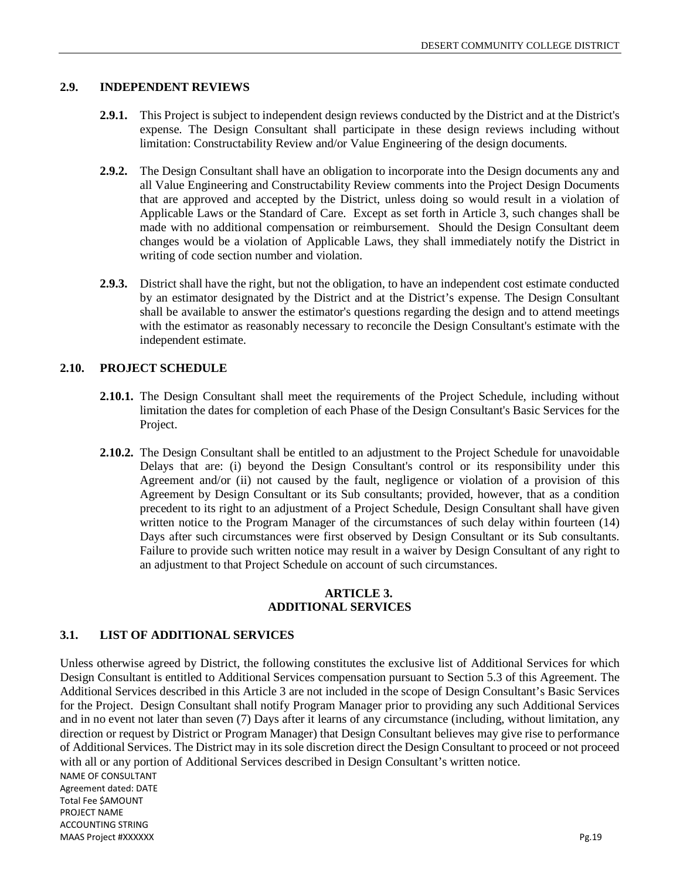#### **2.9. INDEPENDENT REVIEWS**

- **2.9.1.** This Project is subject to independent design reviews conducted by the District and at the District's expense. The Design Consultant shall participate in these design reviews including without limitation: Constructability Review and/or Value Engineering of the design documents.
- **2.9.2.** The Design Consultant shall have an obligation to incorporate into the Design documents any and all Value Engineering and Constructability Review comments into the Project Design Documents that are approved and accepted by the District, unless doing so would result in a violation of Applicable Laws or the Standard of Care. Except as set forth in Article 3, such changes shall be made with no additional compensation or reimbursement. Should the Design Consultant deem changes would be a violation of Applicable Laws, they shall immediately notify the District in writing of code section number and violation.
- **2.9.3.** District shall have the right, but not the obligation, to have an independent cost estimate conducted by an estimator designated by the District and at the District's expense. The Design Consultant shall be available to answer the estimator's questions regarding the design and to attend meetings with the estimator as reasonably necessary to reconcile the Design Consultant's estimate with the independent estimate.

#### **2.10. PROJECT SCHEDULE**

- **2.10.1.** The Design Consultant shall meet the requirements of the Project Schedule, including without limitation the dates for completion of each Phase of the Design Consultant's Basic Services for the Project.
- **2.10.2.** The Design Consultant shall be entitled to an adjustment to the Project Schedule for unavoidable Delays that are: (i) beyond the Design Consultant's control or its responsibility under this Agreement and/or (ii) not caused by the fault, negligence or violation of a provision of this Agreement by Design Consultant or its Sub consultants; provided, however, that as a condition precedent to its right to an adjustment of a Project Schedule, Design Consultant shall have given written notice to the Program Manager of the circumstances of such delay within fourteen (14) Days after such circumstances were first observed by Design Consultant or its Sub consultants. Failure to provide such written notice may result in a waiver by Design Consultant of any right to an adjustment to that Project Schedule on account of such circumstances.

#### **ARTICLE 3. ADDITIONAL SERVICES**

#### **3.1. LIST OF ADDITIONAL SERVICES**

Unless otherwise agreed by District, the following constitutes the exclusive list of Additional Services for which Design Consultant is entitled to Additional Services compensation pursuant to Section 5.3 of this Agreement. The Additional Services described in this Article 3 are not included in the scope of Design Consultant's Basic Services for the Project. Design Consultant shall notify Program Manager prior to providing any such Additional Services and in no event not later than seven (7) Days after it learns of any circumstance (including, without limitation, any direction or request by District or Program Manager) that Design Consultant believes may give rise to performance of Additional Services. The District may in its sole discretion direct the Design Consultant to proceed or not proceed with all or any portion of Additional Services described in Design Consultant's written notice.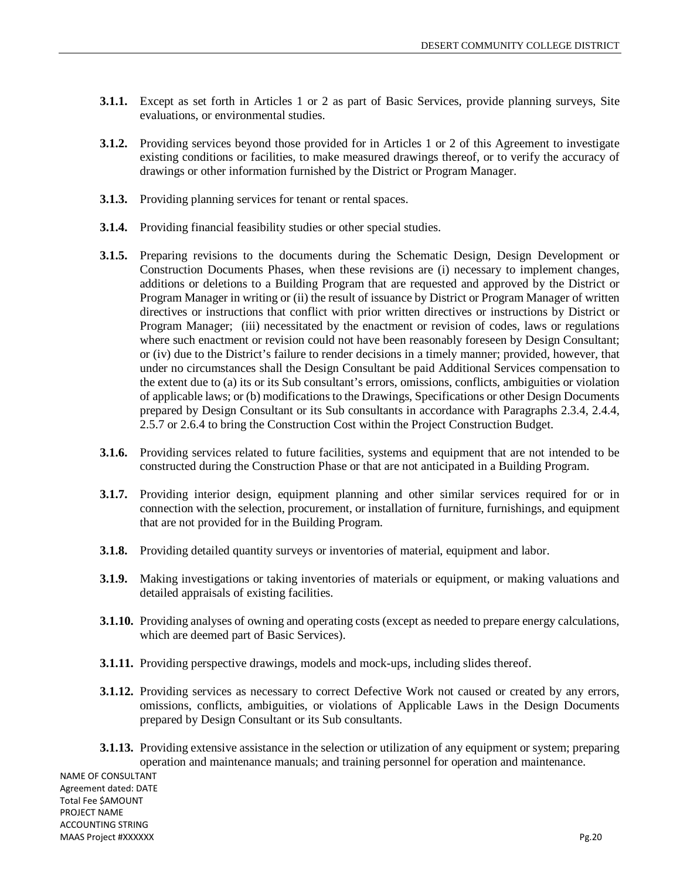- **3.1.1.** Except as set forth in Articles 1 or 2 as part of Basic Services, provide planning surveys, Site evaluations, or environmental studies.
- **3.1.2.** Providing services beyond those provided for in Articles 1 or 2 of this Agreement to investigate existing conditions or facilities, to make measured drawings thereof, or to verify the accuracy of drawings or other information furnished by the District or Program Manager.
- **3.1.3.** Providing planning services for tenant or rental spaces.
- **3.1.4.** Providing financial feasibility studies or other special studies.
- **3.1.5.** Preparing revisions to the documents during the Schematic Design, Design Development or Construction Documents Phases, when these revisions are (i) necessary to implement changes, additions or deletions to a Building Program that are requested and approved by the District or Program Manager in writing or (ii) the result of issuance by District or Program Manager of written directives or instructions that conflict with prior written directives or instructions by District or Program Manager; (iii) necessitated by the enactment or revision of codes, laws or regulations where such enactment or revision could not have been reasonably foreseen by Design Consultant; or (iv) due to the District's failure to render decisions in a timely manner; provided, however, that under no circumstances shall the Design Consultant be paid Additional Services compensation to the extent due to (a) its or its Sub consultant's errors, omissions, conflicts, ambiguities or violation of applicable laws; or (b) modifications to the Drawings, Specifications or other Design Documents prepared by Design Consultant or its Sub consultants in accordance with Paragraphs 2.3.4, 2.4.4, 2.5.7 or 2.6.4 to bring the Construction Cost within the Project Construction Budget.
- **3.1.6.** Providing services related to future facilities, systems and equipment that are not intended to be constructed during the Construction Phase or that are not anticipated in a Building Program.
- **3.1.7.** Providing interior design, equipment planning and other similar services required for or in connection with the selection, procurement, or installation of furniture, furnishings, and equipment that are not provided for in the Building Program.
- **3.1.8.** Providing detailed quantity surveys or inventories of material, equipment and labor.
- **3.1.9.** Making investigations or taking inventories of materials or equipment, or making valuations and detailed appraisals of existing facilities.
- **3.1.10.** Providing analyses of owning and operating costs (except as needed to prepare energy calculations, which are deemed part of Basic Services).
- **3.1.11.** Providing perspective drawings, models and mock-ups, including slides thereof.
- **3.1.12.** Providing services as necessary to correct Defective Work not caused or created by any errors, omissions, conflicts, ambiguities, or violations of Applicable Laws in the Design Documents prepared by Design Consultant or its Sub consultants.
- **3.1.13.** Providing extensive assistance in the selection or utilization of any equipment or system; preparing operation and maintenance manuals; and training personnel for operation and maintenance.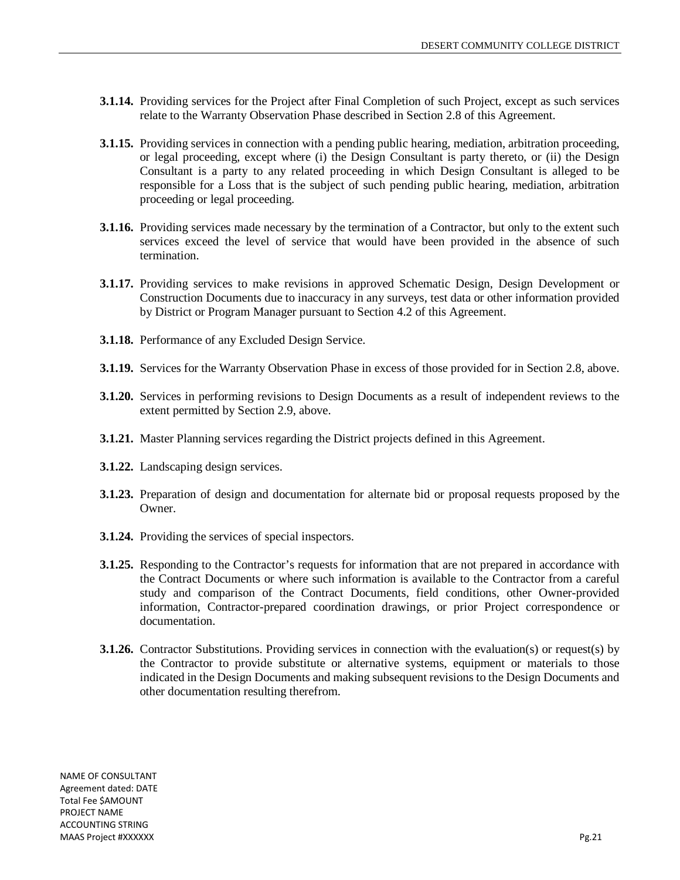- **3.1.14.** Providing services for the Project after Final Completion of such Project, except as such services relate to the Warranty Observation Phase described in Section 2.8 of this Agreement.
- **3.1.15.** Providing services in connection with a pending public hearing, mediation, arbitration proceeding, or legal proceeding, except where (i) the Design Consultant is party thereto, or (ii) the Design Consultant is a party to any related proceeding in which Design Consultant is alleged to be responsible for a Loss that is the subject of such pending public hearing, mediation, arbitration proceeding or legal proceeding.
- **3.1.16.** Providing services made necessary by the termination of a Contractor, but only to the extent such services exceed the level of service that would have been provided in the absence of such termination.
- **3.1.17.** Providing services to make revisions in approved Schematic Design, Design Development or Construction Documents due to inaccuracy in any surveys, test data or other information provided by District or Program Manager pursuant to Section 4.2 of this Agreement.
- **3.1.18.** Performance of any Excluded Design Service.
- **3.1.19.** Services for the Warranty Observation Phase in excess of those provided for in Section 2.8, above.
- **3.1.20.** Services in performing revisions to Design Documents as a result of independent reviews to the extent permitted by Section 2.9, above.
- **3.1.21.** Master Planning services regarding the District projects defined in this Agreement.
- **3.1.22.** Landscaping design services.
- **3.1.23.** Preparation of design and documentation for alternate bid or proposal requests proposed by the Owner.
- **3.1.24.** Providing the services of special inspectors.
- **3.1.25.** Responding to the Contractor's requests for information that are not prepared in accordance with the Contract Documents or where such information is available to the Contractor from a careful study and comparison of the Contract Documents, field conditions, other Owner-provided information, Contractor-prepared coordination drawings, or prior Project correspondence or documentation.
- **3.1.26.** Contractor Substitutions. Providing services in connection with the evaluation(s) or request(s) by the Contractor to provide substitute or alternative systems, equipment or materials to those indicated in the Design Documents and making subsequent revisions to the Design Documents and other documentation resulting therefrom.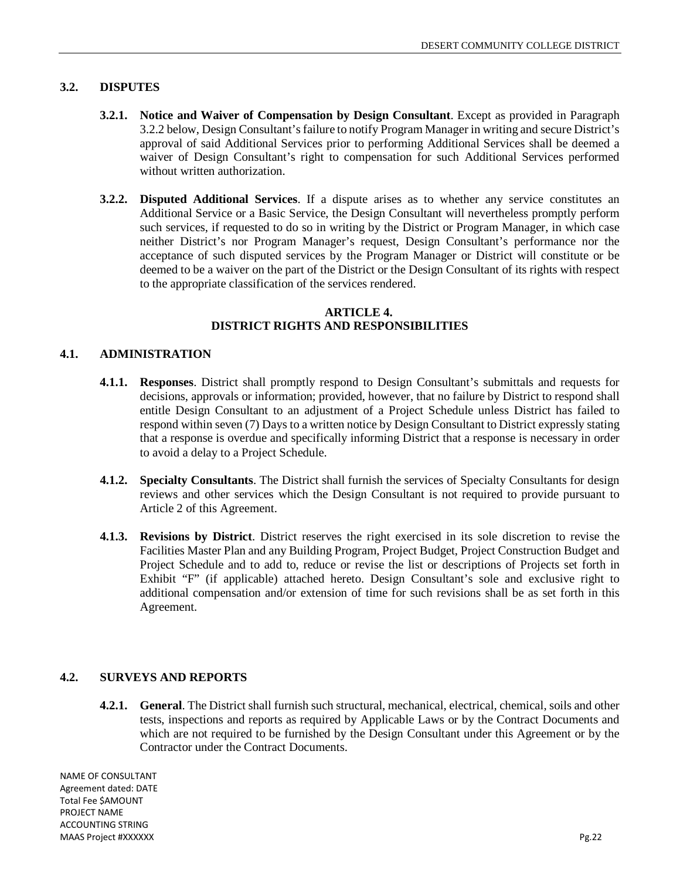## **3.2. DISPUTES**

- **3.2.1. Notice and Waiver of Compensation by Design Consultant**. Except as provided in Paragraph 3.2.2 below, Design Consultant's failure to notify Program Manager in writing and secure District's approval of said Additional Services prior to performing Additional Services shall be deemed a waiver of Design Consultant's right to compensation for such Additional Services performed without written authorization.
- **3.2.2. Disputed Additional Services**. If a dispute arises as to whether any service constitutes an Additional Service or a Basic Service, the Design Consultant will nevertheless promptly perform such services, if requested to do so in writing by the District or Program Manager, in which case neither District's nor Program Manager's request, Design Consultant's performance nor the acceptance of such disputed services by the Program Manager or District will constitute or be deemed to be a waiver on the part of the District or the Design Consultant of its rights with respect to the appropriate classification of the services rendered.

#### **ARTICLE 4. DISTRICT RIGHTS AND RESPONSIBILITIES**

## **4.1. ADMINISTRATION**

- **4.1.1. Responses**. District shall promptly respond to Design Consultant's submittals and requests for decisions, approvals or information; provided, however, that no failure by District to respond shall entitle Design Consultant to an adjustment of a Project Schedule unless District has failed to respond within seven (7) Days to a written notice by Design Consultant to District expressly stating that a response is overdue and specifically informing District that a response is necessary in order to avoid a delay to a Project Schedule.
- **4.1.2. Specialty Consultants**. The District shall furnish the services of Specialty Consultants for design reviews and other services which the Design Consultant is not required to provide pursuant to Article 2 of this Agreement.
- **4.1.3. Revisions by District**. District reserves the right exercised in its sole discretion to revise the Facilities Master Plan and any Building Program, Project Budget, Project Construction Budget and Project Schedule and to add to, reduce or revise the list or descriptions of Projects set forth in Exhibit "F" (if applicable) attached hereto. Design Consultant's sole and exclusive right to additional compensation and/or extension of time for such revisions shall be as set forth in this Agreement.

#### **4.2. SURVEYS AND REPORTS**

**4.2.1. General**. The District shall furnish such structural, mechanical, electrical, chemical, soils and other tests, inspections and reports as required by Applicable Laws or by the Contract Documents and which are not required to be furnished by the Design Consultant under this Agreement or by the Contractor under the Contract Documents.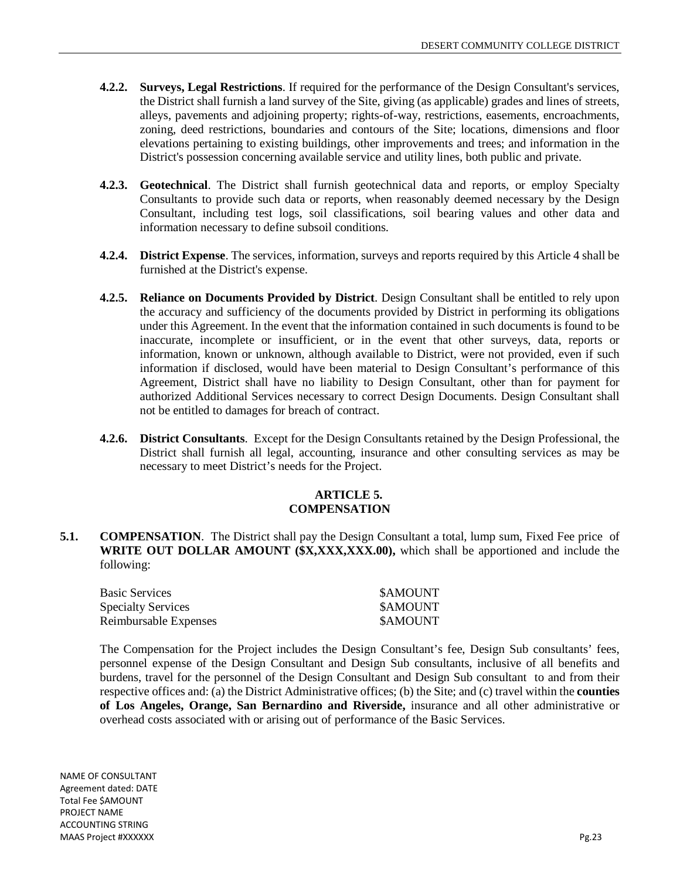- **4.2.2. Surveys, Legal Restrictions**. If required for the performance of the Design Consultant's services, the District shall furnish a land survey of the Site, giving (as applicable) grades and lines of streets, alleys, pavements and adjoining property; rights-of-way, restrictions, easements, encroachments, zoning, deed restrictions, boundaries and contours of the Site; locations, dimensions and floor elevations pertaining to existing buildings, other improvements and trees; and information in the District's possession concerning available service and utility lines, both public and private.
- **4.2.3. Geotechnical**. The District shall furnish geotechnical data and reports, or employ Specialty Consultants to provide such data or reports, when reasonably deemed necessary by the Design Consultant, including test logs, soil classifications, soil bearing values and other data and information necessary to define subsoil conditions.
- **4.2.4. District Expense**. The services, information, surveys and reports required by this Article 4 shall be furnished at the District's expense.
- **4.2.5. Reliance on Documents Provided by District**. Design Consultant shall be entitled to rely upon the accuracy and sufficiency of the documents provided by District in performing its obligations under this Agreement. In the event that the information contained in such documents is found to be inaccurate, incomplete or insufficient, or in the event that other surveys, data, reports or information, known or unknown, although available to District, were not provided, even if such information if disclosed, would have been material to Design Consultant's performance of this Agreement, District shall have no liability to Design Consultant, other than for payment for authorized Additional Services necessary to correct Design Documents. Design Consultant shall not be entitled to damages for breach of contract.
- **4.2.6. District Consultants**. Except for the Design Consultants retained by the Design Professional, the District shall furnish all legal, accounting, insurance and other consulting services as may be necessary to meet District's needs for the Project.

#### **ARTICLE 5. COMPENSATION**

**5.1. COMPENSATION**. The District shall pay the Design Consultant a total, lump sum, Fixed Fee price of **WRITE OUT DOLLAR AMOUNT (\$X,XXX,XXX.00),** which shall be apportioned and include the following:

| <b>Basic Services</b>     | <b>SAMOUNT</b> |
|---------------------------|----------------|
| <b>Specialty Services</b> | <b>SAMOUNT</b> |
| Reimbursable Expenses     | <b>SAMOUNT</b> |

The Compensation for the Project includes the Design Consultant's fee, Design Sub consultants' fees, personnel expense of the Design Consultant and Design Sub consultants, inclusive of all benefits and burdens, travel for the personnel of the Design Consultant and Design Sub consultant to and from their respective offices and: (a) the District Administrative offices; (b) the Site; and (c) travel within the **counties of Los Angeles, Orange, San Bernardino and Riverside,** insurance and all other administrative or overhead costs associated with or arising out of performance of the Basic Services.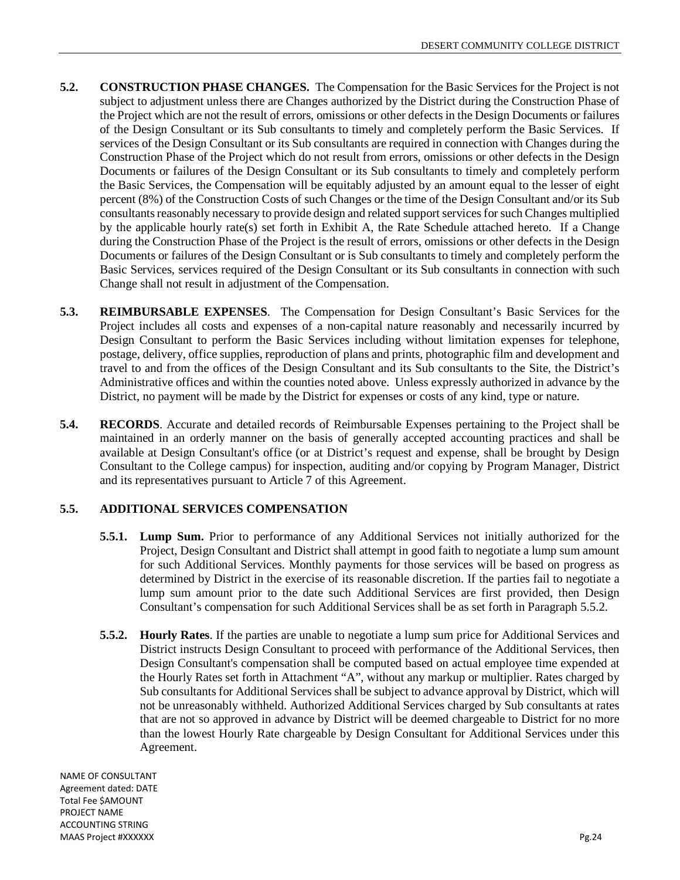- **5.2. CONSTRUCTION PHASE CHANGES.** The Compensation for the Basic Services for the Project is not subject to adjustment unless there are Changes authorized by the District during the Construction Phase of the Project which are not the result of errors, omissions or other defects in the Design Documents or failures of the Design Consultant or its Sub consultants to timely and completely perform the Basic Services. If services of the Design Consultant or its Sub consultants are required in connection with Changes during the Construction Phase of the Project which do not result from errors, omissions or other defects in the Design Documents or failures of the Design Consultant or its Sub consultants to timely and completely perform the Basic Services, the Compensation will be equitably adjusted by an amount equal to the lesser of eight percent (8%) of the Construction Costs of such Changes or the time of the Design Consultant and/or its Sub consultants reasonably necessary to provide design and related support services for such Changes multiplied by the applicable hourly rate(s) set forth in Exhibit A, the Rate Schedule attached hereto. If a Change during the Construction Phase of the Project is the result of errors, omissions or other defects in the Design Documents or failures of the Design Consultant or is Sub consultants to timely and completely perform the Basic Services, services required of the Design Consultant or its Sub consultants in connection with such Change shall not result in adjustment of the Compensation.
- **5.3. REIMBURSABLE EXPENSES**. The Compensation for Design Consultant's Basic Services for the Project includes all costs and expenses of a non-capital nature reasonably and necessarily incurred by Design Consultant to perform the Basic Services including without limitation expenses for telephone, postage, delivery, office supplies, reproduction of plans and prints, photographic film and development and travel to and from the offices of the Design Consultant and its Sub consultants to the Site, the District's Administrative offices and within the counties noted above. Unless expressly authorized in advance by the District, no payment will be made by the District for expenses or costs of any kind, type or nature.
- **5.4. RECORDS**. Accurate and detailed records of Reimbursable Expenses pertaining to the Project shall be maintained in an orderly manner on the basis of generally accepted accounting practices and shall be available at Design Consultant's office (or at District's request and expense, shall be brought by Design Consultant to the College campus) for inspection, auditing and/or copying by Program Manager, District and its representatives pursuant to Article 7 of this Agreement.

## **5.5. ADDITIONAL SERVICES COMPENSATION**

- **5.5.1. Lump Sum.** Prior to performance of any Additional Services not initially authorized for the Project, Design Consultant and District shall attempt in good faith to negotiate a lump sum amount for such Additional Services. Monthly payments for those services will be based on progress as determined by District in the exercise of its reasonable discretion. If the parties fail to negotiate a lump sum amount prior to the date such Additional Services are first provided, then Design Consultant's compensation for such Additional Services shall be as set forth in Paragraph 5.5.2.
- **5.5.2. Hourly Rates**. If the parties are unable to negotiate a lump sum price for Additional Services and District instructs Design Consultant to proceed with performance of the Additional Services, then Design Consultant's compensation shall be computed based on actual employee time expended at the Hourly Rates set forth in Attachment "A", without any markup or multiplier. Rates charged by Sub consultants for Additional Services shall be subject to advance approval by District, which will not be unreasonably withheld. Authorized Additional Services charged by Sub consultants at rates that are not so approved in advance by District will be deemed chargeable to District for no more than the lowest Hourly Rate chargeable by Design Consultant for Additional Services under this Agreement.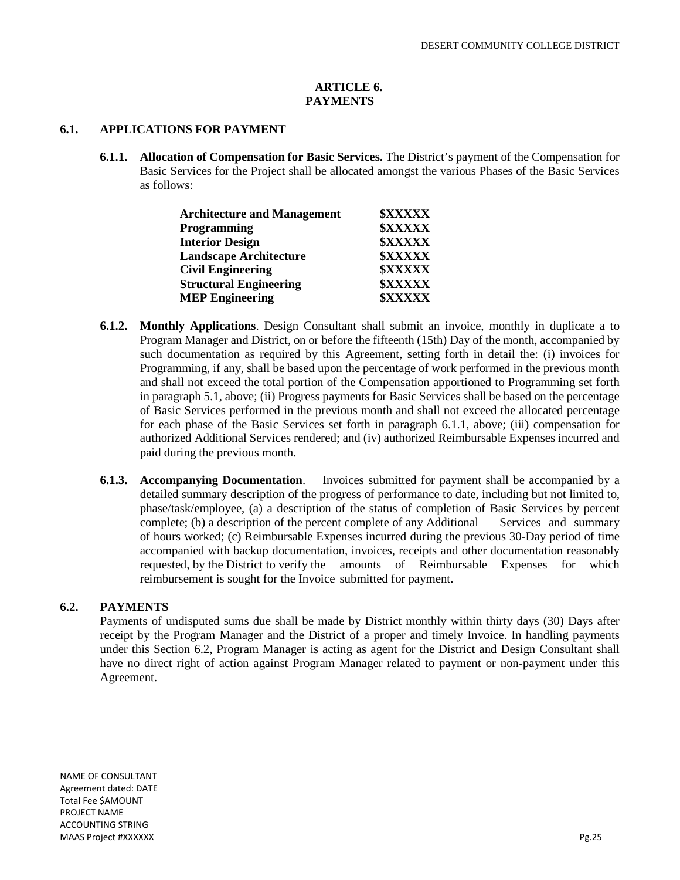#### **ARTICLE 6. PAYMENTS**

## **6.1. APPLICATIONS FOR PAYMENT**

**6.1.1. Allocation of Compensation for Basic Services.** The District's payment of the Compensation for Basic Services for the Project shall be allocated amongst the various Phases of the Basic Services as follows:

| <b>Architecture and Management</b> | <b><i>SXXXXX</i></b> |
|------------------------------------|----------------------|
| Programming                        | <b><i>SXXXXX</i></b> |
| <b>Interior Design</b>             | <b><i>SXXXXX</i></b> |
| <b>Landscape Architecture</b>      | <b><i>SXXXXX</i></b> |
| <b>Civil Engineering</b>           | <b><i>SXXXXX</i></b> |
| <b>Structural Engineering</b>      | <b><i>SXXXXX</i></b> |
| <b>MEP Engineering</b>             | <b><i>SXXXXX</i></b> |

- **6.1.2. Monthly Applications**. Design Consultant shall submit an invoice, monthly in duplicate a to Program Manager and District, on or before the fifteenth (15th) Day of the month, accompanied by such documentation as required by this Agreement, setting forth in detail the: (i) invoices for Programming, if any, shall be based upon the percentage of work performed in the previous month and shall not exceed the total portion of the Compensation apportioned to Programming set forth in paragraph 5.1, above; (ii) Progress payments for Basic Services shall be based on the percentage of Basic Services performed in the previous month and shall not exceed the allocated percentage for each phase of the Basic Services set forth in paragraph 6.1.1, above; (iii) compensation for authorized Additional Services rendered; and (iv) authorized Reimbursable Expenses incurred and paid during the previous month.
- **6.1.3. Accompanying Documentation**. Invoices submitted for payment shall be accompanied by a detailed summary description of the progress of performance to date, including but not limited to, phase/task/employee, (a) a description of the status of completion of Basic Services by percent complete; (b) a description of the percent complete of any Additional Services and summary of hours worked; (c) Reimbursable Expenses incurred during the previous 30-Day period of time accompanied with backup documentation, invoices, receipts and other documentation reasonably requested, by the District to verify the amounts of Reimbursable Expenses for which reimbursement is sought for the Invoice submitted for payment.

## **6.2. PAYMENTS**

Payments of undisputed sums due shall be made by District monthly within thirty days (30) Days after receipt by the Program Manager and the District of a proper and timely Invoice. In handling payments under this Section 6.2, Program Manager is acting as agent for the District and Design Consultant shall have no direct right of action against Program Manager related to payment or non-payment under this Agreement.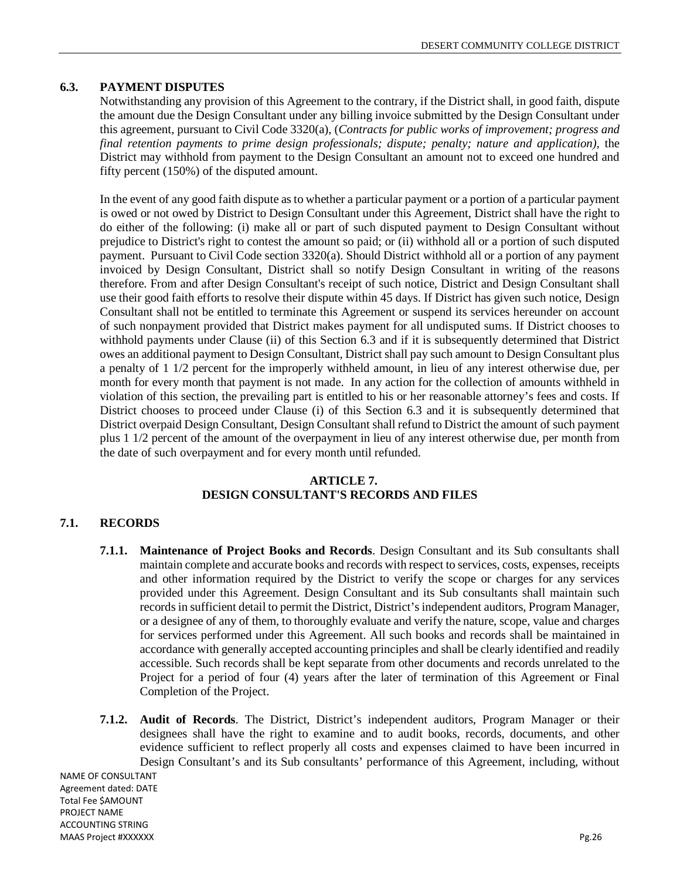## **6.3. PAYMENT DISPUTES**

Notwithstanding any provision of this Agreement to the contrary, if the District shall, in good faith, dispute the amount due the Design Consultant under any billing invoice submitted by the Design Consultant under this agreement, pursuant to Civil Code 3320(a), (*Contracts for public works of improvement; progress and final retention payments to prime design professionals; dispute; penalty; nature and application), the* District may withhold from payment to the Design Consultant an amount not to exceed one hundred and fifty percent (150%) of the disputed amount.

In the event of any good faith dispute as to whether a particular payment or a portion of a particular payment is owed or not owed by District to Design Consultant under this Agreement, District shall have the right to do either of the following: (i) make all or part of such disputed payment to Design Consultant without prejudice to District's right to contest the amount so paid; or (ii) withhold all or a portion of such disputed payment. Pursuant to Civil Code section 3320(a). Should District withhold all or a portion of any payment invoiced by Design Consultant, District shall so notify Design Consultant in writing of the reasons therefore. From and after Design Consultant's receipt of such notice, District and Design Consultant shall use their good faith efforts to resolve their dispute within 45 days. If District has given such notice, Design Consultant shall not be entitled to terminate this Agreement or suspend its services hereunder on account of such nonpayment provided that District makes payment for all undisputed sums. If District chooses to withhold payments under Clause (ii) of this Section 6.3 and if it is subsequently determined that District owes an additional payment to Design Consultant, District shall pay such amount to Design Consultant plus a penalty of 1 1/2 percent for the improperly withheld amount, in lieu of any interest otherwise due, per month for every month that payment is not made. In any action for the collection of amounts withheld in violation of this section, the prevailing part is entitled to his or her reasonable attorney's fees and costs. If District chooses to proceed under Clause (i) of this Section 6.3 and it is subsequently determined that District overpaid Design Consultant, Design Consultant shall refund to District the amount of such payment plus 1 1/2 percent of the amount of the overpayment in lieu of any interest otherwise due, per month from the date of such overpayment and for every month until refunded.

## **ARTICLE 7. DESIGN CONSULTANT'S RECORDS AND FILES**

## **7.1. RECORDS**

- **7.1.1. Maintenance of Project Books and Records**. Design Consultant and its Sub consultants shall maintain complete and accurate books and records with respect to services, costs, expenses, receipts and other information required by the District to verify the scope or charges for any services provided under this Agreement. Design Consultant and its Sub consultants shall maintain such records in sufficient detail to permit the District, District's independent auditors, Program Manager, or a designee of any of them, to thoroughly evaluate and verify the nature, scope, value and charges for services performed under this Agreement. All such books and records shall be maintained in accordance with generally accepted accounting principles and shall be clearly identified and readily accessible. Such records shall be kept separate from other documents and records unrelated to the Project for a period of four (4) years after the later of termination of this Agreement or Final Completion of the Project.
- **7.1.2. Audit of Records**. The District, District's independent auditors, Program Manager or their designees shall have the right to examine and to audit books, records, documents, and other evidence sufficient to reflect properly all costs and expenses claimed to have been incurred in Design Consultant's and its Sub consultants' performance of this Agreement, including, without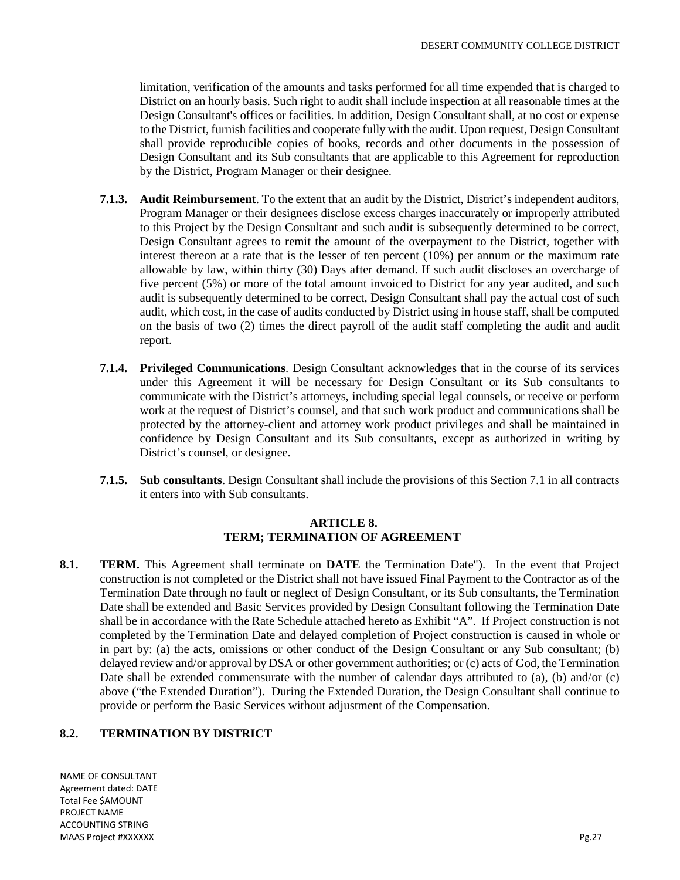limitation, verification of the amounts and tasks performed for all time expended that is charged to District on an hourly basis. Such right to audit shall include inspection at all reasonable times at the Design Consultant's offices or facilities. In addition, Design Consultant shall, at no cost or expense to the District, furnish facilities and cooperate fully with the audit. Upon request, Design Consultant shall provide reproducible copies of books, records and other documents in the possession of Design Consultant and its Sub consultants that are applicable to this Agreement for reproduction by the District, Program Manager or their designee.

- **7.1.3. Audit Reimbursement**. To the extent that an audit by the District, District's independent auditors, Program Manager or their designees disclose excess charges inaccurately or improperly attributed to this Project by the Design Consultant and such audit is subsequently determined to be correct, Design Consultant agrees to remit the amount of the overpayment to the District, together with interest thereon at a rate that is the lesser of ten percent (10%) per annum or the maximum rate allowable by law, within thirty (30) Days after demand. If such audit discloses an overcharge of five percent (5%) or more of the total amount invoiced to District for any year audited, and such audit is subsequently determined to be correct, Design Consultant shall pay the actual cost of such audit, which cost, in the case of audits conducted by District using in house staff, shall be computed on the basis of two (2) times the direct payroll of the audit staff completing the audit and audit report.
- **7.1.4. Privileged Communications**. Design Consultant acknowledges that in the course of its services under this Agreement it will be necessary for Design Consultant or its Sub consultants to communicate with the District's attorneys, including special legal counsels, or receive or perform work at the request of District's counsel, and that such work product and communications shall be protected by the attorney-client and attorney work product privileges and shall be maintained in confidence by Design Consultant and its Sub consultants, except as authorized in writing by District's counsel, or designee.
- **7.1.5. Sub consultants**. Design Consultant shall include the provisions of this Section 7.1 in all contracts it enters into with Sub consultants.

#### **ARTICLE 8. TERM; TERMINATION OF AGREEMENT**

**8.1. TERM.** This Agreement shall terminate on **DATE** the Termination Date"). In the event that Project construction is not completed or the District shall not have issued Final Payment to the Contractor as of the Termination Date through no fault or neglect of Design Consultant, or its Sub consultants, the Termination Date shall be extended and Basic Services provided by Design Consultant following the Termination Date shall be in accordance with the Rate Schedule attached hereto as Exhibit "A". If Project construction is not completed by the Termination Date and delayed completion of Project construction is caused in whole or in part by: (a) the acts, omissions or other conduct of the Design Consultant or any Sub consultant; (b) delayed review and/or approval by DSA or other government authorities; or (c) acts of God, the Termination Date shall be extended commensurate with the number of calendar days attributed to (a), (b) and/or (c) above ("the Extended Duration"). During the Extended Duration, the Design Consultant shall continue to provide or perform the Basic Services without adjustment of the Compensation.

## **8.2. TERMINATION BY DISTRICT**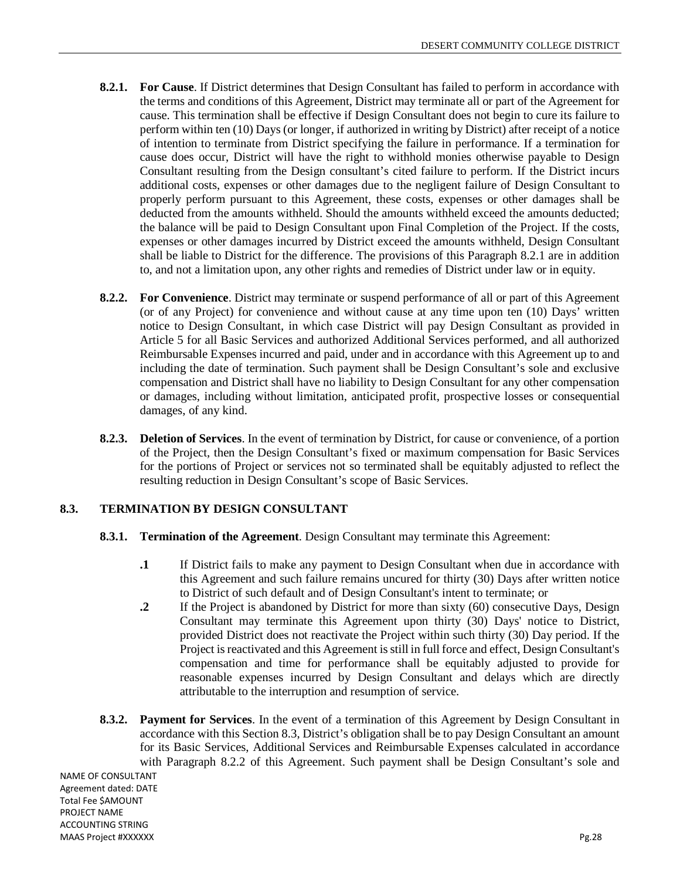- **8.2.1. For Cause**. If District determines that Design Consultant has failed to perform in accordance with the terms and conditions of this Agreement, District may terminate all or part of the Agreement for cause. This termination shall be effective if Design Consultant does not begin to cure its failure to perform within ten (10) Days (or longer, if authorized in writing by District) after receipt of a notice of intention to terminate from District specifying the failure in performance. If a termination for cause does occur, District will have the right to withhold monies otherwise payable to Design Consultant resulting from the Design consultant's cited failure to perform. If the District incurs additional costs, expenses or other damages due to the negligent failure of Design Consultant to properly perform pursuant to this Agreement, these costs, expenses or other damages shall be deducted from the amounts withheld. Should the amounts withheld exceed the amounts deducted; the balance will be paid to Design Consultant upon Final Completion of the Project. If the costs, expenses or other damages incurred by District exceed the amounts withheld, Design Consultant shall be liable to District for the difference. The provisions of this Paragraph 8.2.1 are in addition to, and not a limitation upon, any other rights and remedies of District under law or in equity.
- **8.2.2. For Convenience**. District may terminate or suspend performance of all or part of this Agreement (or of any Project) for convenience and without cause at any time upon ten (10) Days' written notice to Design Consultant, in which case District will pay Design Consultant as provided in Article 5 for all Basic Services and authorized Additional Services performed, and all authorized Reimbursable Expenses incurred and paid, under and in accordance with this Agreement up to and including the date of termination. Such payment shall be Design Consultant's sole and exclusive compensation and District shall have no liability to Design Consultant for any other compensation or damages, including without limitation, anticipated profit, prospective losses or consequential damages, of any kind.
- **8.2.3. Deletion of Services**. In the event of termination by District, for cause or convenience, of a portion of the Project, then the Design Consultant's fixed or maximum compensation for Basic Services for the portions of Project or services not so terminated shall be equitably adjusted to reflect the resulting reduction in Design Consultant's scope of Basic Services.

## **8.3. TERMINATION BY DESIGN CONSULTANT**

- **8.3.1. Termination of the Agreement**. Design Consultant may terminate this Agreement:
	- **.1** If District fails to make any payment to Design Consultant when due in accordance with this Agreement and such failure remains uncured for thirty (30) Days after written notice to District of such default and of Design Consultant's intent to terminate; or
	- **2** If the Project is abandoned by District for more than sixty (60) consecutive Days, Design Consultant may terminate this Agreement upon thirty (30) Days' notice to District, provided District does not reactivate the Project within such thirty (30) Day period. If the Project is reactivated and this Agreement is still in full force and effect, Design Consultant's compensation and time for performance shall be equitably adjusted to provide for reasonable expenses incurred by Design Consultant and delays which are directly attributable to the interruption and resumption of service.
- **8.3.2. Payment for Services**. In the event of a termination of this Agreement by Design Consultant in accordance with this Section 8.3, District's obligation shall be to pay Design Consultant an amount for its Basic Services, Additional Services and Reimbursable Expenses calculated in accordance with Paragraph 8.2.2 of this Agreement. Such payment shall be Design Consultant's sole and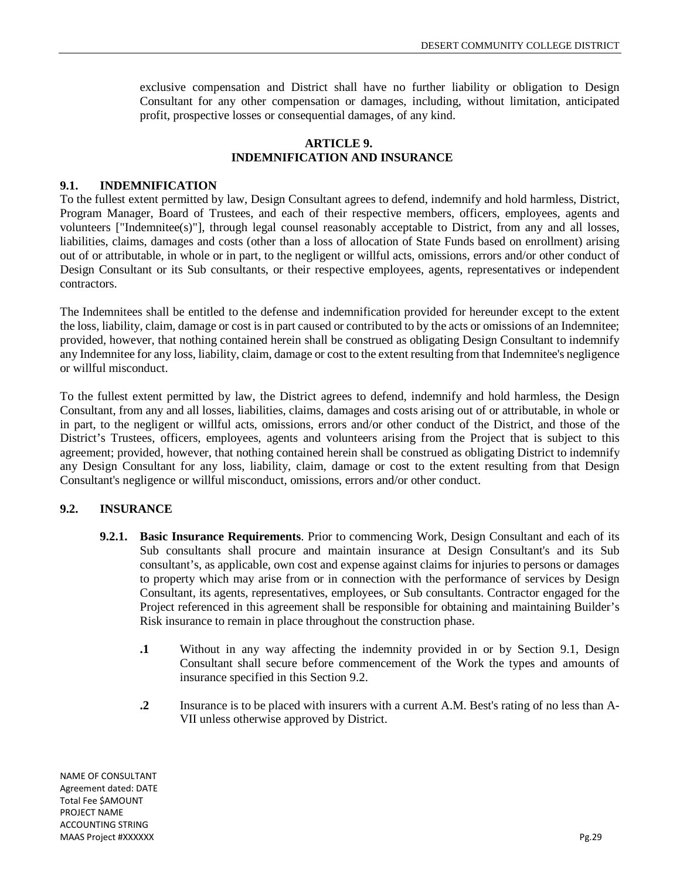exclusive compensation and District shall have no further liability or obligation to Design Consultant for any other compensation or damages, including, without limitation, anticipated profit, prospective losses or consequential damages, of any kind.

## **ARTICLE 9. INDEMNIFICATION AND INSURANCE**

## **9.1. INDEMNIFICATION**

To the fullest extent permitted by law, Design Consultant agrees to defend, indemnify and hold harmless, District, Program Manager, Board of Trustees, and each of their respective members, officers, employees, agents and volunteers ["Indemnitee(s)"], through legal counsel reasonably acceptable to District, from any and all losses, liabilities, claims, damages and costs (other than a loss of allocation of State Funds based on enrollment) arising out of or attributable, in whole or in part, to the negligent or willful acts, omissions, errors and/or other conduct of Design Consultant or its Sub consultants, or their respective employees, agents, representatives or independent contractors.

The Indemnitees shall be entitled to the defense and indemnification provided for hereunder except to the extent the loss, liability, claim, damage or cost is in part caused or contributed to by the acts or omissions of an Indemnitee; provided, however, that nothing contained herein shall be construed as obligating Design Consultant to indemnify any Indemnitee for any loss, liability, claim, damage or cost to the extent resulting from that Indemnitee's negligence or willful misconduct.

To the fullest extent permitted by law, the District agrees to defend, indemnify and hold harmless, the Design Consultant, from any and all losses, liabilities, claims, damages and costs arising out of or attributable, in whole or in part, to the negligent or willful acts, omissions, errors and/or other conduct of the District, and those of the District's Trustees, officers, employees, agents and volunteers arising from the Project that is subject to this agreement; provided, however, that nothing contained herein shall be construed as obligating District to indemnify any Design Consultant for any loss, liability, claim, damage or cost to the extent resulting from that Design Consultant's negligence or willful misconduct, omissions, errors and/or other conduct.

## **9.2. INSURANCE**

- **9.2.1. Basic Insurance Requirements**. Prior to commencing Work, Design Consultant and each of its Sub consultants shall procure and maintain insurance at Design Consultant's and its Sub consultant's, as applicable, own cost and expense against claims for injuries to persons or damages to property which may arise from or in connection with the performance of services by Design Consultant, its agents, representatives, employees, or Sub consultants. Contractor engaged for the Project referenced in this agreement shall be responsible for obtaining and maintaining Builder's Risk insurance to remain in place throughout the construction phase.
	- **.1** Without in any way affecting the indemnity provided in or by Section 9.1, Design Consultant shall secure before commencement of the Work the types and amounts of insurance specified in this Section 9.2.
	- **.2** Insurance is to be placed with insurers with a current A.M. Best's rating of no less than A-VII unless otherwise approved by District.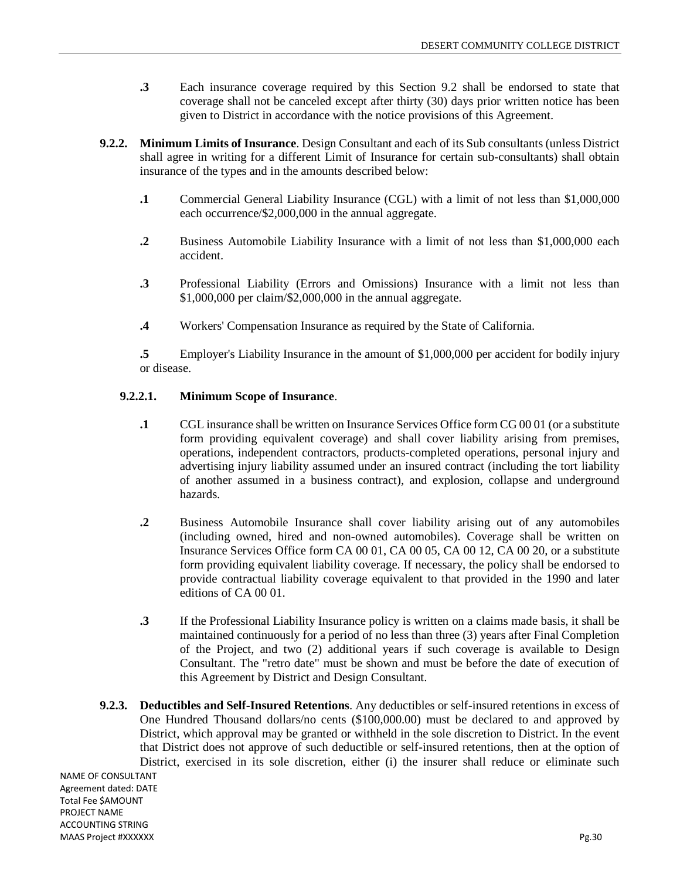- **.3** Each insurance coverage required by this Section 9.2 shall be endorsed to state that coverage shall not be canceled except after thirty (30) days prior written notice has been given to District in accordance with the notice provisions of this Agreement.
- **9.2.2. Minimum Limits of Insurance**. Design Consultant and each of its Sub consultants (unless District shall agree in writing for a different Limit of Insurance for certain sub-consultants) shall obtain insurance of the types and in the amounts described below:
	- **.1** Commercial General Liability Insurance (CGL) with a limit of not less than \$1,000,000 each occurrence/\$2,000,000 in the annual aggregate.
	- **.2** Business Automobile Liability Insurance with a limit of not less than \$1,000,000 each accident.
	- **.3** Professional Liability (Errors and Omissions) Insurance with a limit not less than \$1,000,000 per claim/\$2,000,000 in the annual aggregate.
	- **.4** Workers' Compensation Insurance as required by the State of California.

**.5** Employer's Liability Insurance in the amount of \$1,000,000 per accident for bodily injury or disease.

#### **9.2.2.1. Minimum Scope of Insurance**.

- **.1** CGL insurance shall be written on Insurance Services Office form CG 00 01 (or a substitute form providing equivalent coverage) and shall cover liability arising from premises, operations, independent contractors, products-completed operations, personal injury and advertising injury liability assumed under an insured contract (including the tort liability of another assumed in a business contract), and explosion, collapse and underground hazards.
- **.2** Business Automobile Insurance shall cover liability arising out of any automobiles (including owned, hired and non-owned automobiles). Coverage shall be written on Insurance Services Office form CA 00 01, CA 00 05, CA 00 12, CA 00 20, or a substitute form providing equivalent liability coverage. If necessary, the policy shall be endorsed to provide contractual liability coverage equivalent to that provided in the 1990 and later editions of CA 00 01.
- **.3** If the Professional Liability Insurance policy is written on a claims made basis, it shall be maintained continuously for a period of no less than three (3) years after Final Completion of the Project, and two (2) additional years if such coverage is available to Design Consultant. The "retro date" must be shown and must be before the date of execution of this Agreement by District and Design Consultant.
- **9.2.3. Deductibles and Self-Insured Retentions**. Any deductibles or self-insured retentions in excess of One Hundred Thousand dollars/no cents (\$100,000.00) must be declared to and approved by District, which approval may be granted or withheld in the sole discretion to District. In the event that District does not approve of such deductible or self-insured retentions, then at the option of District, exercised in its sole discretion, either (i) the insurer shall reduce or eliminate such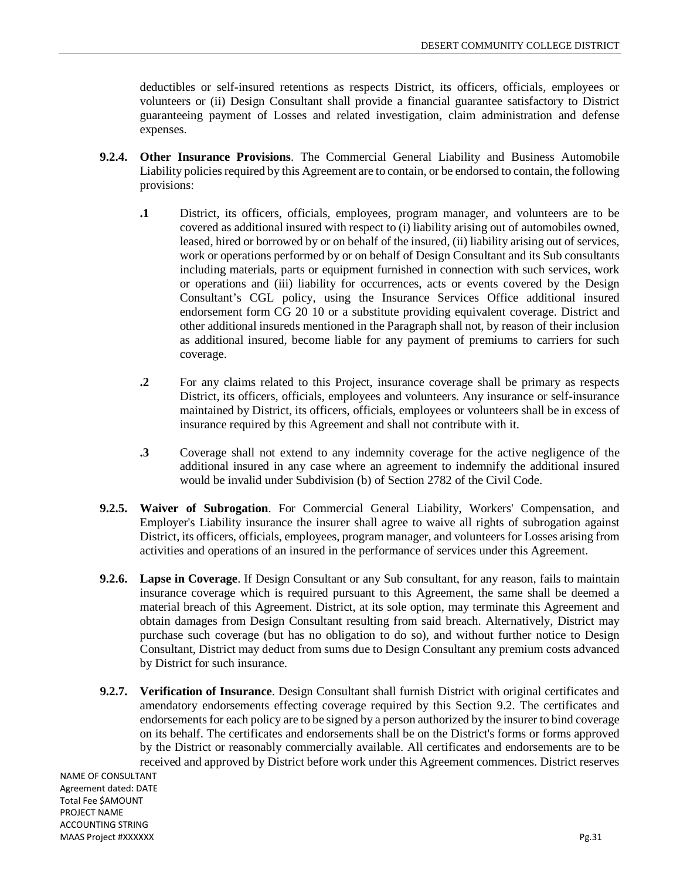deductibles or self-insured retentions as respects District, its officers, officials, employees or volunteers or (ii) Design Consultant shall provide a financial guarantee satisfactory to District guaranteeing payment of Losses and related investigation, claim administration and defense expenses.

- **9.2.4. Other Insurance Provisions**. The Commercial General Liability and Business Automobile Liability policies required by this Agreement are to contain, or be endorsed to contain, the following provisions:
	- **.1** District, its officers, officials, employees, program manager, and volunteers are to be covered as additional insured with respect to (i) liability arising out of automobiles owned, leased, hired or borrowed by or on behalf of the insured, (ii) liability arising out of services, work or operations performed by or on behalf of Design Consultant and its Sub consultants including materials, parts or equipment furnished in connection with such services, work or operations and (iii) liability for occurrences, acts or events covered by the Design Consultant's CGL policy, using the Insurance Services Office additional insured endorsement form CG 20 10 or a substitute providing equivalent coverage. District and other additional insureds mentioned in the Paragraph shall not, by reason of their inclusion as additional insured, become liable for any payment of premiums to carriers for such coverage.
	- **.2** For any claims related to this Project, insurance coverage shall be primary as respects District, its officers, officials, employees and volunteers. Any insurance or self-insurance maintained by District, its officers, officials, employees or volunteers shall be in excess of insurance required by this Agreement and shall not contribute with it.
	- **.3** Coverage shall not extend to any indemnity coverage for the active negligence of the additional insured in any case where an agreement to indemnify the additional insured would be invalid under Subdivision (b) of Section 2782 of the Civil Code.
- **9.2.5. Waiver of Subrogation**. For Commercial General Liability, Workers' Compensation, and Employer's Liability insurance the insurer shall agree to waive all rights of subrogation against District, its officers, officials, employees, program manager, and volunteers for Losses arising from activities and operations of an insured in the performance of services under this Agreement.
- **9.2.6. Lapse in Coverage**. If Design Consultant or any Sub consultant, for any reason, fails to maintain insurance coverage which is required pursuant to this Agreement, the same shall be deemed a material breach of this Agreement. District, at its sole option, may terminate this Agreement and obtain damages from Design Consultant resulting from said breach. Alternatively, District may purchase such coverage (but has no obligation to do so), and without further notice to Design Consultant, District may deduct from sums due to Design Consultant any premium costs advanced by District for such insurance.
- **9.2.7. Verification of Insurance**. Design Consultant shall furnish District with original certificates and amendatory endorsements effecting coverage required by this Section 9.2. The certificates and endorsements for each policy are to be signed by a person authorized by the insurer to bind coverage on its behalf. The certificates and endorsements shall be on the District's forms or forms approved by the District or reasonably commercially available. All certificates and endorsements are to be received and approved by District before work under this Agreement commences. District reserves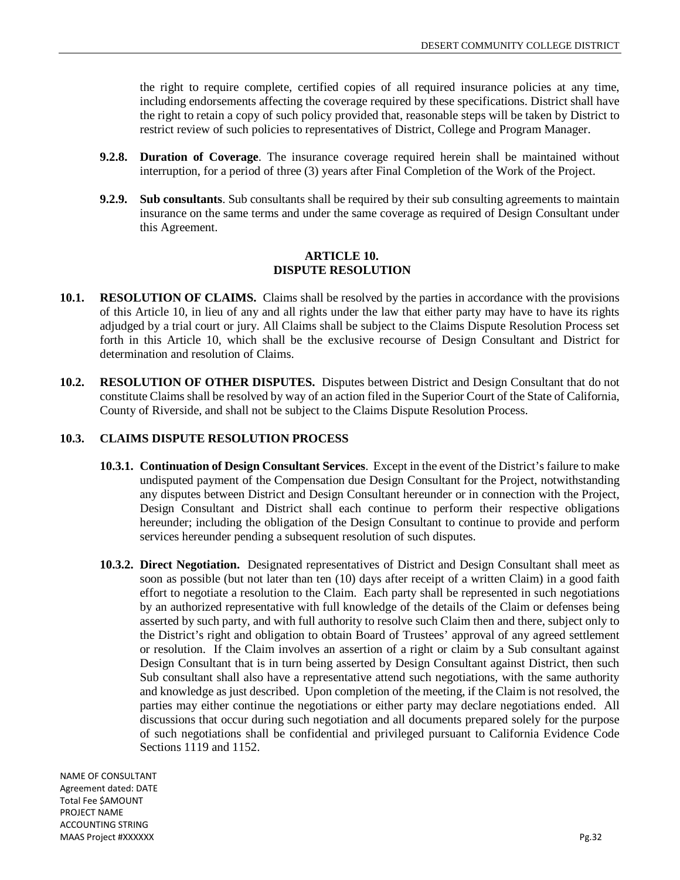the right to require complete, certified copies of all required insurance policies at any time, including endorsements affecting the coverage required by these specifications. District shall have the right to retain a copy of such policy provided that, reasonable steps will be taken by District to restrict review of such policies to representatives of District, College and Program Manager.

- **9.2.8. Duration of Coverage**. The insurance coverage required herein shall be maintained without interruption, for a period of three (3) years after Final Completion of the Work of the Project.
- **9.2.9. Sub consultants**. Sub consultants shall be required by their sub consulting agreements to maintain insurance on the same terms and under the same coverage as required of Design Consultant under this Agreement.

#### **ARTICLE 10. DISPUTE RESOLUTION**

- **10.1. RESOLUTION OF CLAIMS.** Claims shall be resolved by the parties in accordance with the provisions of this Article 10, in lieu of any and all rights under the law that either party may have to have its rights adjudged by a trial court or jury. All Claims shall be subject to the Claims Dispute Resolution Process set forth in this Article 10, which shall be the exclusive recourse of Design Consultant and District for determination and resolution of Claims.
- **10.2. RESOLUTION OF OTHER DISPUTES.** Disputes between District and Design Consultant that do not constitute Claims shall be resolved by way of an action filed in the Superior Court of the State of California, County of Riverside, and shall not be subject to the Claims Dispute Resolution Process.

## **10.3. CLAIMS DISPUTE RESOLUTION PROCESS**

- **10.3.1. Continuation of Design Consultant Services**. Except in the event of the District's failure to make undisputed payment of the Compensation due Design Consultant for the Project, notwithstanding any disputes between District and Design Consultant hereunder or in connection with the Project, Design Consultant and District shall each continue to perform their respective obligations hereunder; including the obligation of the Design Consultant to continue to provide and perform services hereunder pending a subsequent resolution of such disputes.
- **10.3.2. Direct Negotiation.** Designated representatives of District and Design Consultant shall meet as soon as possible (but not later than ten (10) days after receipt of a written Claim) in a good faith effort to negotiate a resolution to the Claim. Each party shall be represented in such negotiations by an authorized representative with full knowledge of the details of the Claim or defenses being asserted by such party, and with full authority to resolve such Claim then and there, subject only to the District's right and obligation to obtain Board of Trustees' approval of any agreed settlement or resolution. If the Claim involves an assertion of a right or claim by a Sub consultant against Design Consultant that is in turn being asserted by Design Consultant against District, then such Sub consultant shall also have a representative attend such negotiations, with the same authority and knowledge as just described. Upon completion of the meeting, if the Claim is not resolved, the parties may either continue the negotiations or either party may declare negotiations ended. All discussions that occur during such negotiation and all documents prepared solely for the purpose of such negotiations shall be confidential and privileged pursuant to California Evidence Code Sections 1119 and 1152.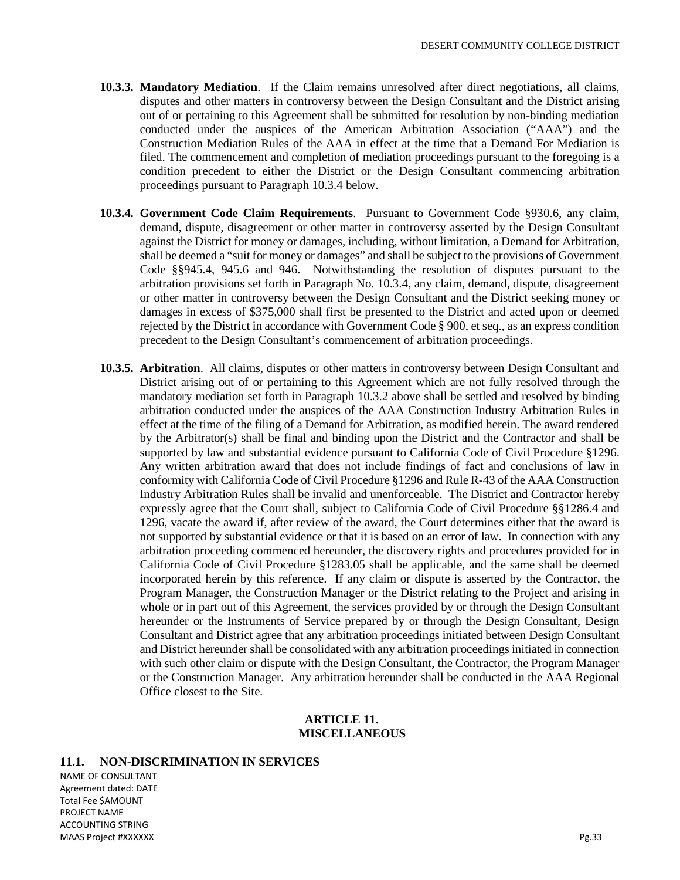- **10.3.3. Mandatory Mediation**. If the Claim remains unresolved after direct negotiations, all claims, disputes and other matters in controversy between the Design Consultant and the District arising out of or pertaining to this Agreement shall be submitted for resolution by non-binding mediation conducted under the auspices of the American Arbitration Association ("AAA") and the Construction Mediation Rules of the AAA in effect at the time that a Demand For Mediation is filed. The commencement and completion of mediation proceedings pursuant to the foregoing is a condition precedent to either the District or the Design Consultant commencing arbitration proceedings pursuant to Paragraph 10.3.4 below.
- **10.3.4. Government Code Claim Requirements**. Pursuant to Government Code §930.6, any claim, demand, dispute, disagreement or other matter in controversy asserted by the Design Consultant against the District for money or damages, including, without limitation, a Demand for Arbitration, shall be deemed a "suit for money or damages" and shall be subject to the provisions of Government Code §§945.4, 945.6 and 946. Notwithstanding the resolution of disputes pursuant to the arbitration provisions set forth in Paragraph No. 10.3.4, any claim, demand, dispute, disagreement or other matter in controversy between the Design Consultant and the District seeking money or damages in excess of \$375,000 shall first be presented to the District and acted upon or deemed rejected by the District in accordance with Government Code § 900, et seq., as an express condition precedent to the Design Consultant's commencement of arbitration proceedings.
- **10.3.5. Arbitration**. All claims, disputes or other matters in controversy between Design Consultant and District arising out of or pertaining to this Agreement which are not fully resolved through the mandatory mediation set forth in Paragraph 10.3.2 above shall be settled and resolved by binding arbitration conducted under the auspices of the AAA Construction Industry Arbitration Rules in effect at the time of the filing of a Demand for Arbitration, as modified herein. The award rendered by the Arbitrator(s) shall be final and binding upon the District and the Contractor and shall be supported by law and substantial evidence pursuant to California Code of Civil Procedure §1296. Any written arbitration award that does not include findings of fact and conclusions of law in conformity with California Code of Civil Procedure §1296 and Rule R-43 of the AAA Construction Industry Arbitration Rules shall be invalid and unenforceable. The District and Contractor hereby expressly agree that the Court shall, subject to California Code of Civil Procedure §§1286.4 and 1296, vacate the award if, after review of the award, the Court determines either that the award is not supported by substantial evidence or that it is based on an error of law. In connection with any arbitration proceeding commenced hereunder, the discovery rights and procedures provided for in California Code of Civil Procedure §1283.05 shall be applicable, and the same shall be deemed incorporated herein by this reference. If any claim or dispute is asserted by the Contractor, the Program Manager, the Construction Manager or the District relating to the Project and arising in whole or in part out of this Agreement, the services provided by or through the Design Consultant hereunder or the Instruments of Service prepared by or through the Design Consultant, Design Consultant and District agree that any arbitration proceedings initiated between Design Consultant and District hereunder shall be consolidated with any arbitration proceedings initiated in connection with such other claim or dispute with the Design Consultant, the Contractor, the Program Manager or the Construction Manager. Any arbitration hereunder shall be conducted in the AAA Regional Office closest to the Site.

#### **ARTICLE 11. MISCELLANEOUS**

#### **11.1. NON-DISCRIMINATION IN SERVICES**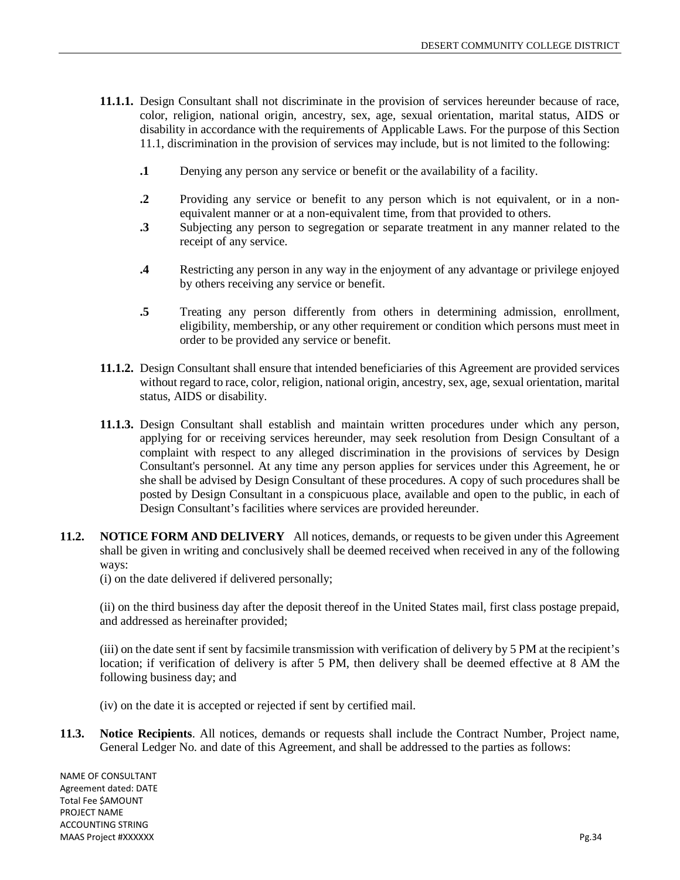- **11.1.1.** Design Consultant shall not discriminate in the provision of services hereunder because of race, color, religion, national origin, ancestry, sex, age, sexual orientation, marital status, AIDS or disability in accordance with the requirements of Applicable Laws. For the purpose of this Section 11.1, discrimination in the provision of services may include, but is not limited to the following:
	- **.1** Denying any person any service or benefit or the availability of a facility.
	- **.2** Providing any service or benefit to any person which is not equivalent, or in a nonequivalent manner or at a non-equivalent time, from that provided to others.
	- **.3** Subjecting any person to segregation or separate treatment in any manner related to the receipt of any service.
	- **.4** Restricting any person in any way in the enjoyment of any advantage or privilege enjoyed by others receiving any service or benefit.
	- **.5** Treating any person differently from others in determining admission, enrollment, eligibility, membership, or any other requirement or condition which persons must meet in order to be provided any service or benefit.
- **11.1.2.** Design Consultant shall ensure that intended beneficiaries of this Agreement are provided services without regard to race, color, religion, national origin, ancestry, sex, age, sexual orientation, marital status, AIDS or disability.
- **11.1.3.** Design Consultant shall establish and maintain written procedures under which any person, applying for or receiving services hereunder, may seek resolution from Design Consultant of a complaint with respect to any alleged discrimination in the provisions of services by Design Consultant's personnel. At any time any person applies for services under this Agreement, he or she shall be advised by Design Consultant of these procedures. A copy of such procedures shall be posted by Design Consultant in a conspicuous place, available and open to the public, in each of Design Consultant's facilities where services are provided hereunder.
- **11.2. NOTICE FORM AND DELIVERY** All notices, demands, or requests to be given under this Agreement shall be given in writing and conclusively shall be deemed received when received in any of the following ways:
	- (i) on the date delivered if delivered personally;

(ii) on the third business day after the deposit thereof in the United States mail, first class postage prepaid, and addressed as hereinafter provided;

(iii) on the date sent if sent by facsimile transmission with verification of delivery by 5 PM at the recipient's location; if verification of delivery is after 5 PM, then delivery shall be deemed effective at 8 AM the following business day; and

- (iv) on the date it is accepted or rejected if sent by certified mail.
- **11.3. Notice Recipients**. All notices, demands or requests shall include the Contract Number, Project name, General Ledger No. and date of this Agreement, and shall be addressed to the parties as follows: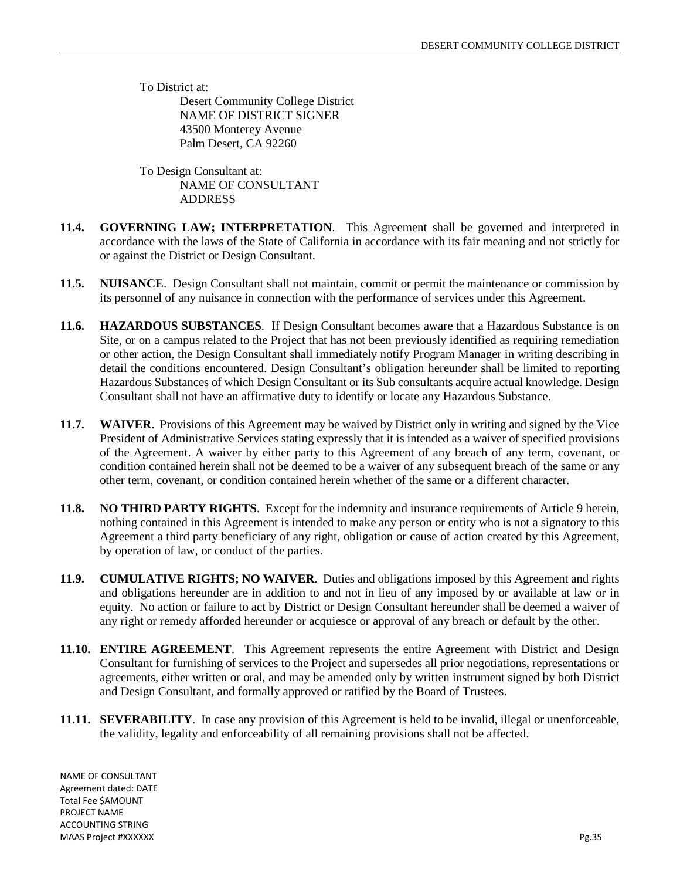To District at: Desert Community College District NAME OF DISTRICT SIGNER 43500 Monterey Avenue Palm Desert, CA 92260

To Design Consultant at: NAME OF CONSULTANT ADDRESS

- **11.4. GOVERNING LAW; INTERPRETATION**. This Agreement shall be governed and interpreted in accordance with the laws of the State of California in accordance with its fair meaning and not strictly for or against the District or Design Consultant.
- **11.5. NUISANCE**. Design Consultant shall not maintain, commit or permit the maintenance or commission by its personnel of any nuisance in connection with the performance of services under this Agreement.
- **11.6. HAZARDOUS SUBSTANCES**. If Design Consultant becomes aware that a Hazardous Substance is on Site, or on a campus related to the Project that has not been previously identified as requiring remediation or other action, the Design Consultant shall immediately notify Program Manager in writing describing in detail the conditions encountered. Design Consultant's obligation hereunder shall be limited to reporting Hazardous Substances of which Design Consultant or its Sub consultants acquire actual knowledge. Design Consultant shall not have an affirmative duty to identify or locate any Hazardous Substance.
- **11.7. WAIVER**. Provisions of this Agreement may be waived by District only in writing and signed by the Vice President of Administrative Services stating expressly that it is intended as a waiver of specified provisions of the Agreement. A waiver by either party to this Agreement of any breach of any term, covenant, or condition contained herein shall not be deemed to be a waiver of any subsequent breach of the same or any other term, covenant, or condition contained herein whether of the same or a different character.
- **11.8. NO THIRD PARTY RIGHTS**. Except for the indemnity and insurance requirements of Article 9 herein, nothing contained in this Agreement is intended to make any person or entity who is not a signatory to this Agreement a third party beneficiary of any right, obligation or cause of action created by this Agreement, by operation of law, or conduct of the parties.
- **11.9. CUMULATIVE RIGHTS; NO WAIVER**. Duties and obligations imposed by this Agreement and rights and obligations hereunder are in addition to and not in lieu of any imposed by or available at law or in equity. No action or failure to act by District or Design Consultant hereunder shall be deemed a waiver of any right or remedy afforded hereunder or acquiesce or approval of any breach or default by the other.
- **11.10. ENTIRE AGREEMENT**. This Agreement represents the entire Agreement with District and Design Consultant for furnishing of services to the Project and supersedes all prior negotiations, representations or agreements, either written or oral, and may be amended only by written instrument signed by both District and Design Consultant, and formally approved or ratified by the Board of Trustees.
- **11.11. SEVERABILITY**. In case any provision of this Agreement is held to be invalid, illegal or unenforceable, the validity, legality and enforceability of all remaining provisions shall not be affected.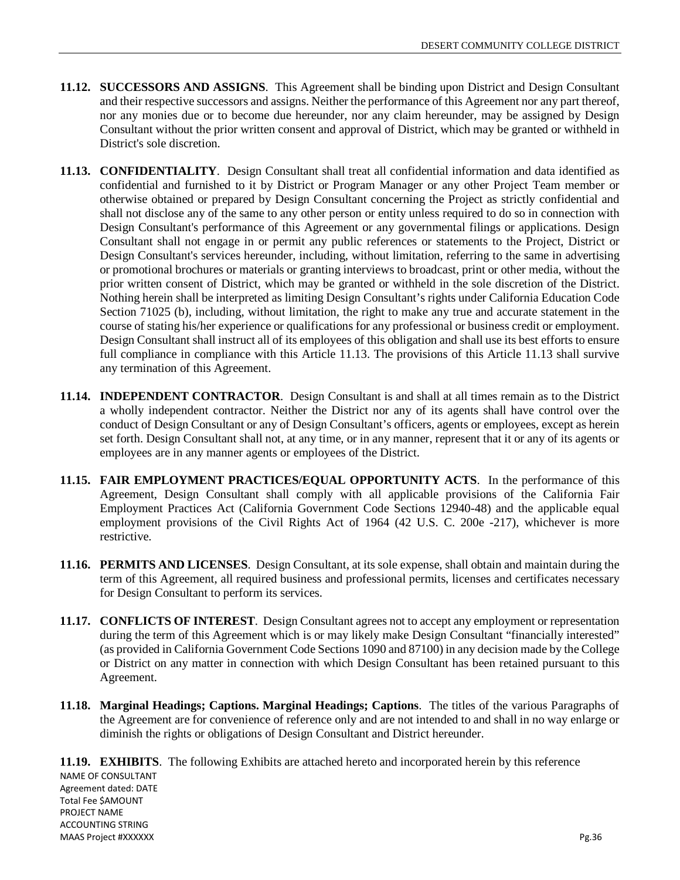- **11.12. SUCCESSORS AND ASSIGNS**. This Agreement shall be binding upon District and Design Consultant and their respective successors and assigns. Neither the performance of this Agreement nor any part thereof, nor any monies due or to become due hereunder, nor any claim hereunder, may be assigned by Design Consultant without the prior written consent and approval of District, which may be granted or withheld in District's sole discretion.
- **11.13. CONFIDENTIALITY**. Design Consultant shall treat all confidential information and data identified as confidential and furnished to it by District or Program Manager or any other Project Team member or otherwise obtained or prepared by Design Consultant concerning the Project as strictly confidential and shall not disclose any of the same to any other person or entity unless required to do so in connection with Design Consultant's performance of this Agreement or any governmental filings or applications. Design Consultant shall not engage in or permit any public references or statements to the Project, District or Design Consultant's services hereunder, including, without limitation, referring to the same in advertising or promotional brochures or materials or granting interviews to broadcast, print or other media, without the prior written consent of District, which may be granted or withheld in the sole discretion of the District. Nothing herein shall be interpreted as limiting Design Consultant's rights under California Education Code Section 71025 (b), including, without limitation, the right to make any true and accurate statement in the course of stating his/her experience or qualifications for any professional or business credit or employment. Design Consultant shall instruct all of its employees of this obligation and shall use its best efforts to ensure full compliance in compliance with this Article 11.13. The provisions of this Article 11.13 shall survive any termination of this Agreement.
- **11.14. INDEPENDENT CONTRACTOR**. Design Consultant is and shall at all times remain as to the District a wholly independent contractor. Neither the District nor any of its agents shall have control over the conduct of Design Consultant or any of Design Consultant's officers, agents or employees, except as herein set forth. Design Consultant shall not, at any time, or in any manner, represent that it or any of its agents or employees are in any manner agents or employees of the District.
- **11.15. FAIR EMPLOYMENT PRACTICES/EQUAL OPPORTUNITY ACTS**. In the performance of this Agreement, Design Consultant shall comply with all applicable provisions of the California Fair Employment Practices Act (California Government Code Sections 12940-48) and the applicable equal employment provisions of the Civil Rights Act of 1964 (42 U.S. C. 200e -217), whichever is more restrictive.
- **11.16. PERMITS AND LICENSES**. Design Consultant, at its sole expense, shall obtain and maintain during the term of this Agreement, all required business and professional permits, licenses and certificates necessary for Design Consultant to perform its services.
- **11.17. CONFLICTS OF INTEREST**. Design Consultant agrees not to accept any employment or representation during the term of this Agreement which is or may likely make Design Consultant "financially interested" (as provided in California Government Code Sections 1090 and 87100) in any decision made by the College or District on any matter in connection with which Design Consultant has been retained pursuant to this Agreement.
- **11.18. Marginal Headings; Captions. Marginal Headings; Captions**. The titles of the various Paragraphs of the Agreement are for convenience of reference only and are not intended to and shall in no way enlarge or diminish the rights or obligations of Design Consultant and District hereunder.

NAME OF CONSULTANT Agreement dated: DATE Total Fee \$AMOUNT PROJECT NAME ACCOUNTING STRING MAAS Project #XXXXXX Pg.36 **11.19. EXHIBITS**. The following Exhibits are attached hereto and incorporated herein by this reference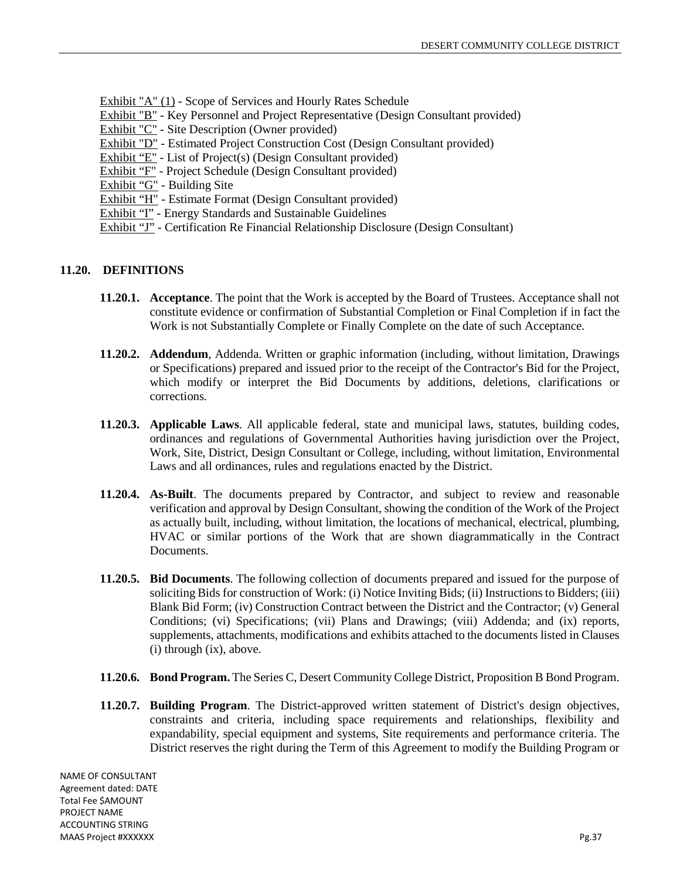- Exhibit "A" (1) Scope of Services and Hourly Rates Schedule
- Exhibit "B" Key Personnel and Project Representative (Design Consultant provided)
- Exhibit "C" Site Description (Owner provided)
- Exhibit "D" Estimated Project Construction Cost (Design Consultant provided)
- Exhibit "E" List of Project(s) (Design Consultant provided)
- Exhibit "F" Project Schedule (Design Consultant provided)
- Exhibit "G" Building Site
- Exhibit "H" Estimate Format (Design Consultant provided)
- Exhibit "I" Energy Standards and Sustainable Guidelines
- Exhibit "J" Certification Re Financial Relationship Disclosure (Design Consultant)

## **11.20. DEFINITIONS**

- **11.20.1. Acceptance**. The point that the Work is accepted by the Board of Trustees. Acceptance shall not constitute evidence or confirmation of Substantial Completion or Final Completion if in fact the Work is not Substantially Complete or Finally Complete on the date of such Acceptance.
- **11.20.2. Addendum**, Addenda. Written or graphic information (including, without limitation, Drawings or Specifications) prepared and issued prior to the receipt of the Contractor's Bid for the Project, which modify or interpret the Bid Documents by additions, deletions, clarifications or corrections.
- **11.20.3. Applicable Laws**. All applicable federal, state and municipal laws, statutes, building codes, ordinances and regulations of Governmental Authorities having jurisdiction over the Project, Work, Site, District, Design Consultant or College, including, without limitation, Environmental Laws and all ordinances, rules and regulations enacted by the District.
- **11.20.4. As-Built**. The documents prepared by Contractor, and subject to review and reasonable verification and approval by Design Consultant, showing the condition of the Work of the Project as actually built, including, without limitation, the locations of mechanical, electrical, plumbing, HVAC or similar portions of the Work that are shown diagrammatically in the Contract Documents.
- **11.20.5. Bid Documents**. The following collection of documents prepared and issued for the purpose of soliciting Bids for construction of Work: (i) Notice Inviting Bids; (ii) Instructions to Bidders; (iii) Blank Bid Form; (iv) Construction Contract between the District and the Contractor; (v) General Conditions; (vi) Specifications; (vii) Plans and Drawings; (viii) Addenda; and (ix) reports, supplements, attachments, modifications and exhibits attached to the documents listed in Clauses (i) through (ix), above.
- **11.20.6. Bond Program.** The Series C, Desert Community College District, Proposition B Bond Program.
- **11.20.7. Building Program**. The District-approved written statement of District's design objectives, constraints and criteria, including space requirements and relationships, flexibility and expandability, special equipment and systems, Site requirements and performance criteria. The District reserves the right during the Term of this Agreement to modify the Building Program or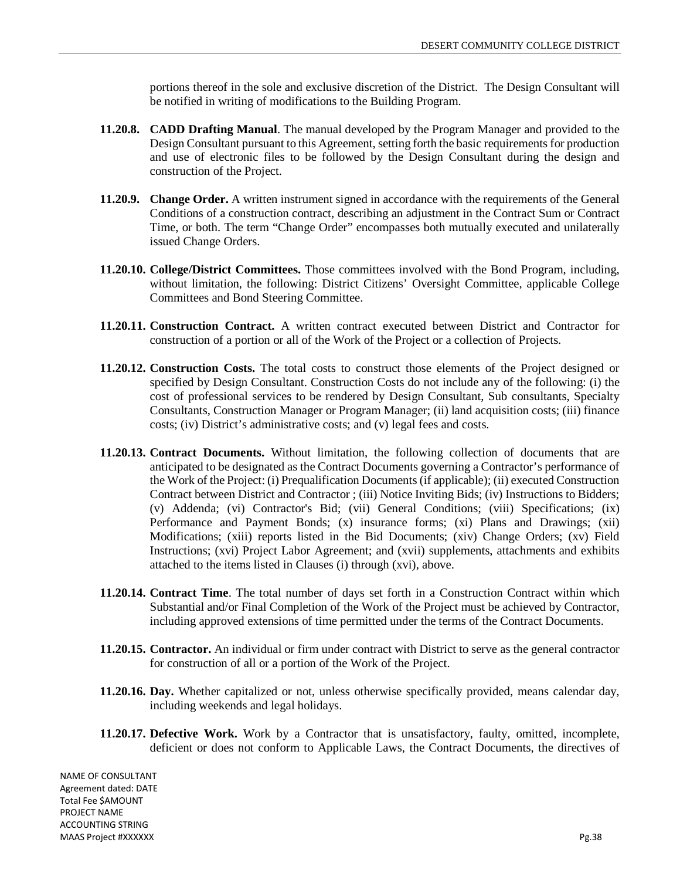portions thereof in the sole and exclusive discretion of the District. The Design Consultant will be notified in writing of modifications to the Building Program.

- **11.20.8. CADD Drafting Manual**. The manual developed by the Program Manager and provided to the Design Consultant pursuant to this Agreement, setting forth the basic requirements for production and use of electronic files to be followed by the Design Consultant during the design and construction of the Project.
- **11.20.9. Change Order.** A written instrument signed in accordance with the requirements of the General Conditions of a construction contract, describing an adjustment in the Contract Sum or Contract Time, or both. The term "Change Order" encompasses both mutually executed and unilaterally issued Change Orders.
- **11.20.10. College/District Committees.** Those committees involved with the Bond Program, including, without limitation, the following: District Citizens' Oversight Committee, applicable College Committees and Bond Steering Committee.
- **11.20.11. Construction Contract.** A written contract executed between District and Contractor for construction of a portion or all of the Work of the Project or a collection of Projects.
- **11.20.12. Construction Costs.** The total costs to construct those elements of the Project designed or specified by Design Consultant. Construction Costs do not include any of the following: (i) the cost of professional services to be rendered by Design Consultant, Sub consultants, Specialty Consultants, Construction Manager or Program Manager; (ii) land acquisition costs; (iii) finance costs; (iv) District's administrative costs; and (v) legal fees and costs.
- **11.20.13. Contract Documents.** Without limitation, the following collection of documents that are anticipated to be designated as the Contract Documents governing a Contractor's performance of the Work of the Project: (i) Prequalification Documents (if applicable); (ii) executed Construction Contract between District and Contractor ; (iii) Notice Inviting Bids; (iv) Instructions to Bidders; (v) Addenda; (vi) Contractor's Bid; (vii) General Conditions; (viii) Specifications; (ix) Performance and Payment Bonds; (x) insurance forms; (xi) Plans and Drawings; (xii) Modifications; (xiii) reports listed in the Bid Documents; (xiv) Change Orders; (xv) Field Instructions; (xvi) Project Labor Agreement; and (xvii) supplements, attachments and exhibits attached to the items listed in Clauses (i) through (xvi), above.
- **11.20.14. Contract Time**. The total number of days set forth in a Construction Contract within which Substantial and/or Final Completion of the Work of the Project must be achieved by Contractor, including approved extensions of time permitted under the terms of the Contract Documents.
- **11.20.15. Contractor.** An individual or firm under contract with District to serve as the general contractor for construction of all or a portion of the Work of the Project.
- **11.20.16. Day.** Whether capitalized or not, unless otherwise specifically provided, means calendar day, including weekends and legal holidays.
- **11.20.17. Defective Work.** Work by a Contractor that is unsatisfactory, faulty, omitted, incomplete, deficient or does not conform to Applicable Laws, the Contract Documents, the directives of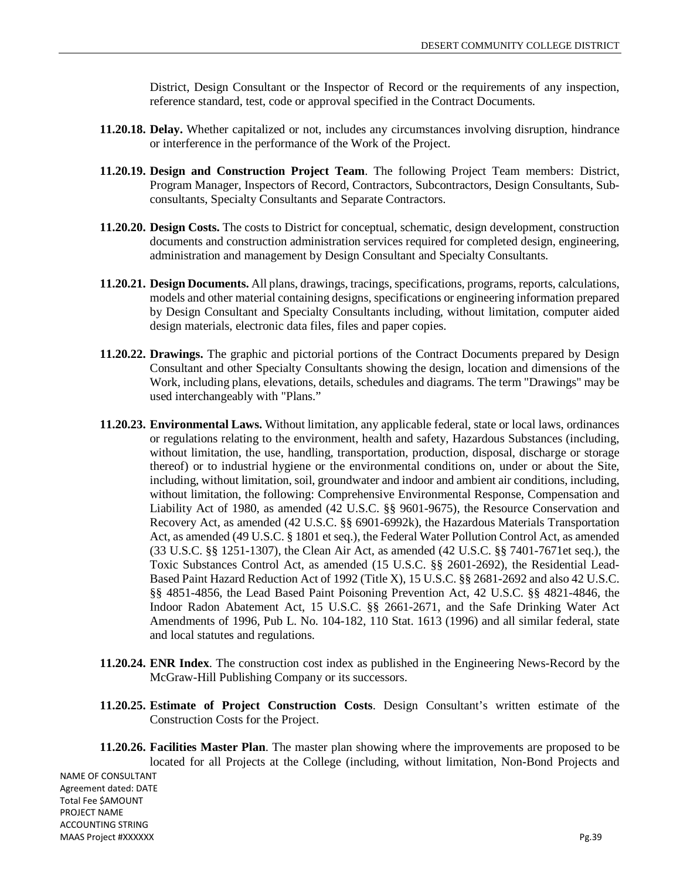District, Design Consultant or the Inspector of Record or the requirements of any inspection, reference standard, test, code or approval specified in the Contract Documents.

- **11.20.18. Delay.** Whether capitalized or not, includes any circumstances involving disruption, hindrance or interference in the performance of the Work of the Project.
- **11.20.19. Design and Construction Project Team**. The following Project Team members: District, Program Manager, Inspectors of Record, Contractors, Subcontractors, Design Consultants, Subconsultants, Specialty Consultants and Separate Contractors.
- **11.20.20. Design Costs.** The costs to District for conceptual, schematic, design development, construction documents and construction administration services required for completed design, engineering, administration and management by Design Consultant and Specialty Consultants.
- **11.20.21. Design Documents.** All plans, drawings, tracings, specifications, programs, reports, calculations, models and other material containing designs, specifications or engineering information prepared by Design Consultant and Specialty Consultants including, without limitation, computer aided design materials, electronic data files, files and paper copies.
- **11.20.22. Drawings.** The graphic and pictorial portions of the Contract Documents prepared by Design Consultant and other Specialty Consultants showing the design, location and dimensions of the Work, including plans, elevations, details, schedules and diagrams. The term "Drawings" may be used interchangeably with "Plans."
- **11.20.23. Environmental Laws.** Without limitation, any applicable federal, state or local laws, ordinances or regulations relating to the environment, health and safety, Hazardous Substances (including, without limitation, the use, handling, transportation, production, disposal, discharge or storage thereof) or to industrial hygiene or the environmental conditions on, under or about the Site, including, without limitation, soil, groundwater and indoor and ambient air conditions, including, without limitation, the following: Comprehensive Environmental Response, Compensation and Liability Act of 1980, as amended (42 U.S.C. §§ 9601-9675), the Resource Conservation and Recovery Act, as amended (42 U.S.C. §§ 6901-6992k), the Hazardous Materials Transportation Act, as amended (49 U.S.C. § 1801 et seq.), the Federal Water Pollution Control Act, as amended (33 U.S.C. §§ 1251-1307), the Clean Air Act, as amended (42 U.S.C. §§ 7401-7671et seq.), the Toxic Substances Control Act, as amended (15 U.S.C. §§ 2601-2692), the Residential Lead-Based Paint Hazard Reduction Act of 1992 (Title X), 15 U.S.C. §§ 2681-2692 and also 42 U.S.C. §§ 4851-4856, the Lead Based Paint Poisoning Prevention Act, 42 U.S.C. §§ 4821-4846, the Indoor Radon Abatement Act, 15 U.S.C. §§ 2661-2671, and the Safe Drinking Water Act Amendments of 1996, Pub L. No. 104-182, 110 Stat. 1613 (1996) and all similar federal, state and local statutes and regulations.
- **11.20.24. ENR Index**. The construction cost index as published in the Engineering News-Record by the McGraw-Hill Publishing Company or its successors.
- **11.20.25. Estimate of Project Construction Costs**. Design Consultant's written estimate of the Construction Costs for the Project.
- **11.20.26. Facilities Master Plan**. The master plan showing where the improvements are proposed to be located for all Projects at the College (including, without limitation, Non-Bond Projects and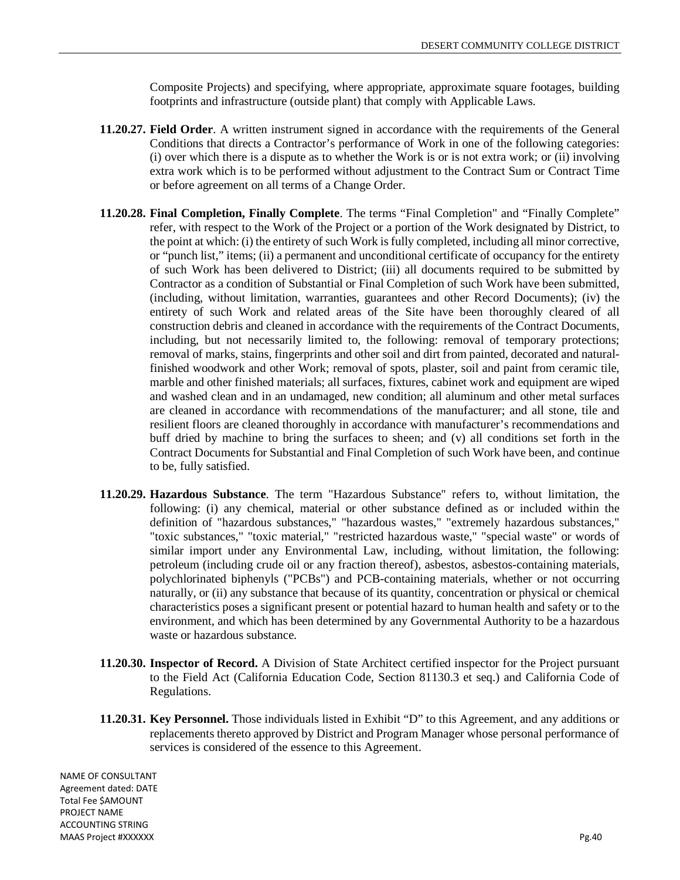Composite Projects) and specifying, where appropriate, approximate square footages, building footprints and infrastructure (outside plant) that comply with Applicable Laws.

- **11.20.27. Field Order**. A written instrument signed in accordance with the requirements of the General Conditions that directs a Contractor's performance of Work in one of the following categories: (i) over which there is a dispute as to whether the Work is or is not extra work; or (ii) involving extra work which is to be performed without adjustment to the Contract Sum or Contract Time or before agreement on all terms of a Change Order.
- **11.20.28. Final Completion, Finally Complete**. The terms "Final Completion" and "Finally Complete" refer, with respect to the Work of the Project or a portion of the Work designated by District, to the point at which: (i) the entirety of such Work is fully completed, including all minor corrective, or "punch list," items; (ii) a permanent and unconditional certificate of occupancy for the entirety of such Work has been delivered to District; (iii) all documents required to be submitted by Contractor as a condition of Substantial or Final Completion of such Work have been submitted, (including, without limitation, warranties, guarantees and other Record Documents); (iv) the entirety of such Work and related areas of the Site have been thoroughly cleared of all construction debris and cleaned in accordance with the requirements of the Contract Documents, including, but not necessarily limited to, the following: removal of temporary protections; removal of marks, stains, fingerprints and other soil and dirt from painted, decorated and naturalfinished woodwork and other Work; removal of spots, plaster, soil and paint from ceramic tile, marble and other finished materials; all surfaces, fixtures, cabinet work and equipment are wiped and washed clean and in an undamaged, new condition; all aluminum and other metal surfaces are cleaned in accordance with recommendations of the manufacturer; and all stone, tile and resilient floors are cleaned thoroughly in accordance with manufacturer's recommendations and buff dried by machine to bring the surfaces to sheen; and (v) all conditions set forth in the Contract Documents for Substantial and Final Completion of such Work have been, and continue to be, fully satisfied.
- **11.20.29. Hazardous Substance**. The term "Hazardous Substance" refers to, without limitation, the following: (i) any chemical, material or other substance defined as or included within the definition of "hazardous substances," "hazardous wastes," "extremely hazardous substances," "toxic substances," "toxic material," "restricted hazardous waste," "special waste" or words of similar import under any Environmental Law, including, without limitation, the following: petroleum (including crude oil or any fraction thereof), asbestos, asbestos-containing materials, polychlorinated biphenyls ("PCBs") and PCB-containing materials, whether or not occurring naturally, or (ii) any substance that because of its quantity, concentration or physical or chemical characteristics poses a significant present or potential hazard to human health and safety or to the environment, and which has been determined by any Governmental Authority to be a hazardous waste or hazardous substance.
- **11.20.30. Inspector of Record.** A Division of State Architect certified inspector for the Project pursuant to the Field Act (California Education Code, Section 81130.3 et seq.) and California Code of Regulations.
- **11.20.31. Key Personnel.** Those individuals listed in Exhibit "D" to this Agreement, and any additions or replacements thereto approved by District and Program Manager whose personal performance of services is considered of the essence to this Agreement.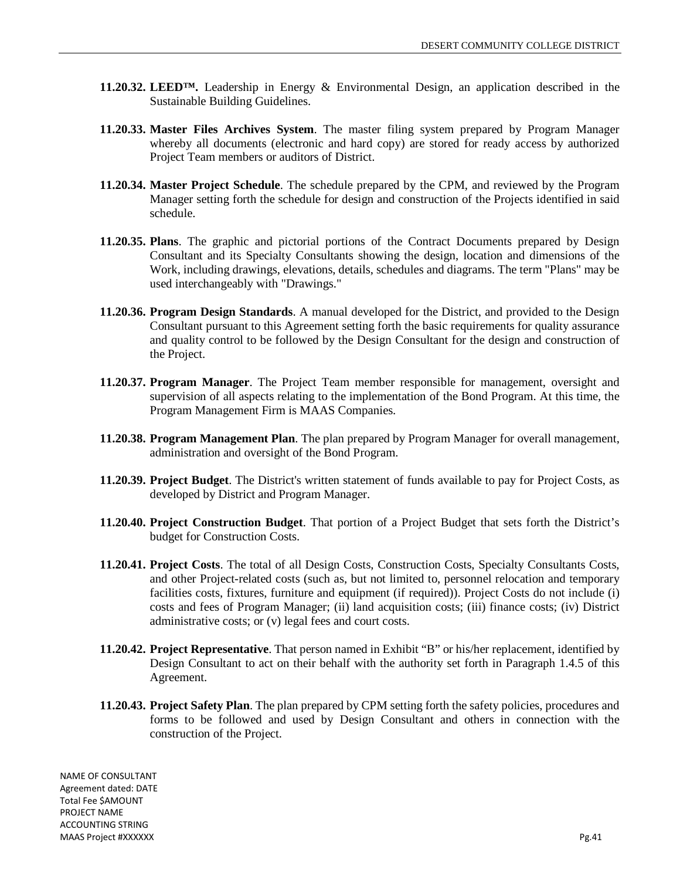- **11.20.32. LEED™.** Leadership in Energy & Environmental Design, an application described in the Sustainable Building Guidelines.
- **11.20.33. Master Files Archives System**. The master filing system prepared by Program Manager whereby all documents (electronic and hard copy) are stored for ready access by authorized Project Team members or auditors of District.
- **11.20.34. Master Project Schedule**. The schedule prepared by the CPM, and reviewed by the Program Manager setting forth the schedule for design and construction of the Projects identified in said schedule.
- **11.20.35. Plans**. The graphic and pictorial portions of the Contract Documents prepared by Design Consultant and its Specialty Consultants showing the design, location and dimensions of the Work, including drawings, elevations, details, schedules and diagrams. The term "Plans" may be used interchangeably with "Drawings."
- **11.20.36. Program Design Standards**. A manual developed for the District, and provided to the Design Consultant pursuant to this Agreement setting forth the basic requirements for quality assurance and quality control to be followed by the Design Consultant for the design and construction of the Project.
- **11.20.37. Program Manager**. The Project Team member responsible for management, oversight and supervision of all aspects relating to the implementation of the Bond Program. At this time, the Program Management Firm is MAAS Companies.
- **11.20.38. Program Management Plan**. The plan prepared by Program Manager for overall management, administration and oversight of the Bond Program.
- **11.20.39. Project Budget**. The District's written statement of funds available to pay for Project Costs, as developed by District and Program Manager.
- **11.20.40. Project Construction Budget**. That portion of a Project Budget that sets forth the District's budget for Construction Costs.
- **11.20.41. Project Costs**. The total of all Design Costs, Construction Costs, Specialty Consultants Costs, and other Project-related costs (such as, but not limited to, personnel relocation and temporary facilities costs, fixtures, furniture and equipment (if required)). Project Costs do not include (i) costs and fees of Program Manager; (ii) land acquisition costs; (iii) finance costs; (iv) District administrative costs; or (v) legal fees and court costs.
- **11.20.42. Project Representative**. That person named in Exhibit "B" or his/her replacement, identified by Design Consultant to act on their behalf with the authority set forth in Paragraph 1.4.5 of this Agreement.
- **11.20.43. Project Safety Plan**. The plan prepared by CPM setting forth the safety policies, procedures and forms to be followed and used by Design Consultant and others in connection with the construction of the Project.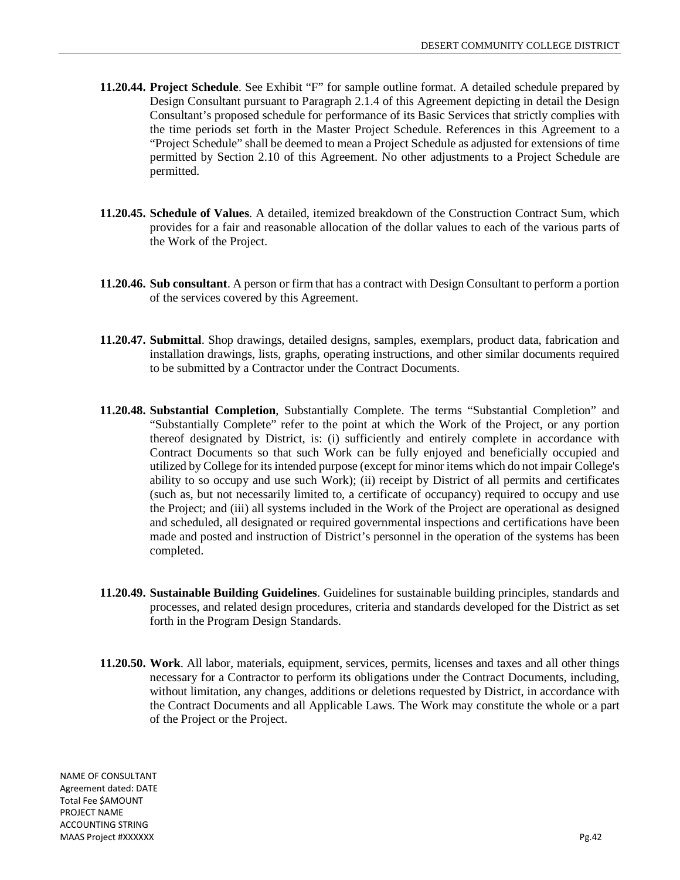- **11.20.44. Project Schedule**. See Exhibit "F" for sample outline format. A detailed schedule prepared by Design Consultant pursuant to Paragraph 2.1.4 of this Agreement depicting in detail the Design Consultant's proposed schedule for performance of its Basic Services that strictly complies with the time periods set forth in the Master Project Schedule. References in this Agreement to a "Project Schedule" shall be deemed to mean a Project Schedule as adjusted for extensions of time permitted by Section 2.10 of this Agreement. No other adjustments to a Project Schedule are permitted.
- **11.20.45. Schedule of Values**. A detailed, itemized breakdown of the Construction Contract Sum, which provides for a fair and reasonable allocation of the dollar values to each of the various parts of the Work of the Project.
- **11.20.46. Sub consultant**. A person or firm that has a contract with Design Consultant to perform a portion of the services covered by this Agreement.
- **11.20.47. Submittal**. Shop drawings, detailed designs, samples, exemplars, product data, fabrication and installation drawings, lists, graphs, operating instructions, and other similar documents required to be submitted by a Contractor under the Contract Documents.
- **11.20.48. Substantial Completion**, Substantially Complete. The terms "Substantial Completion" and "Substantially Complete" refer to the point at which the Work of the Project, or any portion thereof designated by District, is: (i) sufficiently and entirely complete in accordance with Contract Documents so that such Work can be fully enjoyed and beneficially occupied and utilized by College for its intended purpose (except for minor items which do not impair College's ability to so occupy and use such Work); (ii) receipt by District of all permits and certificates (such as, but not necessarily limited to, a certificate of occupancy) required to occupy and use the Project; and (iii) all systems included in the Work of the Project are operational as designed and scheduled, all designated or required governmental inspections and certifications have been made and posted and instruction of District's personnel in the operation of the systems has been completed.
- **11.20.49. Sustainable Building Guidelines**. Guidelines for sustainable building principles, standards and processes, and related design procedures, criteria and standards developed for the District as set forth in the Program Design Standards.
- **11.20.50. Work**. All labor, materials, equipment, services, permits, licenses and taxes and all other things necessary for a Contractor to perform its obligations under the Contract Documents, including, without limitation, any changes, additions or deletions requested by District, in accordance with the Contract Documents and all Applicable Laws. The Work may constitute the whole or a part of the Project or the Project.